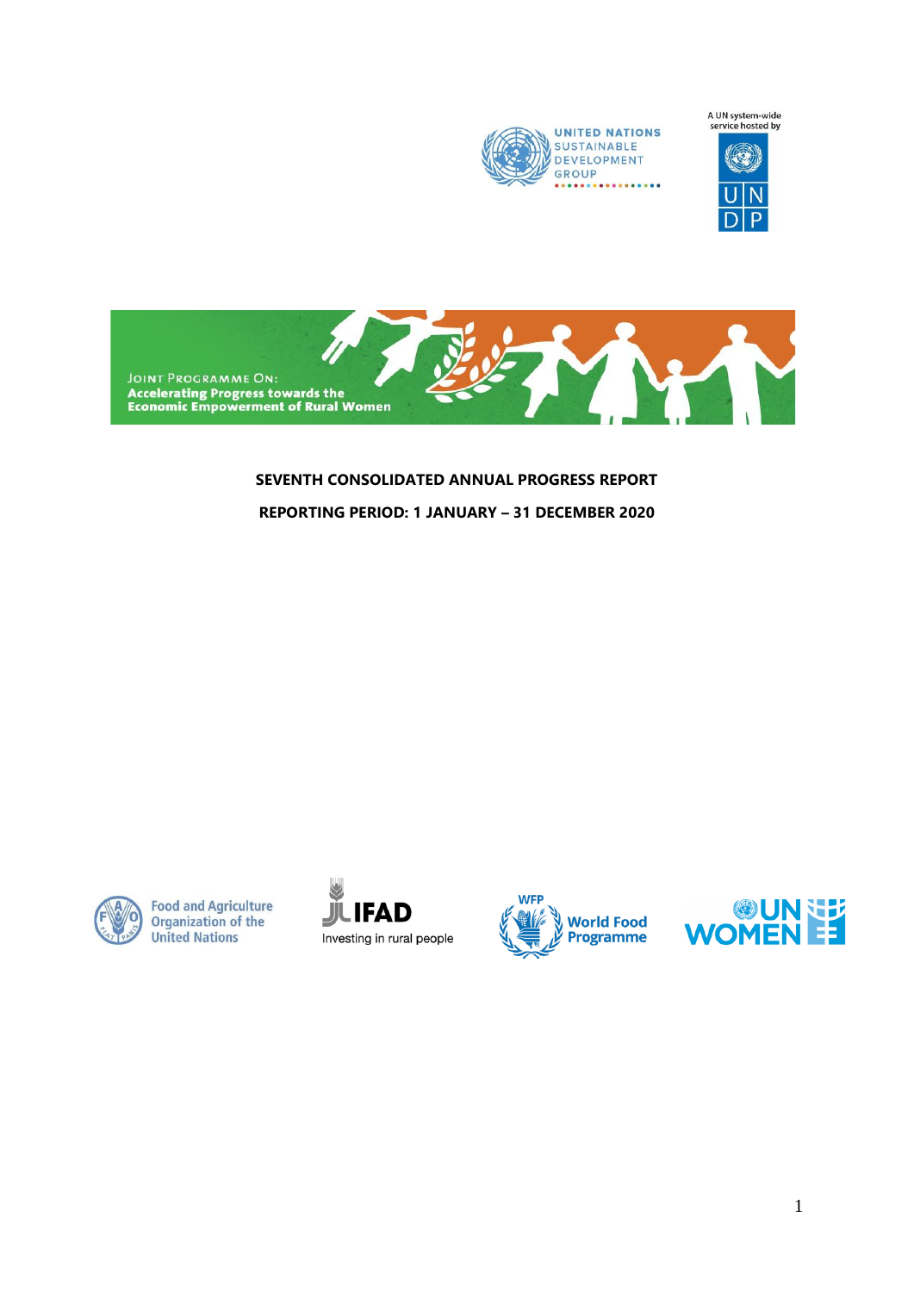

A UN system-wide<br>service hosted by



**JOINT PROGRAMME ON:**<br>Accelerating Progress towards the<br>Economic Empowerment of Rural Women

# **SEVENTH CONSOLIDATED ANNUAL PROGRESS REPORT REPORTING PERIOD: 1 JANUARY – 31 DECEMBER 2020**



**Food and Agriculture Organization of the United Nations** 





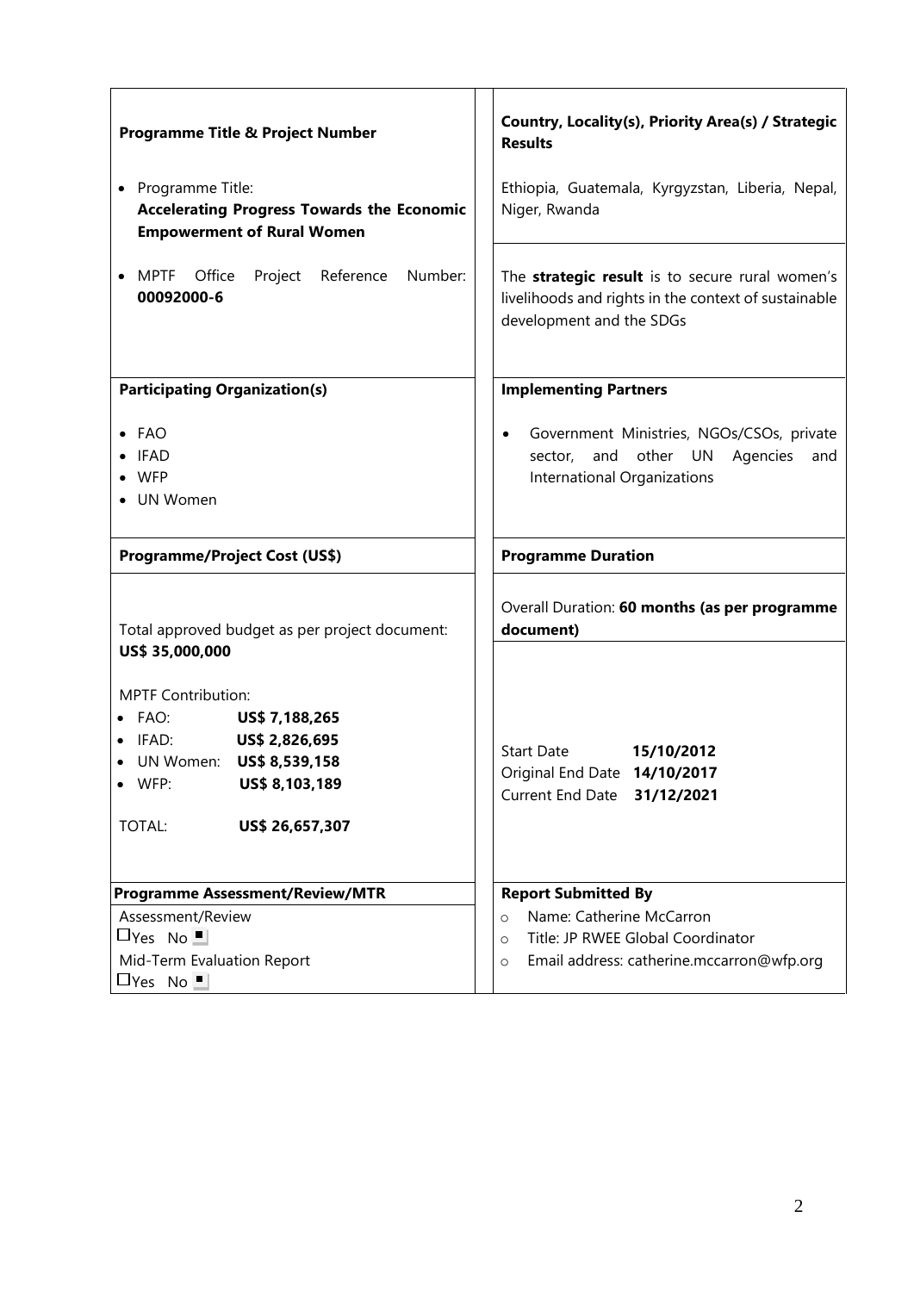| <b>Programme Title &amp; Project Number</b>                                                                                                                                             | Country, Locality(s), Priority Area(s) / Strategic<br><b>Results</b>                                                                        |
|-----------------------------------------------------------------------------------------------------------------------------------------------------------------------------------------|---------------------------------------------------------------------------------------------------------------------------------------------|
| Programme Title:<br><b>Accelerating Progress Towards the Economic</b><br><b>Empowerment of Rural Women</b>                                                                              | Ethiopia, Guatemala, Kyrgyzstan, Liberia, Nepal,<br>Niger, Rwanda                                                                           |
| MPTF Office<br>Project Reference<br>Number:<br>00092000-6                                                                                                                               | The strategic result is to secure rural women's<br>livelihoods and rights in the context of sustainable<br>development and the SDGs         |
| <b>Participating Organization(s)</b>                                                                                                                                                    | <b>Implementing Partners</b>                                                                                                                |
| $\bullet$ FAO<br><b>IFAD</b><br><b>WFP</b><br>• UN Women                                                                                                                                | Government Ministries, NGOs/CSOs, private<br>$\bullet$<br>sector, and other UN<br>Agencies<br>and<br>International Organizations            |
| <b>Programme/Project Cost (US\$)</b>                                                                                                                                                    | <b>Programme Duration</b>                                                                                                                   |
| Total approved budget as per project document:                                                                                                                                          | Overall Duration: 60 months (as per programme<br>document)                                                                                  |
| US\$ 35,000,000<br><b>MPTF Contribution:</b><br>FAO:<br>US\$ 7,188,265<br>US\$ 2,826,695<br>IFAD:<br>UN Women:<br>US\$ 8,539,158<br>WFP:<br>US\$ 8,103,189<br>US\$ 26,657,307<br>TOTAL: | <b>Start Date</b><br>15/10/2012<br>Original End Date 14/10/2017<br>Current End Date 31/12/2021                                              |
| <b>Programme Assessment/Review/MTR</b>                                                                                                                                                  | <b>Report Submitted By</b>                                                                                                                  |
| Assessment/Review<br>$\Box$ Yes No $\Box$<br>Mid-Term Evaluation Report<br>$\Box$ Yes No $\Box$                                                                                         | Name: Catherine McCarron<br>$\circ$<br>Title: JP RWEE Global Coordinator<br>$\circ$<br>Email address: catherine.mccarron@wfp.org<br>$\circ$ |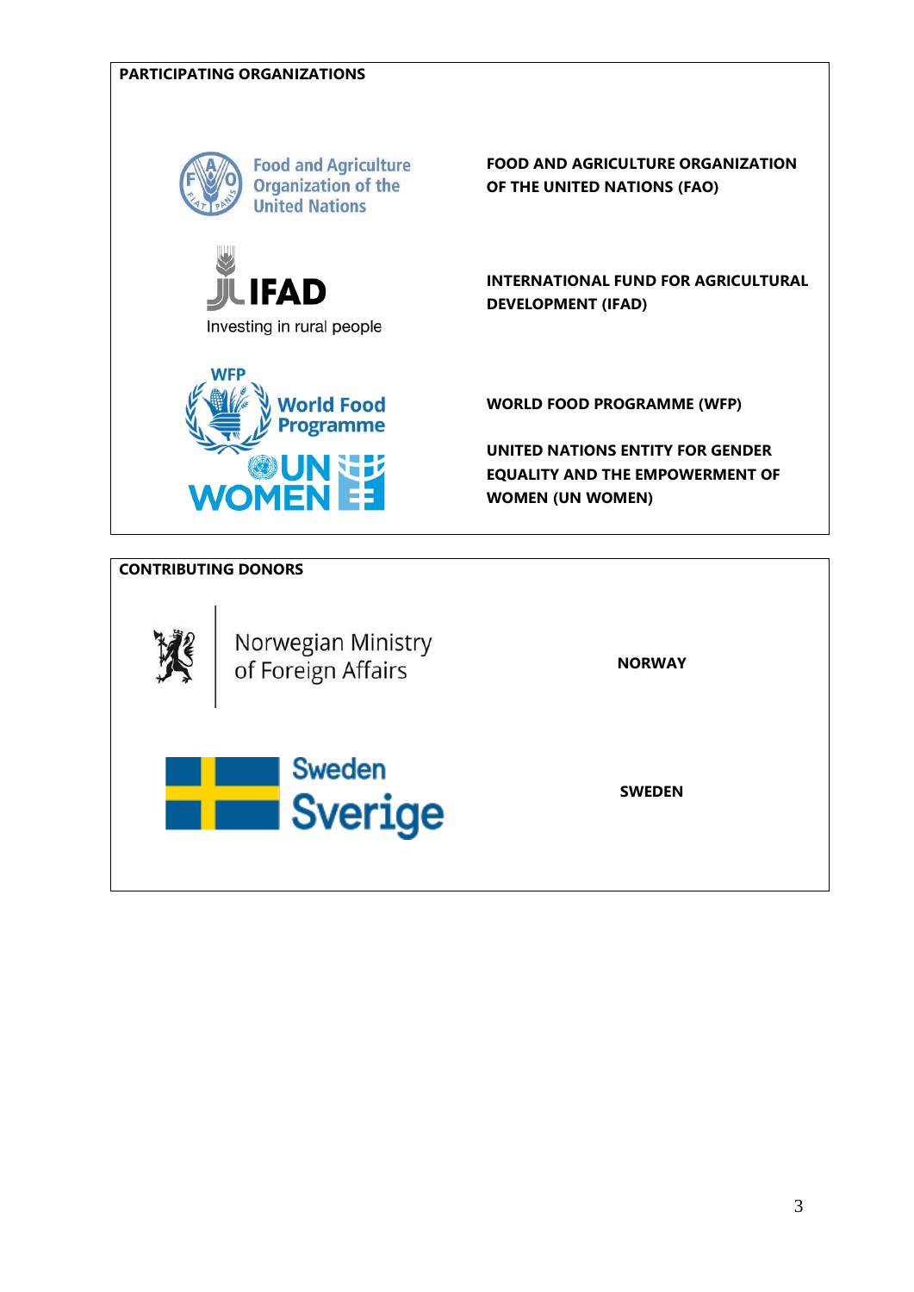

Sweden

Sverige

**SWEDEN**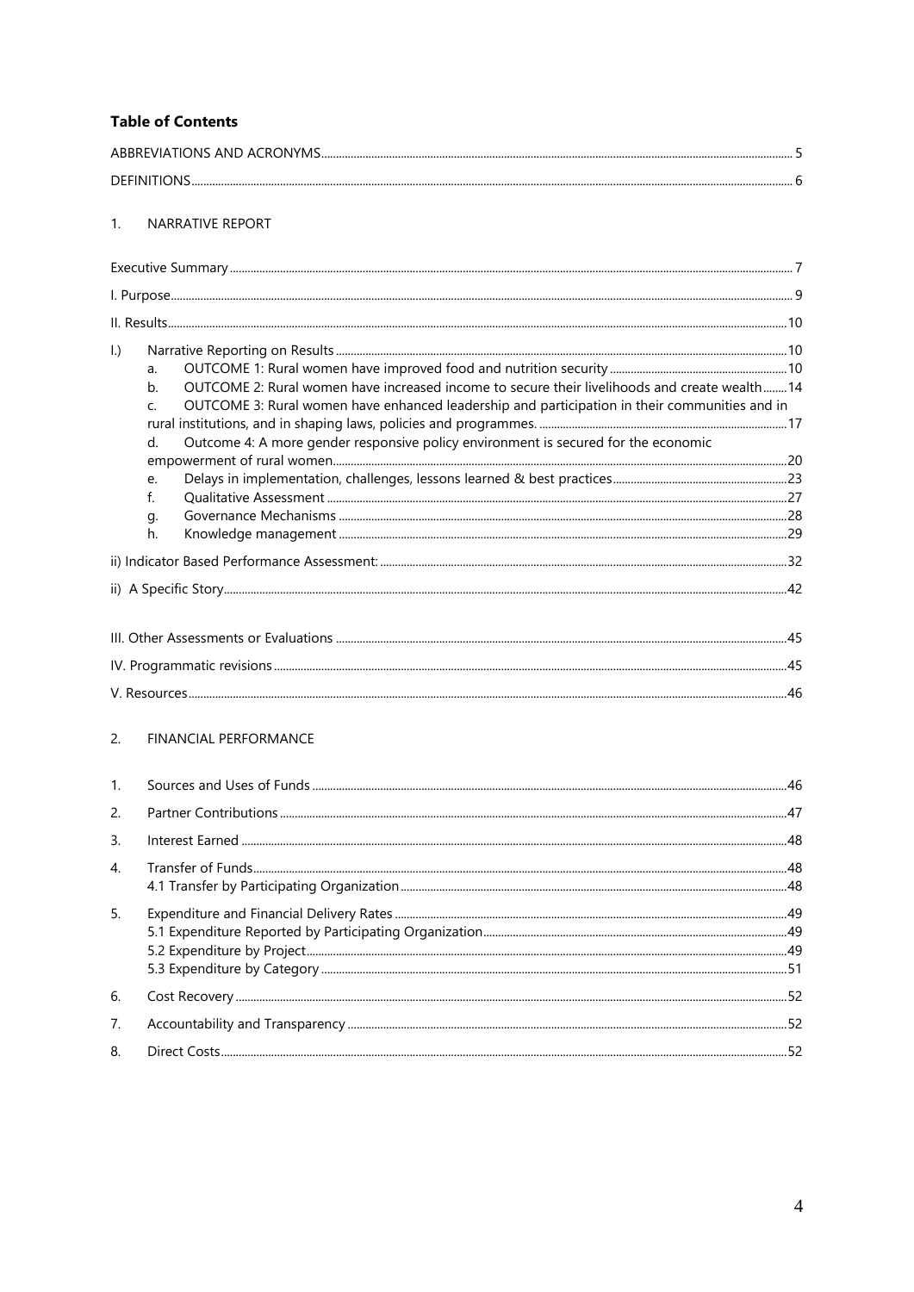### **Table of Contents**

| <b>DEFINITIONS</b> |  |
|--------------------|--|

#### 1. NARRATIVE REPORT

| $\vert$ .)<br>a.<br>OUTCOME 2: Rural women have increased income to secure their livelihoods and create wealth 14<br>$h_{\cdot}$<br>OUTCOME 3: Rural women have enhanced leadership and participation in their communities and in<br>$\mathsf{C}$<br>Outcome 4: A more gender responsive policy environment is secured for the economic<br>$d$ .<br>e.<br>$f_{\cdot}$<br>g.<br>h. |  |
|-----------------------------------------------------------------------------------------------------------------------------------------------------------------------------------------------------------------------------------------------------------------------------------------------------------------------------------------------------------------------------------|--|
|                                                                                                                                                                                                                                                                                                                                                                                   |  |
|                                                                                                                                                                                                                                                                                                                                                                                   |  |
|                                                                                                                                                                                                                                                                                                                                                                                   |  |
|                                                                                                                                                                                                                                                                                                                                                                                   |  |
|                                                                                                                                                                                                                                                                                                                                                                                   |  |

#### 2. FINANCIAL PERFORMANCE

| 1.               |  |
|------------------|--|
| 2.               |  |
| $\mathbf{3}$ .   |  |
| $\overline{4}$ . |  |
| 5.               |  |
| 6.               |  |
| 7.               |  |
| 8.               |  |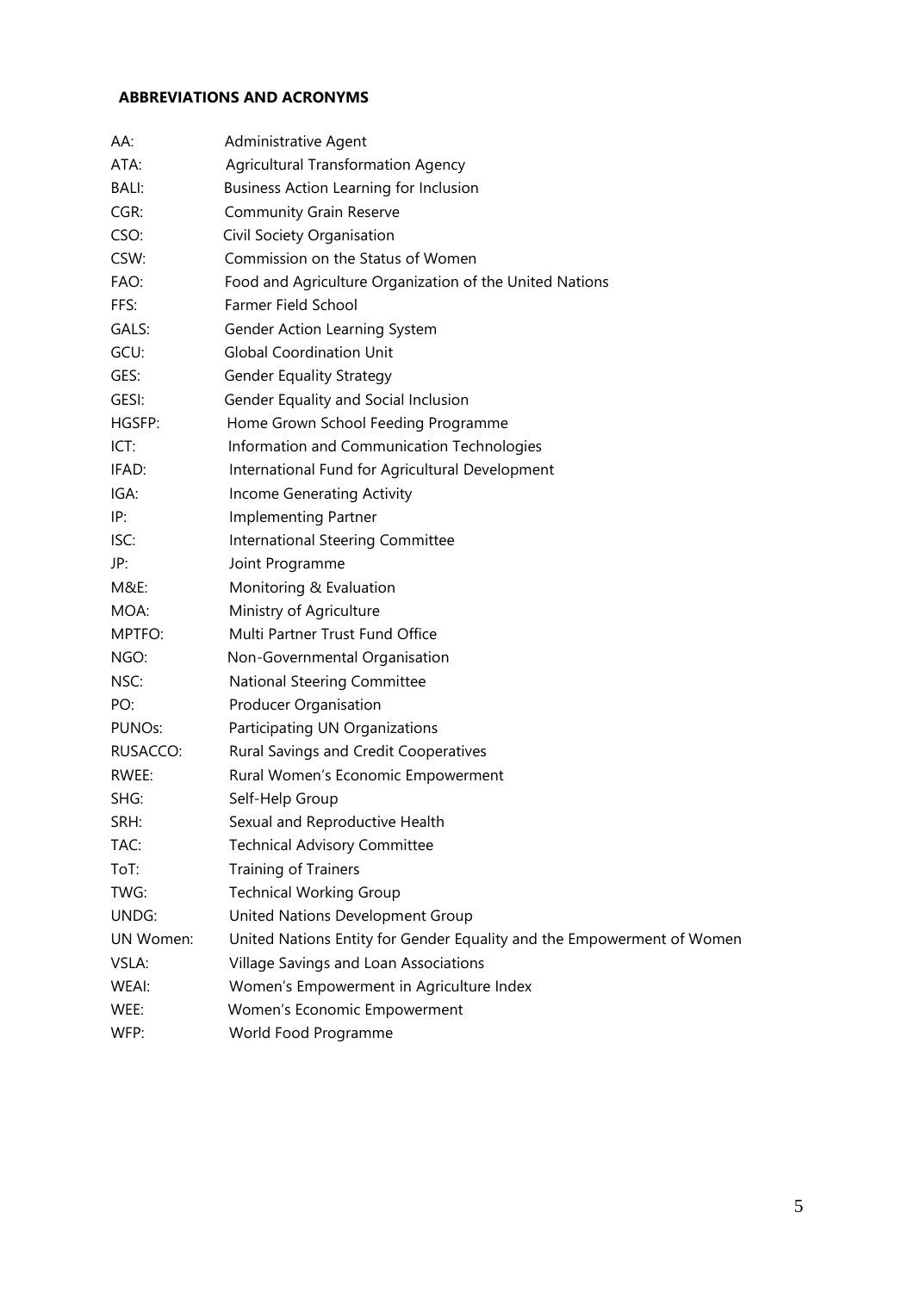## <span id="page-4-0"></span>**ABBREVIATIONS AND ACRONYMS**

| AA:       | Administrative Agent                                                   |
|-----------|------------------------------------------------------------------------|
| ATA:      | <b>Agricultural Transformation Agency</b>                              |
| BALI:     | <b>Business Action Learning for Inclusion</b>                          |
| CGR:      | <b>Community Grain Reserve</b>                                         |
| CSO:      | Civil Society Organisation                                             |
| CSW:      | Commission on the Status of Women                                      |
| FAO:      | Food and Agriculture Organization of the United Nations                |
| FFS:      | Farmer Field School                                                    |
| GALS:     | Gender Action Learning System                                          |
| GCU:      | <b>Global Coordination Unit</b>                                        |
| GES:      | <b>Gender Equality Strategy</b>                                        |
| GESI:     | Gender Equality and Social Inclusion                                   |
| HGSFP:    | Home Grown School Feeding Programme                                    |
| ICT:      | Information and Communication Technologies                             |
| IFAD:     | International Fund for Agricultural Development                        |
| IGA:      | Income Generating Activity                                             |
| IP:       | <b>Implementing Partner</b>                                            |
| ISC:      | International Steering Committee                                       |
| JP:       | Joint Programme                                                        |
| M&E:      | Monitoring & Evaluation                                                |
| MOA:      | Ministry of Agriculture                                                |
| MPTFO:    | Multi Partner Trust Fund Office                                        |
| NGO:      | Non-Governmental Organisation                                          |
| NSC:      | National Steering Committee                                            |
| PO:       | Producer Organisation                                                  |
| PUNOs:    | Participating UN Organizations                                         |
| RUSACCO:  | Rural Savings and Credit Cooperatives                                  |
| RWEE:     | Rural Women's Economic Empowerment                                     |
| SHG:      | Self-Help Group                                                        |
| SRH:      | Sexual and Reproductive Health                                         |
| TAC:      | <b>Technical Advisory Committee</b>                                    |
| ToT:      | Training of Trainers                                                   |
| TWG:      | <b>Technical Working Group</b>                                         |
| UNDG:     | United Nations Development Group                                       |
| UN Women: | United Nations Entity for Gender Equality and the Empowerment of Women |
| VSLA:     | Village Savings and Loan Associations                                  |
| WEAI:     | Women's Empowerment in Agriculture Index                               |
| WEE:      | Women's Economic Empowerment                                           |
| WFP:      | World Food Programme                                                   |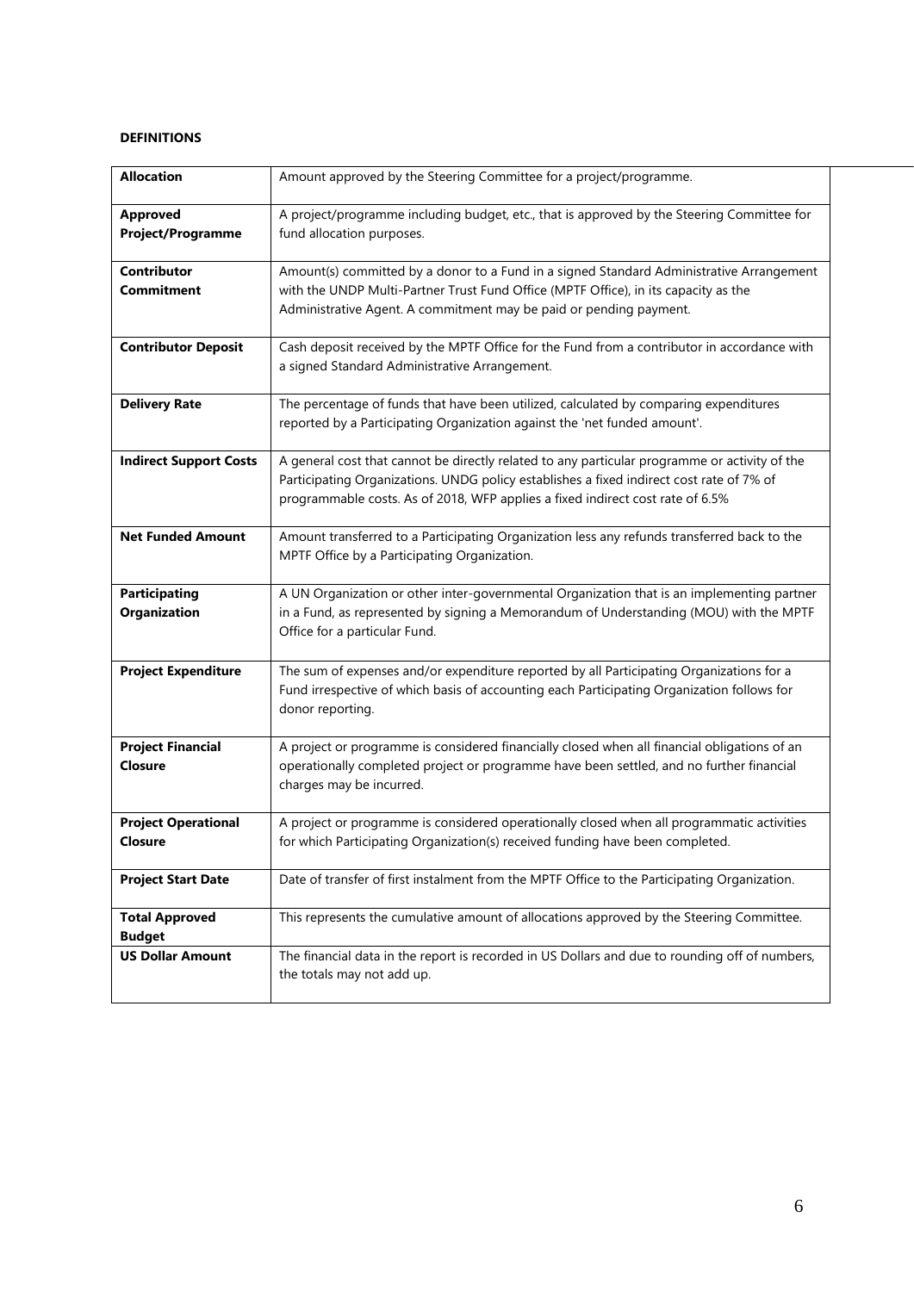#### <span id="page-5-0"></span>**DEFINITIONS**

| <b>Allocation</b>                            | Amount approved by the Steering Committee for a project/programme.                                                                                                                                                                                                          |
|----------------------------------------------|-----------------------------------------------------------------------------------------------------------------------------------------------------------------------------------------------------------------------------------------------------------------------------|
| <b>Approved</b><br><b>Project/Programme</b>  | A project/programme including budget, etc., that is approved by the Steering Committee for<br>fund allocation purposes.                                                                                                                                                     |
| Contributor<br><b>Commitment</b>             | Amount(s) committed by a donor to a Fund in a signed Standard Administrative Arrangement<br>with the UNDP Multi-Partner Trust Fund Office (MPTF Office), in its capacity as the<br>Administrative Agent. A commitment may be paid or pending payment.                       |
| <b>Contributor Deposit</b>                   | Cash deposit received by the MPTF Office for the Fund from a contributor in accordance with<br>a signed Standard Administrative Arrangement.                                                                                                                                |
| <b>Delivery Rate</b>                         | The percentage of funds that have been utilized, calculated by comparing expenditures<br>reported by a Participating Organization against the 'net funded amount'.                                                                                                          |
| <b>Indirect Support Costs</b>                | A general cost that cannot be directly related to any particular programme or activity of the<br>Participating Organizations. UNDG policy establishes a fixed indirect cost rate of 7% of<br>programmable costs. As of 2018, WFP applies a fixed indirect cost rate of 6.5% |
| <b>Net Funded Amount</b>                     | Amount transferred to a Participating Organization less any refunds transferred back to the<br>MPTF Office by a Participating Organization.                                                                                                                                 |
| <b>Participating</b><br>Organization         | A UN Organization or other inter-governmental Organization that is an implementing partner<br>in a Fund, as represented by signing a Memorandum of Understanding (MOU) with the MPTF<br>Office for a particular Fund.                                                       |
| <b>Project Expenditure</b>                   | The sum of expenses and/or expenditure reported by all Participating Organizations for a<br>Fund irrespective of which basis of accounting each Participating Organization follows for<br>donor reporting.                                                                  |
| <b>Project Financial</b><br>Closure          | A project or programme is considered financially closed when all financial obligations of an<br>operationally completed project or programme have been settled, and no further financial<br>charges may be incurred.                                                        |
| <b>Project Operational</b><br><b>Closure</b> | A project or programme is considered operationally closed when all programmatic activities<br>for which Participating Organization(s) received funding have been completed.                                                                                                 |
| <b>Project Start Date</b>                    | Date of transfer of first instalment from the MPTF Office to the Participating Organization.                                                                                                                                                                                |
| <b>Total Approved</b><br><b>Budget</b>       | This represents the cumulative amount of allocations approved by the Steering Committee.                                                                                                                                                                                    |
| <b>US Dollar Amount</b>                      | The financial data in the report is recorded in US Dollars and due to rounding off of numbers,<br>the totals may not add up.                                                                                                                                                |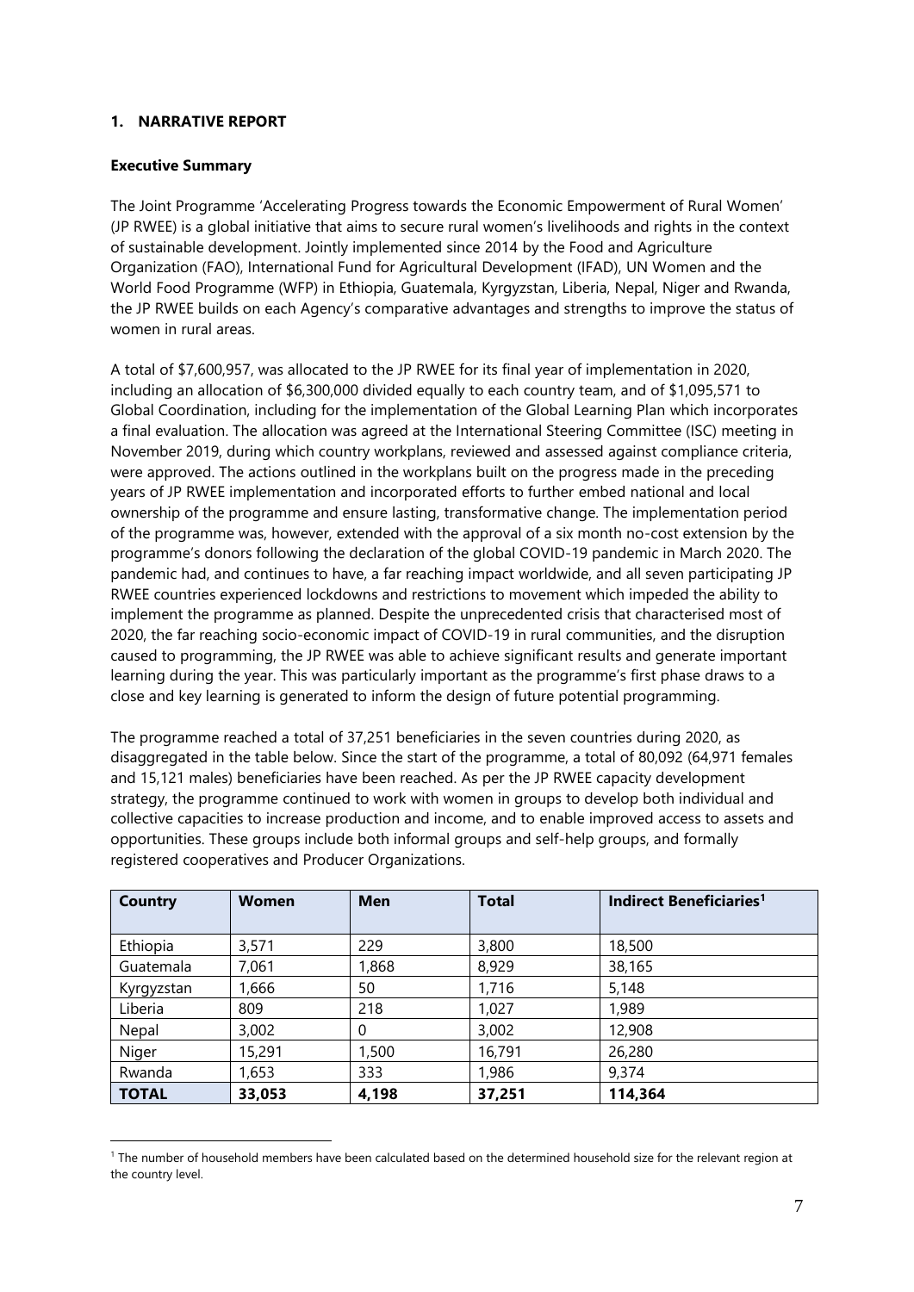#### <span id="page-6-0"></span>**1. NARRATIVE REPORT**

#### <span id="page-6-1"></span>**Executive Summary**

The Joint Programme 'Accelerating Progress towards the Economic Empowerment of Rural Women' (JP RWEE) is a global initiative that aims to secure rural women's livelihoods and rights in the context of sustainable development. Jointly implemented since 2014 by the Food and Agriculture Organization (FAO), International Fund for Agricultural Development (IFAD), UN Women and the World Food Programme (WFP) in Ethiopia, Guatemala, Kyrgyzstan, Liberia, Nepal, Niger and Rwanda, the JP RWEE builds on each Agency's comparative advantages and strengths to improve the status of women in rural areas.

A total of \$7,600,957, was allocated to the JP RWEE for its final year of implementation in 2020, including an allocation of \$6,300,000 divided equally to each country team, and of \$1,095,571 to Global Coordination, including for the implementation of the Global Learning Plan which incorporates a final evaluation. The allocation was agreed at the International Steering Committee (ISC) meeting in November 2019, during which country workplans, reviewed and assessed against compliance criteria, were approved. The actions outlined in the workplans built on the progress made in the preceding years of JP RWEE implementation and incorporated efforts to further embed national and local ownership of the programme and ensure lasting, transformative change. The implementation period of the programme was, however, extended with the approval of a six month no-cost extension by the programme's donors following the declaration of the global COVID-19 pandemic in March 2020. The pandemic had, and continues to have, a far reaching impact worldwide, and all seven participating JP RWEE countries experienced lockdowns and restrictions to movement which impeded the ability to implement the programme as planned. Despite the unprecedented crisis that characterised most of 2020, the far reaching socio-economic impact of COVID-19 in rural communities, and the disruption caused to programming, the JP RWEE was able to achieve significant results and generate important learning during the year. This was particularly important as the programme's first phase draws to a close and key learning is generated to inform the design of future potential programming.

The programme reached a total of 37,251 beneficiaries in the seven countries during 2020, as disaggregated in the table below. Since the start of the programme, a total of 80,092 (64,971 females and 15,121 males) beneficiaries have been reached. As per the JP RWEE capacity development strategy, the programme continued to work with women in groups to develop both individual and collective capacities to increase production and income, and to enable improved access to assets and opportunities. These groups include both informal groups and self-help groups, and formally registered cooperatives and Producer Organizations.

| Country      | <b>Women</b> | <b>Men</b> | <b>Total</b> | Indirect Beneficiaries <sup>1</sup> |
|--------------|--------------|------------|--------------|-------------------------------------|
|              |              |            |              |                                     |
| Ethiopia     | 3,571        | 229        | 3,800        | 18,500                              |
| Guatemala    | 7,061        | 1,868      | 8,929        | 38,165                              |
| Kyrgyzstan   | 1,666        | 50         | 1,716        | 5,148                               |
| Liberia      | 809          | 218        | 1,027        | 1,989                               |
| Nepal        | 3,002        | 0          | 3,002        | 12,908                              |
| Niger        | 15,291       | 1,500      | 16,791       | 26,280                              |
| Rwanda       | 1,653        | 333        | 1,986        | 9,374                               |
| <b>TOTAL</b> | 33,053       | 4,198      | 37,251       | 114,364                             |

<sup>&</sup>lt;sup>1</sup> The number of household members have been calculated based on the determined household size for the relevant region at the country level.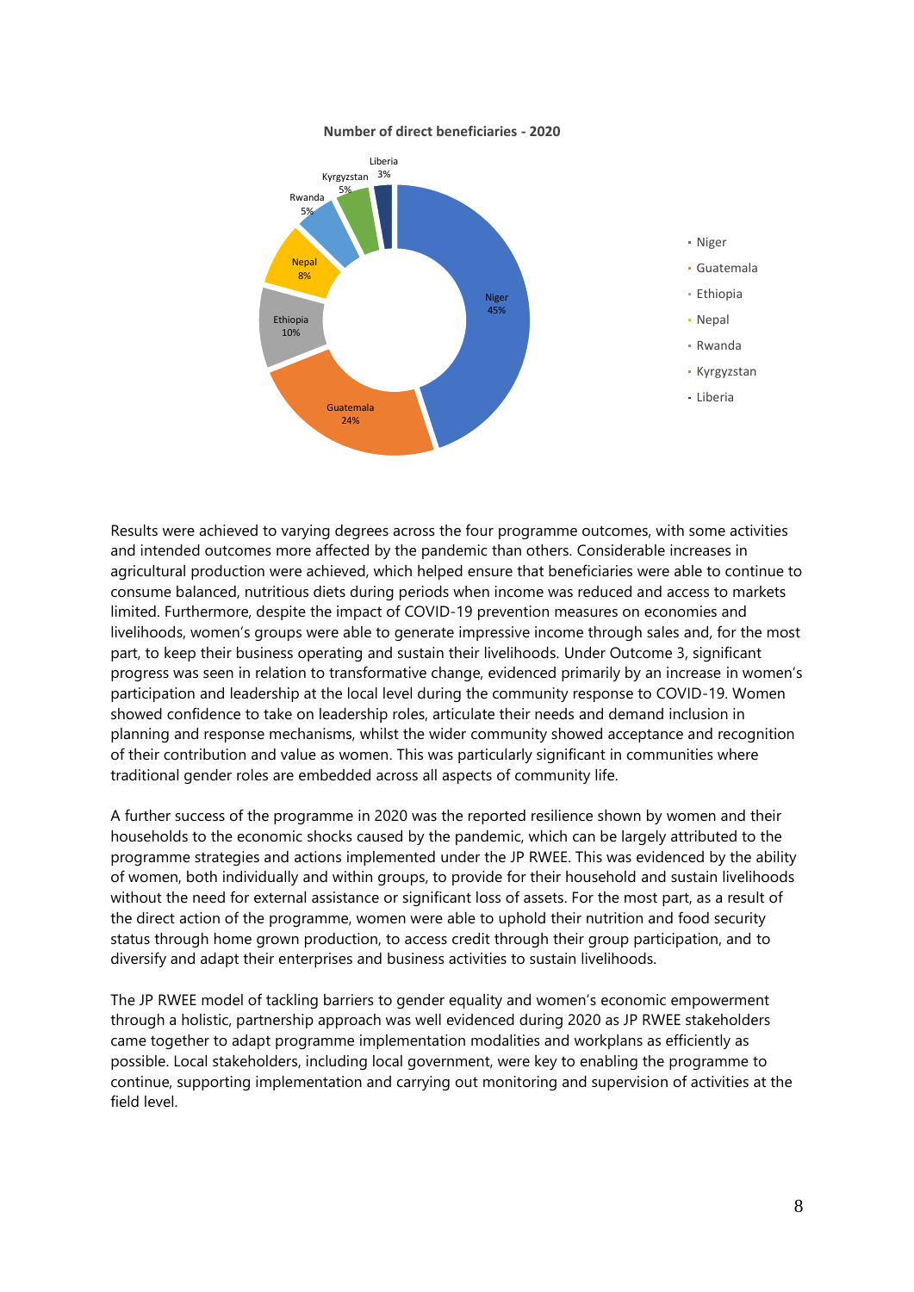

#### **Number of direct beneficiaries - 2020**

Results were achieved to varying degrees across the four programme outcomes, with some activities and intended outcomes more affected by the pandemic than others. Considerable increases in agricultural production were achieved, which helped ensure that beneficiaries were able to continue to consume balanced, nutritious diets during periods when income was reduced and access to markets limited. Furthermore, despite the impact of COVID-19 prevention measures on economies and livelihoods, women's groups were able to generate impressive income through sales and, for the most part, to keep their business operating and sustain their livelihoods. Under Outcome 3, significant progress was seen in relation to transformative change, evidenced primarily by an increase in women's participation and leadership at the local level during the community response to COVID-19. Women showed confidence to take on leadership roles, articulate their needs and demand inclusion in planning and response mechanisms, whilst the wider community showed acceptance and recognition of their contribution and value as women. This was particularly significant in communities where traditional gender roles are embedded across all aspects of community life.

A further success of the programme in 2020 was the reported resilience shown by women and their households to the economic shocks caused by the pandemic, which can be largely attributed to the programme strategies and actions implemented under the JP RWEE. This was evidenced by the ability of women, both individually and within groups, to provide for their household and sustain livelihoods without the need for external assistance or significant loss of assets. For the most part, as a result of the direct action of the programme, women were able to uphold their nutrition and food security status through home grown production, to access credit through their group participation, and to diversify and adapt their enterprises and business activities to sustain livelihoods.

The JP RWEE model of tackling barriers to gender equality and women's economic empowerment through a holistic, partnership approach was well evidenced during 2020 as JP RWEE stakeholders came together to adapt programme implementation modalities and workplans as efficiently as possible. Local stakeholders, including local government, were key to enabling the programme to continue, supporting implementation and carrying out monitoring and supervision of activities at the field level.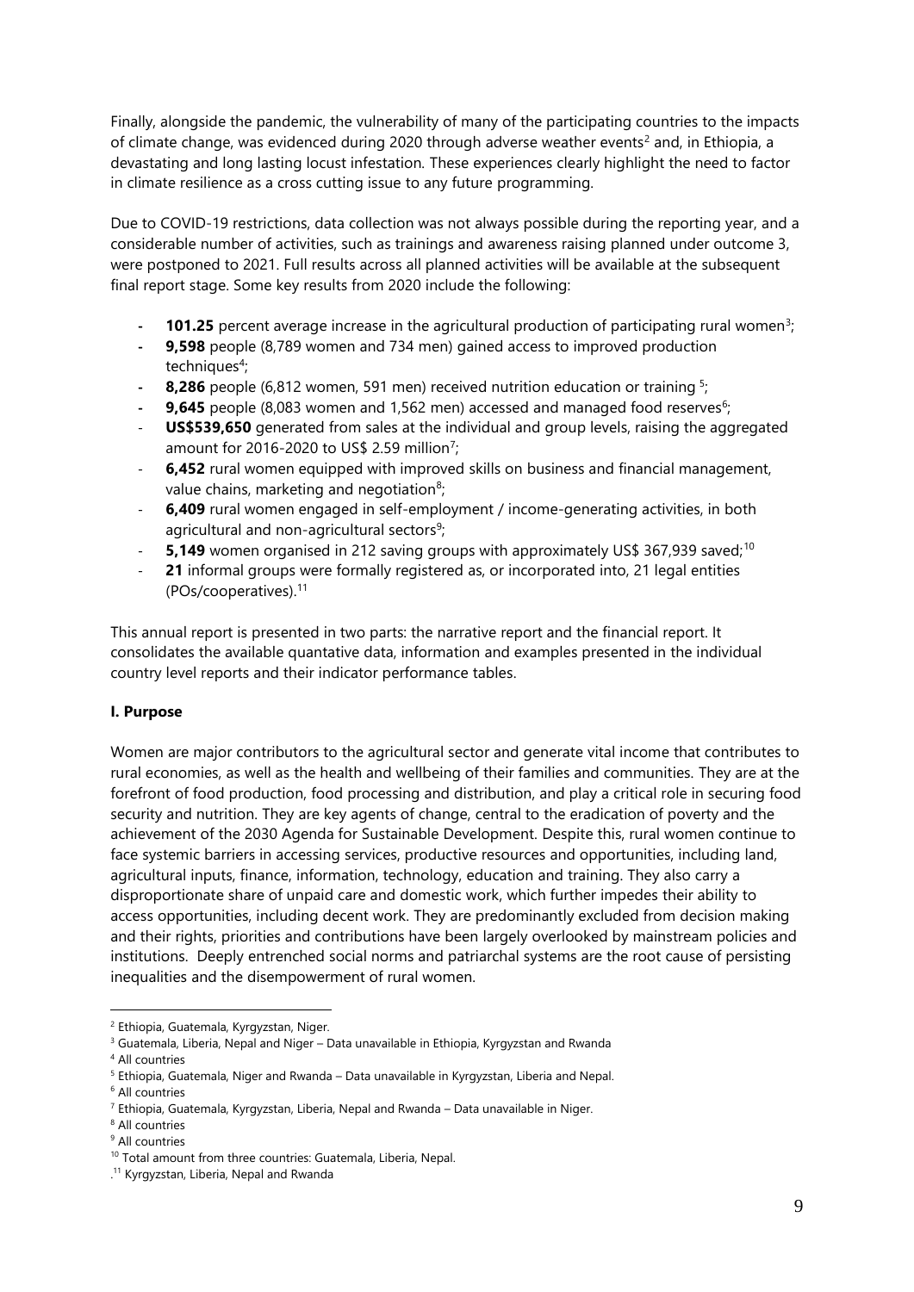Finally, alongside the pandemic, the vulnerability of many of the participating countries to the impacts of climate change, was evidenced during 2020 through adverse weather events<sup>2</sup> and, in Ethiopia, a devastating and long lasting locust infestation*.* These experiences clearly highlight the need to factor in climate resilience as a cross cutting issue to any future programming.

Due to COVID-19 restrictions, data collection was not always possible during the reporting year, and a considerable number of activities, such as trainings and awareness raising planned under outcome 3, were postponed to 2021. Full results across all planned activities will be available at the subsequent final report stage. Some key results from 2020 include the following:

- **101.25** percent average increase in the agricultural production of participating rural women<sup>3</sup>;
- **- 9,598** people (8,789 women and 734 men) gained access to improved production techniques<sup>4</sup>;
- **8,286** people (6,812 women, 591 men) received nutrition education or training <sup>5</sup>
- **9,645** people (8,083 women and 1,562 men) accessed and managed food reserves<sup>6</sup>;
- US\$539,650 generated from sales at the individual and group levels, raising the aggregated amount for 2016-2020 to US\$ 2.59 million<sup>7</sup>;
- **6,452** rural women equipped with improved skills on business and financial management, value chains, marketing and negotiation<sup>8</sup>;
- **6,409** rural women engaged in self-employment / income-generating activities, in both agricultural and non-agricultural sectors<sup>9</sup>;
- 5,149 women organised in 212 saving groups with approximately US\$ 367,939 saved;<sup>10</sup>
- 21 informal groups were formally registered as, or incorporated into, 21 legal entities (POs/cooperatives). 11

This annual report is presented in two parts: the narrative report and the financial report. It consolidates the available quantative data, information and examples presented in the individual country level reports and their indicator performance tables.

### <span id="page-8-0"></span>**I. Purpose**

Women are major contributors to the agricultural sector and generate vital income that contributes to rural economies, as well as the health and wellbeing of their families and communities. They are at the forefront of food production, food processing and distribution, and play a critical role in securing food security and nutrition. They are key agents of change, central to the eradication of poverty and the achievement of the 2030 Agenda for Sustainable Development. Despite this, rural women continue to face systemic barriers in accessing services, productive resources and opportunities, including land, agricultural inputs, finance, information, technology, education and training. They also carry a disproportionate share of unpaid care and domestic work, which further impedes their ability to access opportunities, including decent work. They are predominantly excluded from decision making and their rights, priorities and contributions have been largely overlooked by mainstream policies and institutions. Deeply entrenched social norms and patriarchal systems are the root cause of persisting inequalities and the disempowerment of rural women.

<sup>2</sup> Ethiopia, Guatemala, Kyrgyzstan, Niger.

<sup>&</sup>lt;sup>3</sup> Guatemala, Liberia, Nepal and Niger – Data unavailable in Ethiopia, Kyrgyzstan and Rwanda

<sup>4</sup> All countries

<sup>5</sup> Ethiopia, Guatemala, Niger and Rwanda – Data unavailable in Kyrgyzstan, Liberia and Nepal.

<sup>6</sup> All countries

<sup>7</sup> Ethiopia, Guatemala, Kyrgyzstan, Liberia, Nepal and Rwanda – Data unavailable in Niger.

<sup>8</sup> All countries

<sup>&</sup>lt;sup>9</sup> All countries

<sup>10</sup> Total amount from three countries: Guatemala, Liberia, Nepal.

<sup>.</sup> <sup>11</sup> Kyrgyzstan, Liberia, Nepal and Rwanda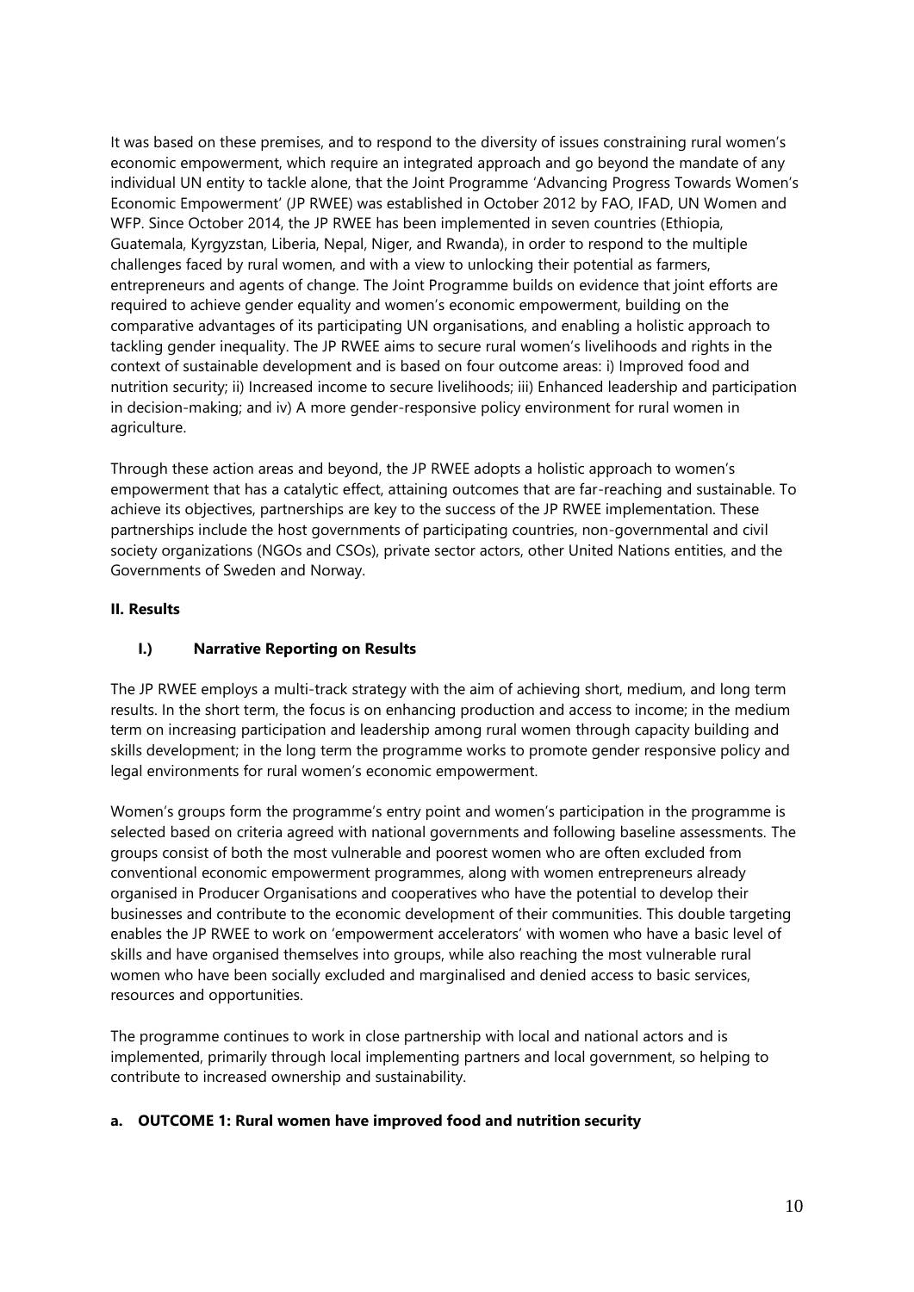It was based on these premises, and to respond to the diversity of issues constraining rural women's economic empowerment, which require an integrated approach and go beyond the mandate of any individual UN entity to tackle alone, that the Joint Programme 'Advancing Progress Towards Women's Economic Empowerment' (JP RWEE) was established in October 2012 by FAO, IFAD, UN Women and WFP. Since October 2014, the JP RWEE has been implemented in seven countries (Ethiopia, Guatemala, Kyrgyzstan, Liberia, Nepal, Niger, and Rwanda), in order to respond to the multiple challenges faced by rural women, and with a view to unlocking their potential as farmers, entrepreneurs and agents of change. The Joint Programme builds on evidence that joint efforts are required to achieve gender equality and women's economic empowerment, building on the comparative advantages of its participating UN organisations, and enabling a holistic approach to tackling gender inequality. The JP RWEE aims to secure rural women's livelihoods and rights in the context of sustainable development and is based on four outcome areas: i) Improved food and nutrition security; ii) Increased income to secure livelihoods; iii) Enhanced leadership and participation in decision-making; and iv) A more gender-responsive policy environment for rural women in agriculture.

Through these action areas and beyond, the JP RWEE adopts a holistic approach to women's empowerment that has a catalytic effect, attaining outcomes that are far-reaching and sustainable. To achieve its objectives, partnerships are key to the success of the JP RWEE implementation. These partnerships include the host governments of participating countries, non-governmental and civil society organizations (NGOs and CSOs), private sector actors, other United Nations entities, and the Governments of Sweden and Norway.

### <span id="page-9-1"></span><span id="page-9-0"></span>**II. Results**

### **I.) Narrative Reporting on Results**

The JP RWEE employs a multi-track strategy with the aim of achieving short, medium, and long term results. In the short term, the focus is on enhancing production and access to income; in the medium term on increasing participation and leadership among rural women through capacity building and skills development; in the long term the programme works to promote gender responsive policy and legal environments for rural women's economic empowerment.

Women's groups form the programme's entry point and women's participation in the programme is selected based on criteria agreed with national governments and following baseline assessments. The groups consist of both the most vulnerable and poorest women who are often excluded from conventional economic empowerment programmes, along with women entrepreneurs already organised in Producer Organisations and cooperatives who have the potential to develop their businesses and contribute to the economic development of their communities. This double targeting enables the JP RWEE to work on 'empowerment accelerators' with women who have a basic level of skills and have organised themselves into groups, while also reaching the most vulnerable rural women who have been socially excluded and marginalised and denied access to basic services, resources and opportunities.

The programme continues to work in close partnership with local and national actors and is implemented, primarily through local implementing partners and local government, so helping to contribute to increased ownership and sustainability.

#### <span id="page-9-2"></span>**a. OUTCOME 1: Rural women have improved food and nutrition security**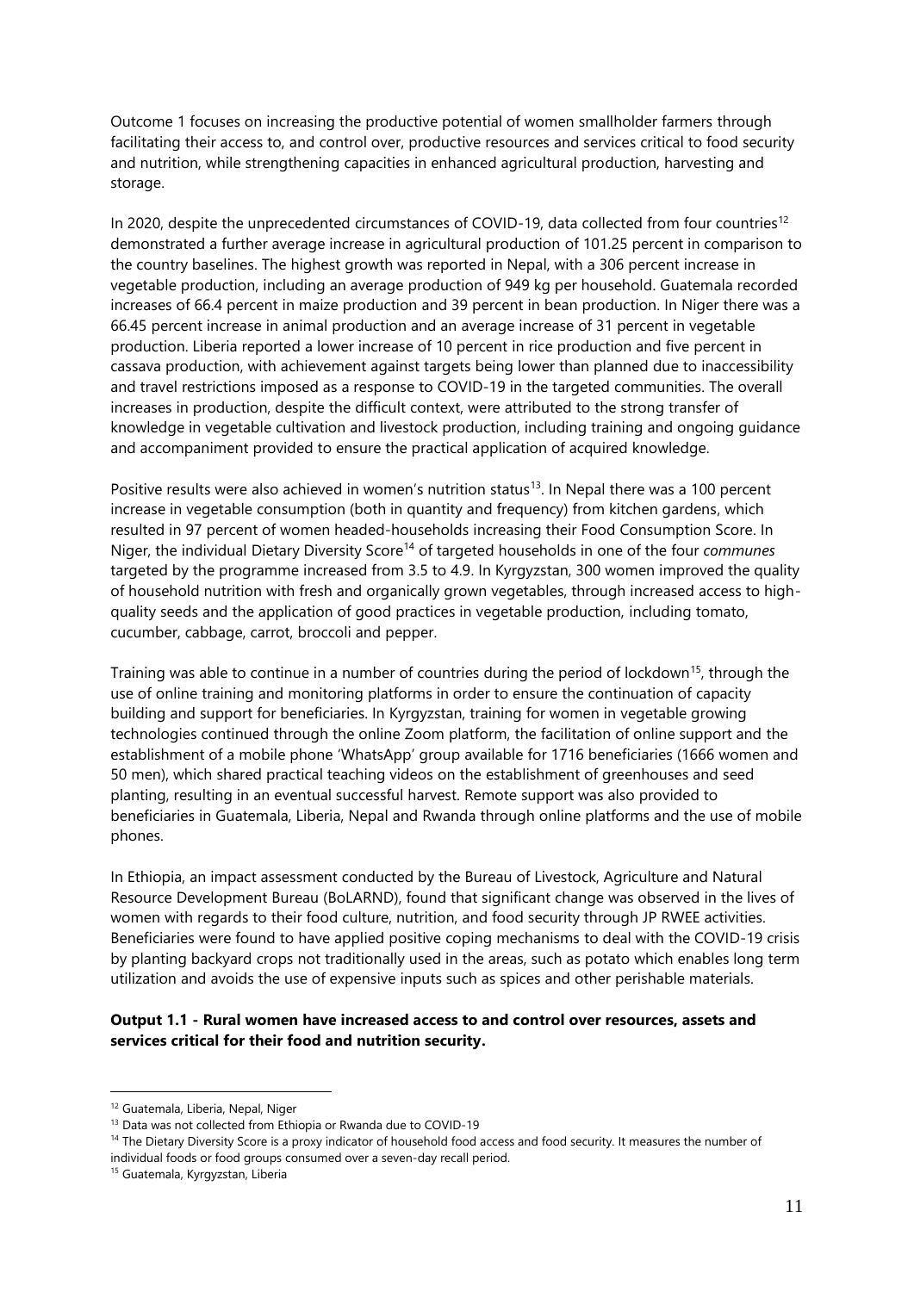Outcome 1 focuses on increasing the productive potential of women smallholder farmers through facilitating their access to, and control over, productive resources and services critical to food security and nutrition, while strengthening capacities in enhanced agricultural production, harvesting and storage.

In 2020, despite the unprecedented circumstances of COVID-19, data collected from four countries<sup>12</sup> demonstrated a further average increase in agricultural production of 101.25 percent in comparison to the country baselines. The highest growth was reported in Nepal, with a 306 percent increase in vegetable production, including an average production of 949 kg per household. Guatemala recorded increases of 66.4 percent in maize production and 39 percent in bean production. In Niger there was a 66.45 percent increase in animal production and an average increase of 31 percent in vegetable production. Liberia reported a lower increase of 10 percent in rice production and five percent in cassava production, with achievement against targets being lower than planned due to inaccessibility and travel restrictions imposed as a response to COVID-19 in the targeted communities. The overall increases in production, despite the difficult context, were attributed to the strong transfer of knowledge in vegetable cultivation and livestock production, including training and ongoing guidance and accompaniment provided to ensure the practical application of acquired knowledge.

Positive results were also achieved in women's nutrition status<sup>13</sup>. In Nepal there was a 100 percent increase in vegetable consumption (both in quantity and frequency) from kitchen gardens, which resulted in 97 percent of women headed-households increasing their Food Consumption Score. In Niger, the individual Dietary Diversity Score<sup>14</sup> of targeted households in one of the four *communes* targeted by the programme increased from 3.5 to 4.9. In Kyrgyzstan, 300 women improved the quality of household nutrition with fresh and organically grown vegetables, through increased access to highquality seeds and the application of good practices in vegetable production, including tomato, cucumber, cabbage, carrot, broccoli and pepper.

Training was able to continue in a number of countries during the period of lockdown<sup>15</sup>, through the use of online training and monitoring platforms in order to ensure the continuation of capacity building and support for beneficiaries. In Kyrgyzstan, training for women in vegetable growing technologies continued through the online Zoom platform, the facilitation of online support and the establishment of a mobile phone 'WhatsApp' group available for 1716 beneficiaries (1666 women and 50 men), which shared practical teaching videos on the establishment of greenhouses and seed planting, resulting in an eventual successful harvest. Remote support was also provided to beneficiaries in Guatemala, Liberia, Nepal and Rwanda through online platforms and the use of mobile phones.

In Ethiopia, an impact assessment conducted by the Bureau of Livestock, Agriculture and Natural Resource Development Bureau (BoLARND), found that significant change was observed in the lives of women with regards to their food culture, nutrition, and food security through JP RWEE activities. Beneficiaries were found to have applied positive coping mechanisms to deal with the COVID-19 crisis by planting backyard crops not traditionally used in the areas, such as potato which enables long term utilization and avoids the use of expensive inputs such as spices and other perishable materials.

#### **Output 1.1 - Rural women have increased access to and control over resources, assets and services critical for their food and nutrition security.**

<sup>12</sup> Guatemala, Liberia, Nepal, Niger

<sup>13</sup> Data was not collected from Ethiopia or Rwanda due to COVID-19

<sup>&</sup>lt;sup>14</sup> The Dietary Diversity Score is a proxy indicator of household food access and food security. It measures the number of individual foods or food groups consumed over a seven-day recall period.

<sup>15</sup> Guatemala, Kyrgyzstan, Liberia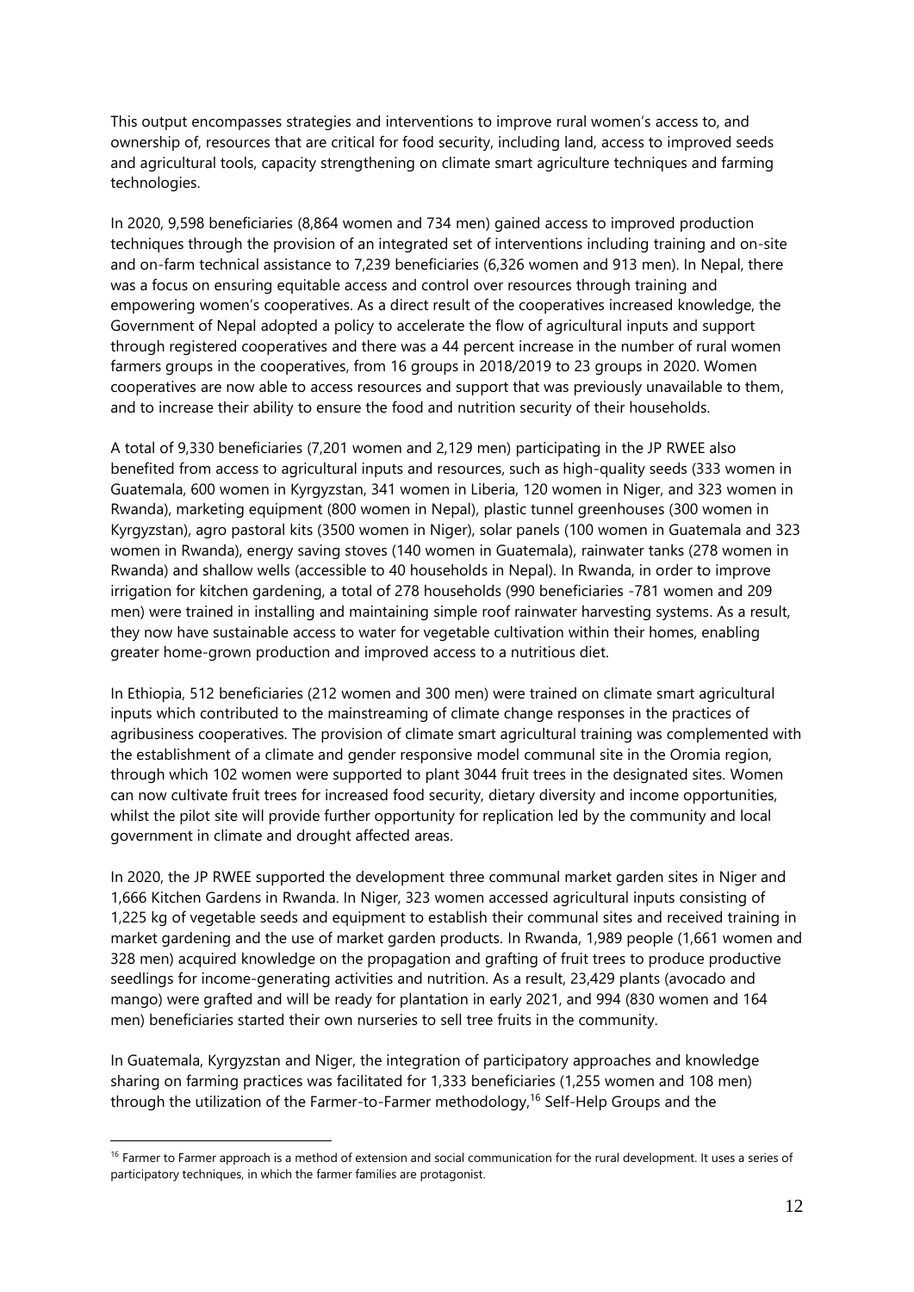This output encompasses strategies and interventions to improve rural women's access to, and ownership of, resources that are critical for food security, including land, access to improved seeds and agricultural tools, capacity strengthening on climate smart agriculture techniques and farming technologies.

In 2020, 9,598 beneficiaries (8,864 women and 734 men) gained access to improved production techniques through the provision of an integrated set of interventions including training and on-site and on-farm technical assistance to 7,239 beneficiaries (6,326 women and 913 men). In Nepal, there was a focus on ensuring equitable access and control over resources through training and empowering women's cooperatives. As a direct result of the cooperatives increased knowledge, the Government of Nepal adopted a policy to accelerate the flow of agricultural inputs and support through registered cooperatives and there was a 44 percent increase in the number of rural women farmers groups in the cooperatives, from 16 groups in 2018/2019 to 23 groups in 2020. Women cooperatives are now able to access resources and support that was previously unavailable to them, and to increase their ability to ensure the food and nutrition security of their households.

A total of 9,330 beneficiaries (7,201 women and 2,129 men) participating in the JP RWEE also benefited from access to agricultural inputs and resources, such as high-quality seeds (333 women in Guatemala, 600 women in Kyrgyzstan, 341 women in Liberia, 120 women in Niger, and 323 women in Rwanda), marketing equipment (800 women in Nepal), plastic tunnel greenhouses (300 women in Kyrgyzstan), agro pastoral kits (3500 women in Niger), solar panels (100 women in Guatemala and 323 women in Rwanda), energy saving stoves (140 women in Guatemala), rainwater tanks (278 women in Rwanda) and shallow wells (accessible to 40 households in Nepal). In Rwanda, in order to improve irrigation for kitchen gardening, a total of 278 households (990 beneficiaries -781 women and 209 men) were trained in installing and maintaining simple roof rainwater harvesting systems. As a result, they now have sustainable access to water for vegetable cultivation within their homes, enabling greater home-grown production and improved access to a nutritious diet.

In Ethiopia, 512 beneficiaries (212 women and 300 men) were trained on climate smart agricultural inputs which contributed to the mainstreaming of climate change responses in the practices of agribusiness cooperatives. The provision of climate smart agricultural training was complemented with the establishment of a climate and gender responsive model communal site in the Oromia region, through which 102 women were supported to plant 3044 fruit trees in the designated sites. Women can now cultivate fruit trees for increased food security, dietary diversity and income opportunities, whilst the pilot site will provide further opportunity for replication led by the community and local government in climate and drought affected areas.

In 2020, the JP RWEE supported the development three communal market garden sites in Niger and 1,666 Kitchen Gardens in Rwanda. In Niger, 323 women accessed agricultural inputs consisting of 1,225 kg of vegetable seeds and equipment to establish their communal sites and received training in market gardening and the use of market garden products. In Rwanda, 1,989 people (1,661 women and 328 men) acquired knowledge on the propagation and grafting of fruit trees to produce productive seedlings for income-generating activities and nutrition. As a result, 23,429 plants (avocado and mango) were grafted and will be ready for plantation in early 2021, and 994 (830 women and 164 men) beneficiaries started their own nurseries to sell tree fruits in the community.

In Guatemala, Kyrgyzstan and Niger, the integration of participatory approaches and knowledge sharing on farming practices was facilitated for 1,333 beneficiaries (1,255 women and 108 men) through the utilization of the Farmer-to-Farmer methodology, <sup>16</sup> Self-Help Groups and the

<sup>&</sup>lt;sup>16</sup> Farmer to Farmer approach is a method of extension and social communication for the rural development. It uses a series of participatory techniques, in which the farmer families are protagonist.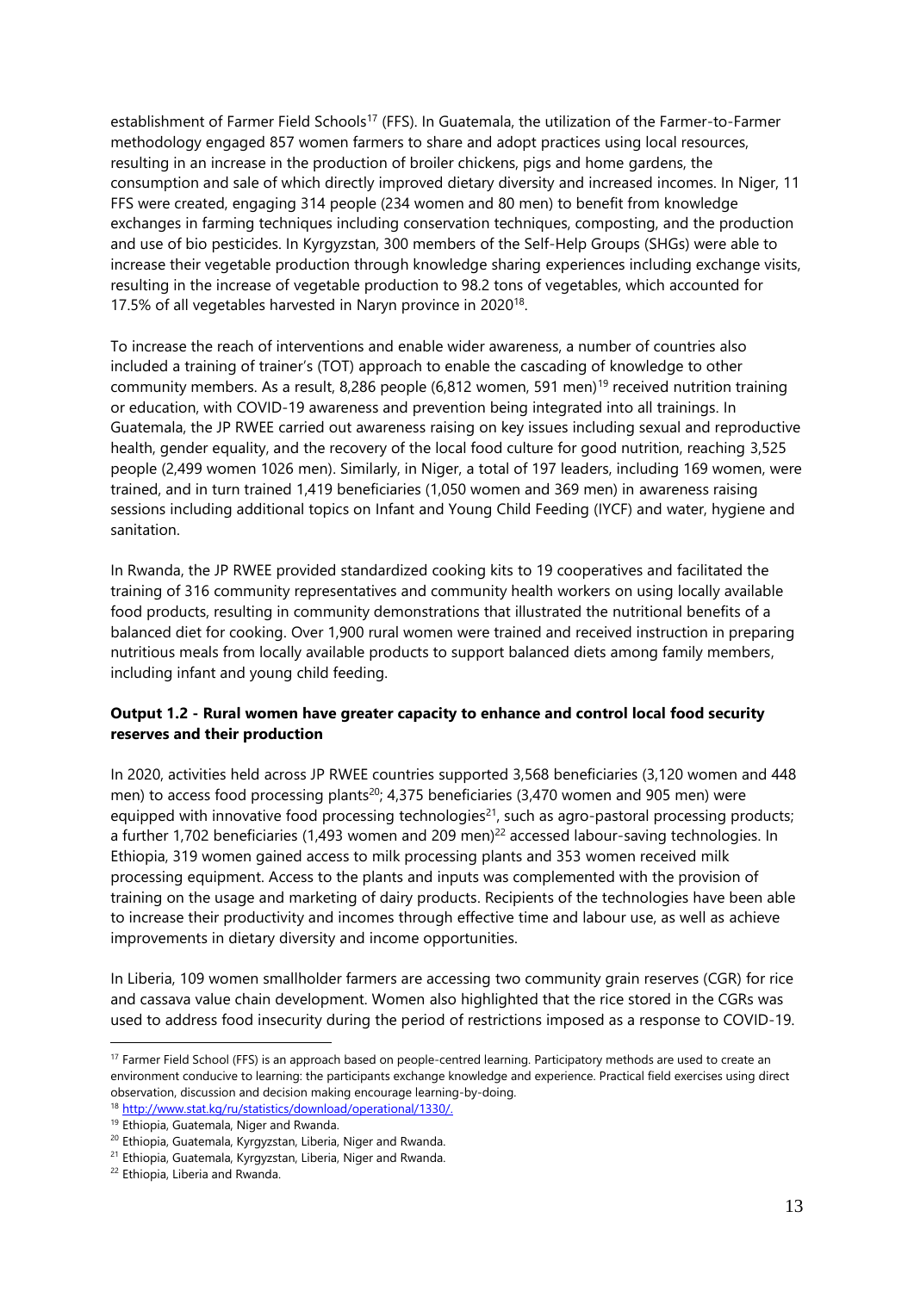establishment of Farmer Field Schools<sup>17</sup> (FFS). In Guatemala, the utilization of the Farmer-to-Farmer methodology engaged 857 women farmers to share and adopt practices using local resources, resulting in an increase in the production of broiler chickens, pigs and home gardens, the consumption and sale of which directly improved dietary diversity and increased incomes. In Niger, 11 FFS were created, engaging 314 people (234 women and 80 men) to benefit from knowledge exchanges in farming techniques including conservation techniques, composting, and the production and use of bio pesticides. In Kyrgyzstan, 300 members of the Self-Help Groups (SHGs) were able to increase their vegetable production through knowledge sharing experiences including exchange visits, resulting in the increase of vegetable production to 98.2 tons of vegetables, which accounted for 17.5% of all vegetables harvested in Naryn province in 2020<sup>18</sup>.

To increase the reach of interventions and enable wider awareness, a number of countries also included a training of trainer's (TOT) approach to enable the cascading of knowledge to other community members. As a result, 8,286 people (6,812 women, 591 men)<sup>19</sup> received nutrition training or education, with COVID-19 awareness and prevention being integrated into all trainings. In Guatemala, the JP RWEE carried out awareness raising on key issues including sexual and reproductive health, gender equality, and the recovery of the local food culture for good nutrition, reaching 3,525 people (2,499 women 1026 men). Similarly, in Niger, a total of 197 leaders, including 169 women, were trained, and in turn trained 1,419 beneficiaries (1,050 women and 369 men) in awareness raising sessions including additional topics on Infant and Young Child Feeding (IYCF) and water, hygiene and sanitation.

In Rwanda, the JP RWEE provided standardized cooking kits to 19 cooperatives and facilitated the training of 316 community representatives and community health workers on using locally available food products, resulting in community demonstrations that illustrated the nutritional benefits of a balanced diet for cooking. Over 1,900 rural women were trained and received instruction in preparing nutritious meals from locally available products to support balanced diets among family members, including infant and young child feeding.

### **Output 1.2 - Rural women have greater capacity to enhance and control local food security reserves and their production**

In 2020, activities held across JP RWEE countries supported 3,568 beneficiaries (3,120 women and 448 men) to access food processing plants<sup>20</sup>; 4,375 beneficiaries (3,470 women and 905 men) were equipped with innovative food processing technologies<sup>21</sup>, such as agro-pastoral processing products; a further 1,702 beneficiaries (1,493 women and 209 men) $^{22}$  accessed labour-saving technologies. In Ethiopia, 319 women gained access to milk processing plants and 353 women received milk processing equipment. Access to the plants and inputs was complemented with the provision of training on the usage and marketing of dairy products. Recipients of the technologies have been able to increase their productivity and incomes through effective time and labour use, as well as achieve improvements in dietary diversity and income opportunities.

In Liberia, 109 women smallholder farmers are accessing two community grain reserves (CGR) for rice and cassava value chain development. Women also highlighted that the rice stored in the CGRs was used to address food insecurity during the period of restrictions imposed as a response to COVID-19.

<sup>&</sup>lt;sup>17</sup> Farmer Field School (FFS) is an approach based on people-centred learning. Participatory methods are used to create an environment conducive to learning: the participants exchange knowledge and experience. Practical field exercises using direct observation, discussion and decision making encourage learning-by-doing.

<sup>18</sup> [http://www.stat.kg/ru/statistics/download/operational/1330/.](http://www.stat.kg/ru/statistics/download/operational/1330/)

<sup>&</sup>lt;sup>19</sup> Ethiopia, Guatemala, Niger and Rwanda.

<sup>20</sup> Ethiopia, Guatemala, Kyrgyzstan, Liberia, Niger and Rwanda.

<sup>&</sup>lt;sup>21</sup> Ethiopia, Guatemala, Kyrgyzstan, Liberia, Niger and Rwanda.

<sup>&</sup>lt;sup>22</sup> Ethiopia, Liberia and Rwanda.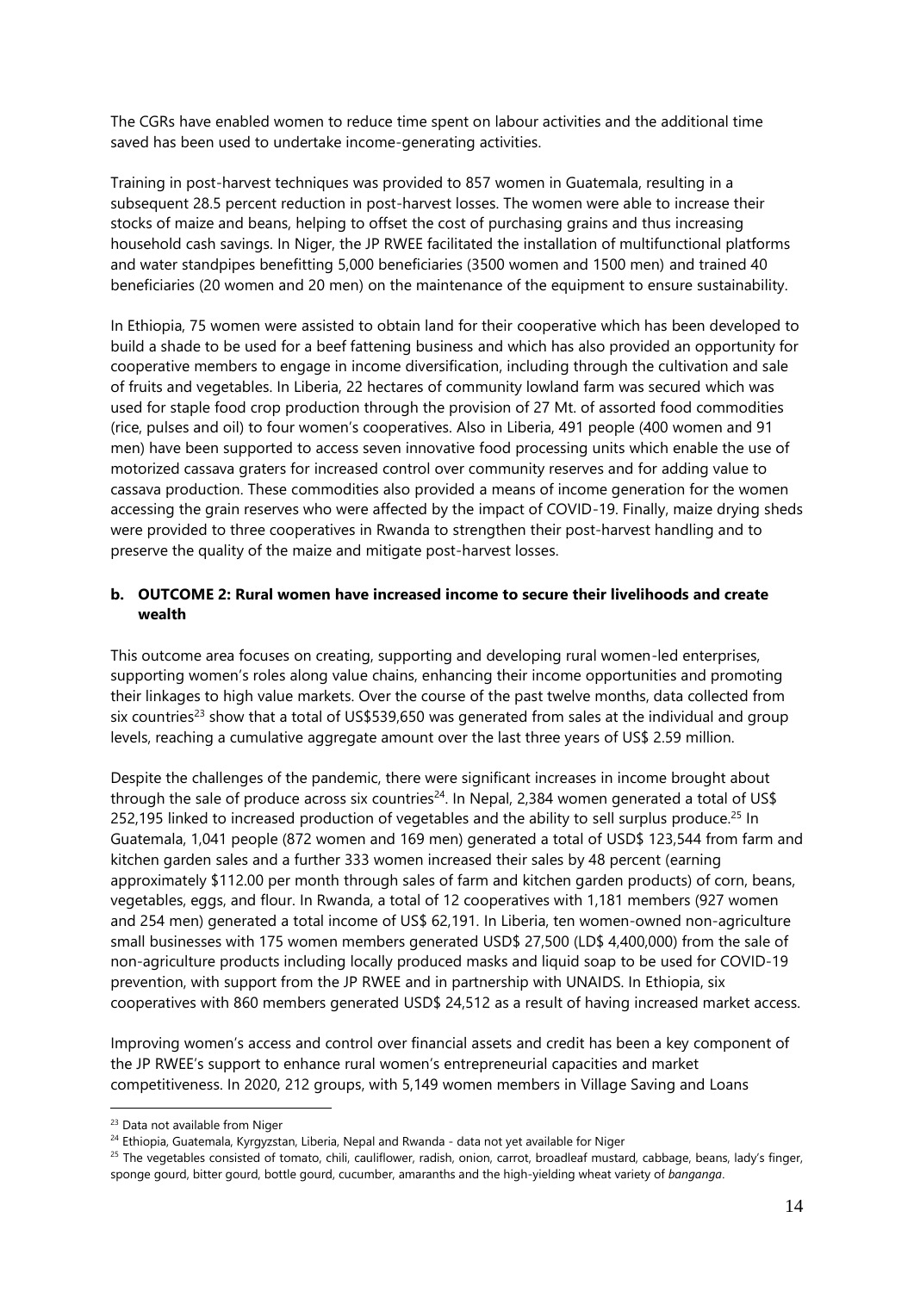The CGRs have enabled women to reduce time spent on labour activities and the additional time saved has been used to undertake income-generating activities.

Training in post-harvest techniques was provided to 857 women in Guatemala, resulting in a subsequent 28.5 percent reduction in post-harvest losses. The women were able to increase their stocks of maize and beans, helping to offset the cost of purchasing grains and thus increasing household cash savings. In Niger, the JP RWEE facilitated the installation of multifunctional platforms and water standpipes benefitting 5,000 beneficiaries (3500 women and 1500 men) and trained 40 beneficiaries (20 women and 20 men) on the maintenance of the equipment to ensure sustainability.

In Ethiopia, 75 women were assisted to obtain land for their cooperative which has been developed to build a shade to be used for a beef fattening business and which has also provided an opportunity for cooperative members to engage in income diversification, including through the cultivation and sale of fruits and vegetables. In Liberia, 22 hectares of community lowland farm was secured which was used for staple food crop production through the provision of 27 Mt. of assorted food commodities (rice, pulses and oil) to four women's cooperatives. Also in Liberia, 491 people (400 women and 91 men) have been supported to access seven innovative food processing units which enable the use of motorized cassava graters for increased control over community reserves and for adding value to cassava production. These commodities also provided a means of income generation for the women accessing the grain reserves who were affected by the impact of COVID-19. Finally, maize drying sheds were provided to three cooperatives in Rwanda to strengthen their post-harvest handling and to preserve the quality of the maize and mitigate post-harvest losses.

### <span id="page-13-0"></span>**b. OUTCOME 2: Rural women have increased income to secure their livelihoods and create wealth**

This outcome area focuses on creating, supporting and developing rural women-led enterprises, supporting women's roles along value chains, enhancing their income opportunities and promoting their linkages to high value markets. Over the course of the past twelve months, data collected from six countries<sup>23</sup> show that a total of US\$539,650 was generated from sales at the individual and group levels, reaching a cumulative aggregate amount over the last three years of US\$ 2.59 million.

Despite the challenges of the pandemic, there were significant increases in income brought about through the sale of produce across six countries<sup>24</sup>. In Nepal, 2,384 women generated a total of US\$ 252,195 linked to increased production of vegetables and the ability to sell surplus produce.<sup>25</sup> In Guatemala, 1,041 people (872 women and 169 men) generated a total of USD\$ 123,544 from farm and kitchen garden sales and a further 333 women increased their sales by 48 percent (earning approximately \$112.00 per month through sales of farm and kitchen garden products) of corn, beans, vegetables, eggs, and flour. In Rwanda, a total of 12 cooperatives with 1,181 members (927 women and 254 men) generated a total income of US\$ 62,191. In Liberia, ten women-owned non-agriculture small businesses with 175 women members generated USD\$ 27,500 (LD\$ 4,400,000) from the sale of non-agriculture products including locally produced masks and liquid soap to be used for COVID-19 prevention, with support from the JP RWEE and in partnership with UNAIDS. In Ethiopia, six cooperatives with 860 members generated USD\$ 24,512 as a result of having increased market access.

Improving women's access and control over financial assets and credit has been a key component of the JP RWEE's support to enhance rural women's entrepreneurial capacities and market competitiveness. In 2020, 212 groups, with 5,149 women members in Village Saving and Loans

<sup>&</sup>lt;sup>23</sup> Data not available from Niger

<sup>&</sup>lt;sup>24</sup> Ethiopia, Guatemala, Kyrgyzstan, Liberia, Nepal and Rwanda - data not yet available for Niger

<sup>&</sup>lt;sup>25</sup> The vegetables consisted of tomato, chili, cauliflower, radish, onion, carrot, broadleaf mustard, cabbage, beans, lady's finger, sponge gourd, bitter gourd, bottle gourd, cucumber, amaranths and the high-yielding wheat variety of *banganga*.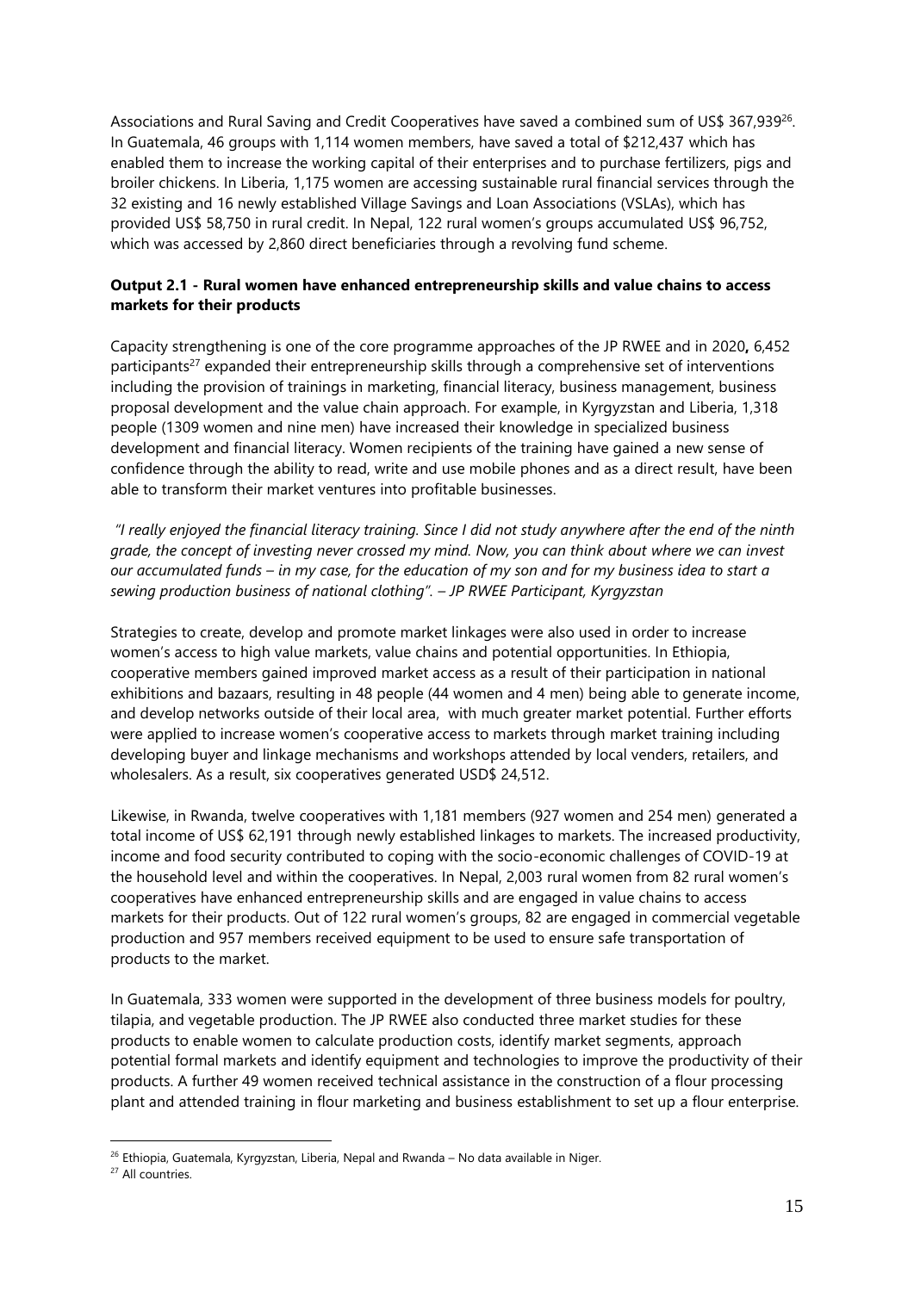Associations and Rural Saving and Credit Cooperatives have saved a combined sum of US\$ 367,939<sup>26</sup>. In Guatemala, 46 groups with 1,114 women members, have saved a total of \$212,437 which has enabled them to increase the working capital of their enterprises and to purchase fertilizers, pigs and broiler chickens. In Liberia, 1,175 women are accessing sustainable rural financial services through the 32 existing and 16 newly established Village Savings and Loan Associations (VSLAs), which has provided US\$ 58,750 in rural credit. In Nepal, 122 rural women's groups accumulated US\$ 96,752, which was accessed by 2,860 direct beneficiaries through a revolving fund scheme.

### **Output 2.1 - Rural women have enhanced entrepreneurship skills and value chains to access markets for their products**

Capacity strengthening is one of the core programme approaches of the JP RWEE and in 2020**,** 6,452 participants<sup>27</sup> expanded their entrepreneurship skills through a comprehensive set of interventions including the provision of trainings in marketing, financial literacy, business management, business proposal development and the value chain approach. For example, in Kyrgyzstan and Liberia, 1,318 people (1309 women and nine men) have increased their knowledge in specialized business development and financial literacy. Women recipients of the training have gained a new sense of confidence through the ability to read, write and use mobile phones and as a direct result, have been able to transform their market ventures into profitable businesses.

*"I really enjoyed the financial literacy training. Since I did not study anywhere after the end of the ninth grade, the concept of investing never crossed my mind. Now, you can think about where we can invest our accumulated funds – in my case, for the education of my son and for my business idea to start a sewing production business of national clothing". – JP RWEE Participant, Kyrgyzstan* 

Strategies to create, develop and promote market linkages were also used in order to increase women's access to high value markets, value chains and potential opportunities. In Ethiopia, cooperative members gained improved market access as a result of their participation in national exhibitions and bazaars, resulting in 48 people (44 women and 4 men) being able to generate income, and develop networks outside of their local area, with much greater market potential. Further efforts were applied to increase women's cooperative access to markets through market training including developing buyer and linkage mechanisms and workshops attended by local venders, retailers, and wholesalers. As a result, six cooperatives generated USD\$ 24,512.

Likewise, in Rwanda, twelve cooperatives with 1,181 members (927 women and 254 men) generated a total income of US\$ 62,191 through newly established linkages to markets. The increased productivity, income and food security contributed to coping with the socio-economic challenges of COVID-19 at the household level and within the cooperatives. In Nepal, 2,003 rural women from 82 rural women's cooperatives have enhanced entrepreneurship skills and are engaged in value chains to access markets for their products. Out of 122 rural women's groups, 82 are engaged in commercial vegetable production and 957 members received equipment to be used to ensure safe transportation of products to the market.

In Guatemala, 333 women were supported in the development of three business models for poultry, tilapia, and vegetable production. The JP RWEE also conducted three market studies for these products to enable women to calculate production costs, identify market segments, approach potential formal markets and identify equipment and technologies to improve the productivity of their products. A further 49 women received technical assistance in the construction of a flour processing plant and attended training in flour marketing and business establishment to set up a flour enterprise.

<sup>&</sup>lt;sup>26</sup> Ethiopia, Guatemala, Kyrgyzstan, Liberia, Nepal and Rwanda – No data available in Niger.

<sup>&</sup>lt;sup>27</sup> All countries.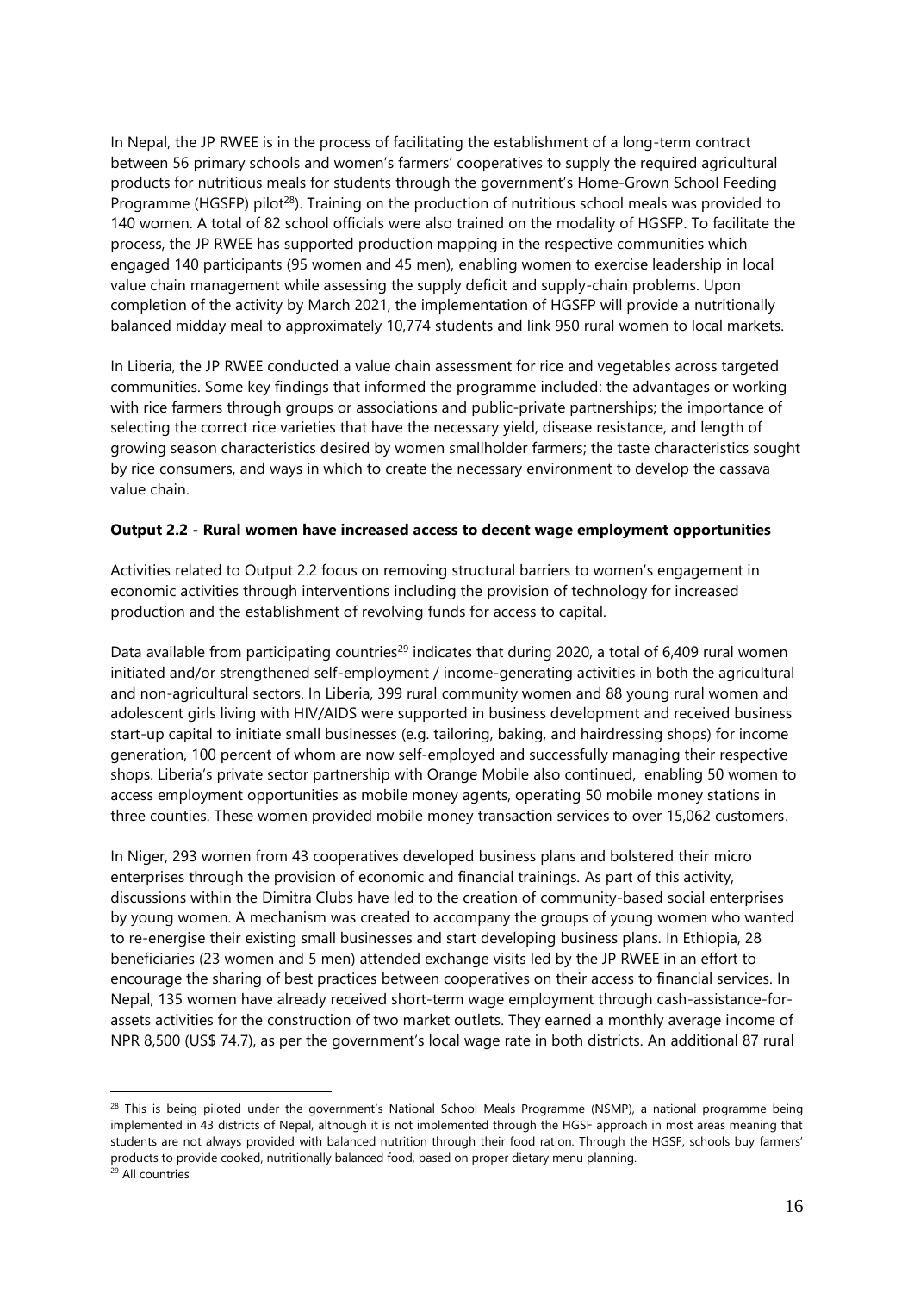In Nepal, the JP RWEE is in the process of facilitating the establishment of a long-term contract between 56 primary schools and women's farmers' cooperatives to supply the required agricultural products for nutritious meals for students through the government's Home-Grown School Feeding Programme (HGSFP) pilot<sup>28</sup>). Training on the production of nutritious school meals was provided to 140 women. A total of 82 school officials were also trained on the modality of HGSFP. To facilitate the process, the JP RWEE has supported production mapping in the respective communities which engaged 140 participants (95 women and 45 men), enabling women to exercise leadership in local value chain management while assessing the supply deficit and supply-chain problems. Upon completion of the activity by March 2021, the implementation of HGSFP will provide a nutritionally balanced midday meal to approximately 10,774 students and link 950 rural women to local markets.

In Liberia, the JP RWEE conducted a value chain assessment for rice and vegetables across targeted communities. Some key findings that informed the programme included: the advantages or working with rice farmers through groups or associations and public-private partnerships; the importance of selecting the correct rice varieties that have the necessary yield, disease resistance, and length of growing season characteristics desired by women smallholder farmers; the taste characteristics sought by rice consumers, and ways in which to create the necessary environment to develop the cassava value chain.

#### **Output 2.2 - Rural women have increased access to decent wage employment opportunities**

Activities related to Output 2.2 focus on removing structural barriers to women's engagement in economic activities through interventions including the provision of technology for increased production and the establishment of revolving funds for access to capital.

Data available from participating countries<sup>29</sup> indicates that during 2020, a total of 6,409 rural women initiated and/or strengthened self-employment / income-generating activities in both the agricultural and non-agricultural sectors. In Liberia, 399 rural community women and 88 young rural women and adolescent girls living with HIV/AIDS were supported in business development and received business start-up capital to initiate small businesses (e.g. tailoring, baking, and hairdressing shops) for income generation, 100 percent of whom are now self-employed and successfully managing their respective shops. Liberia's private sector partnership with Orange Mobile also continued, enabling 50 women to access employment opportunities as mobile money agents, operating 50 mobile money stations in three counties. These women provided mobile money transaction services to over 15,062 customers.

In Niger, 293 women from 43 cooperatives developed business plans and bolstered their micro enterprises through the provision of economic and financial trainings*.* As part of this activity, discussions within the Dimitra Clubs have led to the creation of community-based social enterprises by young women. A mechanism was created to accompany the groups of young women who wanted to re-energise their existing small businesses and start developing business plans. In Ethiopia, 28 beneficiaries (23 women and 5 men) attended exchange visits led by the JP RWEE in an effort to encourage the sharing of best practices between cooperatives on their access to financial services. In Nepal, 135 women have already received short-term wage employment through cash-assistance-forassets activities for the construction of two market outlets. They earned a monthly average income of NPR 8,500 (US\$ 74.7), as per the government's local wage rate in both districts. An additional 87 rural

<sup>&</sup>lt;sup>28</sup> This is being piloted under the government's National School Meals Programme (NSMP), a national programme being implemented in 43 districts of Nepal, although it is not implemented through the HGSF approach in most areas meaning that students are not always provided with balanced nutrition through their food ration. Through the HGSF, schools buy farmers' products to provide cooked, nutritionally balanced food, based on proper dietary menu planning.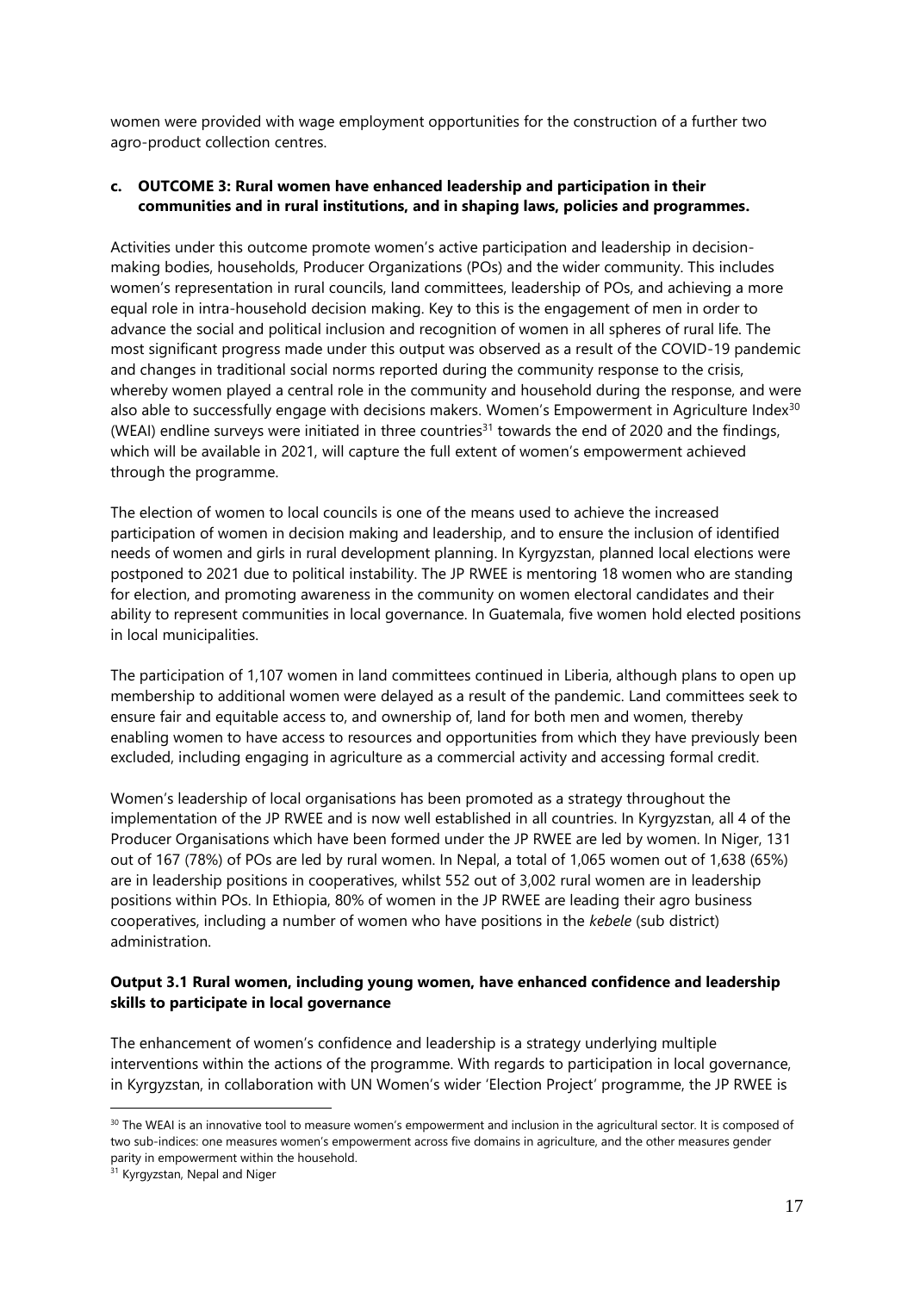women were provided with wage employment opportunities for the construction of a further two agro-product collection centres.

### <span id="page-16-0"></span>**c. OUTCOME 3: Rural women have enhanced leadership and participation in their communities and in rural institutions, and in shaping laws, policies and programmes.**

Activities under this outcome promote women's active participation and leadership in decisionmaking bodies, households, Producer Organizations (POs) and the wider community. This includes women's representation in rural councils, land committees, leadership of POs, and achieving a more equal role in intra-household decision making. Key to this is the engagement of men in order to advance the social and political inclusion and recognition of women in all spheres of rural life. The most significant progress made under this output was observed as a result of the COVID-19 pandemic and changes in traditional social norms reported during the community response to the crisis, whereby women played a central role in the community and household during the response, and were also able to successfully engage with decisions makers. Women's Empowerment in Agriculture Index<sup>30</sup> (WEAI) endline surveys were initiated in three countries<sup>31</sup> towards the end of 2020 and the findings, which will be available in 2021, will capture the full extent of women's empowerment achieved through the programme.

The election of women to local councils is one of the means used to achieve the increased participation of women in decision making and leadership, and to ensure the inclusion of identified needs of women and girls in rural development planning. In Kyrgyzstan, planned local elections were postponed to 2021 due to political instability. The JP RWEE is mentoring 18 women who are standing for election, and promoting awareness in the community on women electoral candidates and their ability to represent communities in local governance. In Guatemala, five women hold elected positions in local municipalities.

The participation of 1,107 women in land committees continued in Liberia, although plans to open up membership to additional women were delayed as a result of the pandemic. Land committees seek to ensure fair and equitable access to, and ownership of, land for both men and women, thereby enabling women to have access to resources and opportunities from which they have previously been excluded, including engaging in agriculture as a commercial activity and accessing formal credit.

Women's leadership of local organisations has been promoted as a strategy throughout the implementation of the JP RWEE and is now well established in all countries. In Kyrgyzstan, all 4 of the Producer Organisations which have been formed under the JP RWEE are led by women. In Niger, 131 out of 167 (78%) of POs are led by rural women. In Nepal, a total of 1,065 women out of 1,638 (65%) are in leadership positions in cooperatives, whilst 552 out of 3,002 rural women are in leadership positions within POs. In Ethiopia, 80% of women in the JP RWEE are leading their agro business cooperatives, including a number of women who have positions in the *kebele* (sub district) administration.

### **Output 3.1 Rural women, including young women, have enhanced confidence and leadership skills to participate in local governance**

The enhancement of women's confidence and leadership is a strategy underlying multiple interventions within the actions of the programme. With regards to participation in local governance, in Kyrgyzstan, in collaboration with UN Women's wider 'Election Project' programme, the JP RWEE is

<sup>&</sup>lt;sup>30</sup> The WEAI is an innovative tool to measure women's empowerment and inclusion in the agricultural sector. It is composed of two sub-indices: one measures women's empowerment across five domains in agriculture, and the other measures gender parity in empowerment within the household.

<sup>&</sup>lt;sup>31</sup> Kyrgyzstan, Nepal and Niger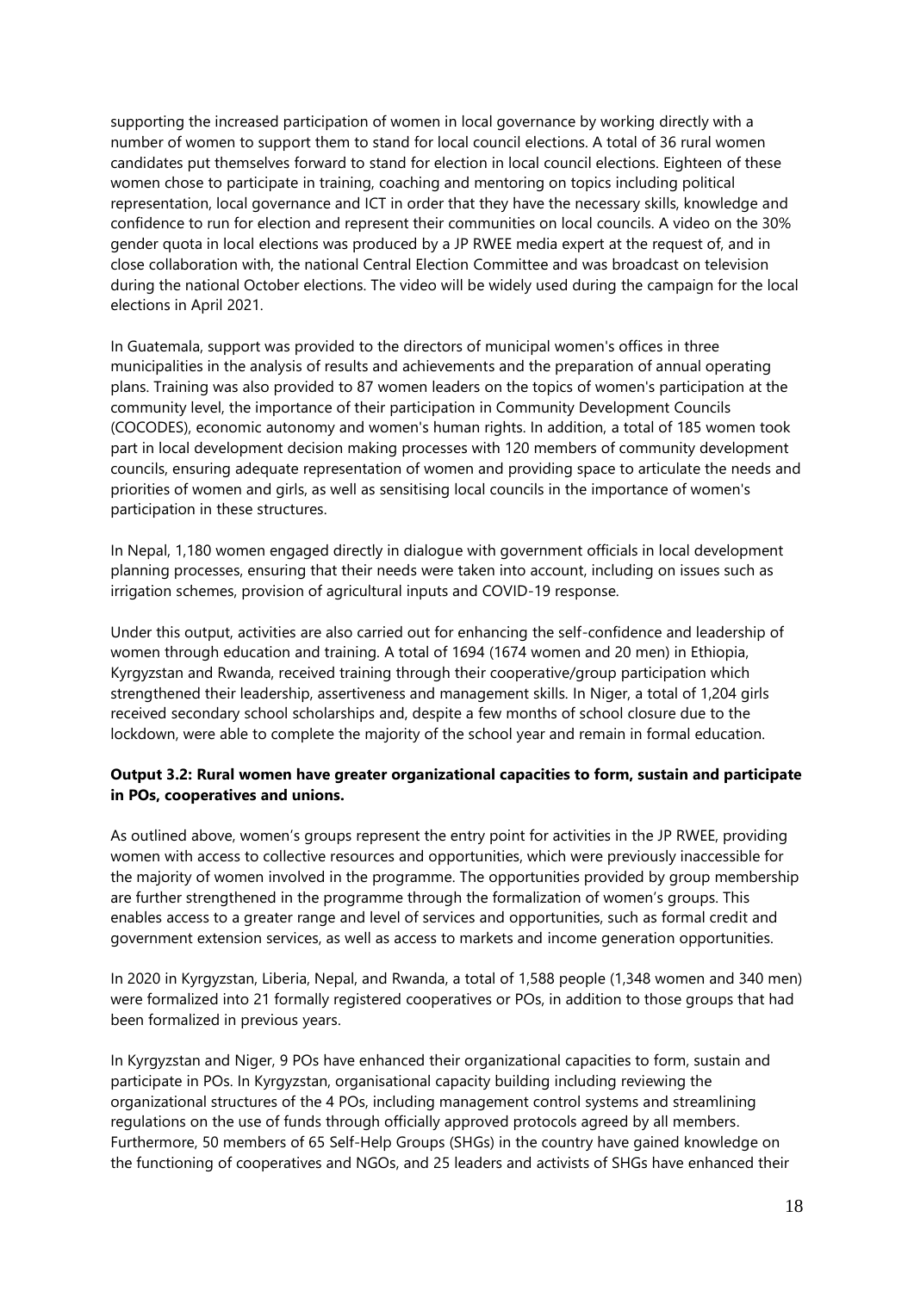supporting the increased participation of women in local governance by working directly with a number of women to support them to stand for local council elections. A total of 36 rural women candidates put themselves forward to stand for election in local council elections. Eighteen of these women chose to participate in training, coaching and mentoring on topics including political representation, local governance and ICT in order that they have the necessary skills, knowledge and confidence to run for election and represent their communities on local councils. A video on the 30% gender quota in local elections was produced by a JP RWEE media expert at the request of, and in close collaboration with, the national Central Election Committee and was broadcast on television during the national October elections. The video will be widely used during the campaign for the local elections in April 2021.

In Guatemala, support was provided to the directors of municipal women's offices in three municipalities in the analysis of results and achievements and the preparation of annual operating plans. Training was also provided to 87 women leaders on the topics of women's participation at the community level, the importance of their participation in Community Development Councils (COCODES), economic autonomy and women's human rights. In addition, a total of 185 women took part in local development decision making processes with 120 members of community development councils, ensuring adequate representation of women and providing space to articulate the needs and priorities of women and girls, as well as sensitising local councils in the importance of women's participation in these structures.

In Nepal, 1,180 women engaged directly in dialogue with government officials in local development planning processes, ensuring that their needs were taken into account, including on issues such as irrigation schemes, provision of agricultural inputs and COVID-19 response.

Under this output, activities are also carried out for enhancing the self-confidence and leadership of women through education and training. A total of 1694 (1674 women and 20 men) in Ethiopia, Kyrgyzstan and Rwanda, received training through their cooperative/group participation which strengthened their leadership, assertiveness and management skills. In Niger, a total of 1,204 girls received secondary school scholarships and, despite a few months of school closure due to the lockdown, were able to complete the majority of the school year and remain in formal education.

### **Output 3.2: Rural women have greater organizational capacities to form, sustain and participate in POs, cooperatives and unions.**

As outlined above, women's groups represent the entry point for activities in the JP RWEE, providing women with access to collective resources and opportunities, which were previously inaccessible for the majority of women involved in the programme. The opportunities provided by group membership are further strengthened in the programme through the formalization of women's groups. This enables access to a greater range and level of services and opportunities, such as formal credit and government extension services, as well as access to markets and income generation opportunities.

In 2020 in Kyrgyzstan, Liberia, Nepal, and Rwanda, a total of 1,588 people (1,348 women and 340 men) were formalized into 21 formally registered cooperatives or POs, in addition to those groups that had been formalized in previous years.

In Kyrgyzstan and Niger, 9 POs have enhanced their organizational capacities to form, sustain and participate in POs. In Kyrgyzstan, organisational capacity building including reviewing the organizational structures of the 4 POs, including management control systems and streamlining regulations on the use of funds through officially approved protocols agreed by all members. Furthermore, 50 members of 65 Self-Help Groups (SHGs) in the country have gained knowledge on the functioning of cooperatives and NGOs, and 25 leaders and activists of SHGs have enhanced their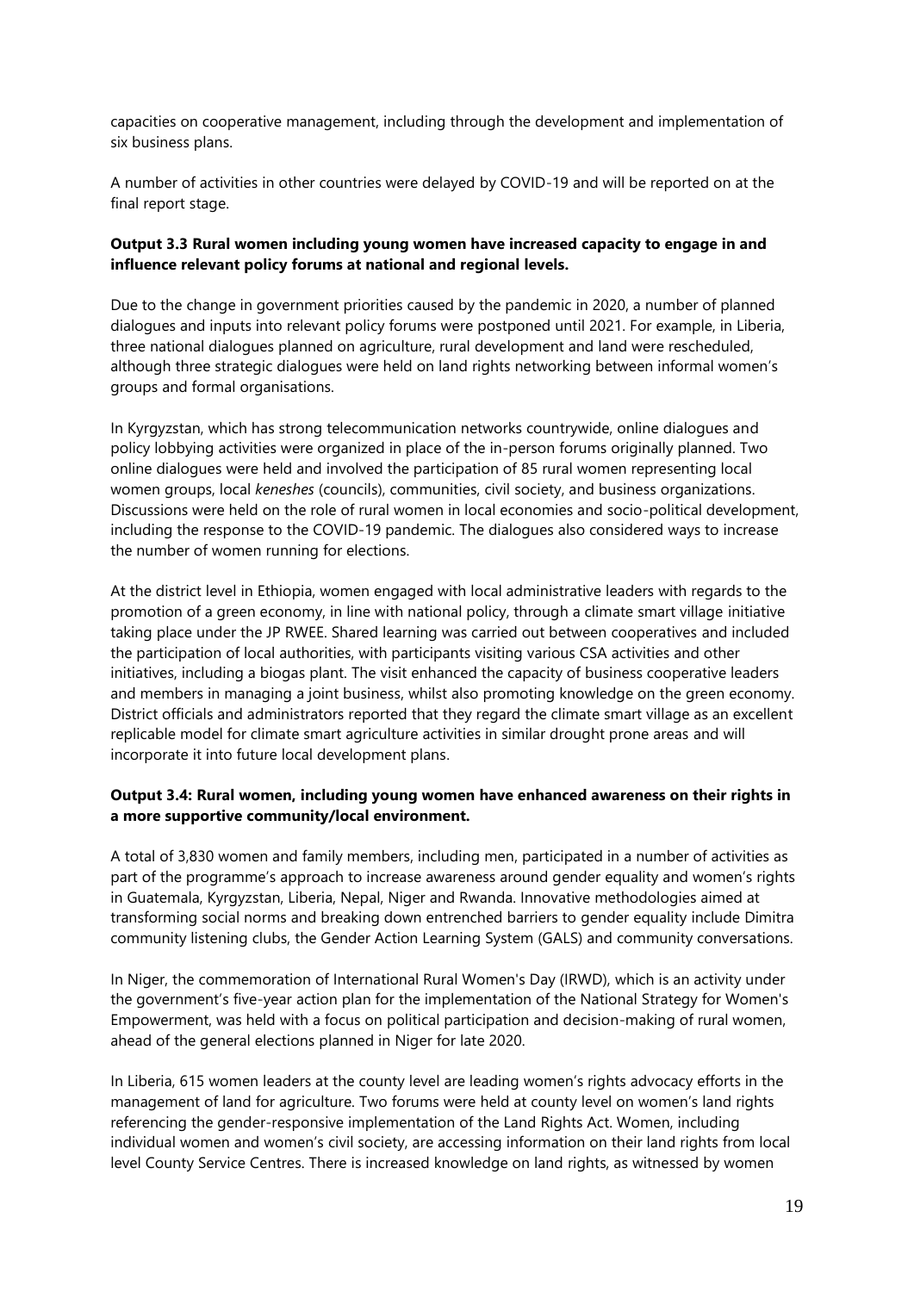capacities on cooperative management, including through the development and implementation of six business plans.

A number of activities in other countries were delayed by COVID-19 and will be reported on at the final report stage.

### **Output 3.3 Rural women including young women have increased capacity to engage in and influence relevant policy forums at national and regional levels.**

Due to the change in government priorities caused by the pandemic in 2020, a number of planned dialogues and inputs into relevant policy forums were postponed until 2021. For example, in Liberia, three national dialogues planned on agriculture, rural development and land were rescheduled, although three strategic dialogues were held on land rights networking between informal women's groups and formal organisations.

In Kyrgyzstan, which has strong telecommunication networks countrywide, online dialogues and policy lobbying activities were organized in place of the in-person forums originally planned. Two online dialogues were held and involved the participation of 85 rural women representing local women groups, local *keneshes* (councils), communities, civil society, and business organizations. Discussions were held on the role of rural women in local economies and socio-political development, including the response to the COVID-19 pandemic. The dialogues also considered ways to increase the number of women running for elections.

At the district level in Ethiopia, women engaged with local administrative leaders with regards to the promotion of a green economy, in line with national policy, through a climate smart village initiative taking place under the JP RWEE. Shared learning was carried out between cooperatives and included the participation of local authorities, with participants visiting various CSA activities and other initiatives, including a biogas plant. The visit enhanced the capacity of business cooperative leaders and members in managing a joint business, whilst also promoting knowledge on the green economy. District officials and administrators reported that they regard the climate smart village as an excellent replicable model for climate smart agriculture activities in similar drought prone areas and will incorporate it into future local development plans.

#### **Output 3.4: Rural women, including young women have enhanced awareness on their rights in a more supportive community/local environment.**

A total of 3,830 women and family members, including men, participated in a number of activities as part of the programme's approach to increase awareness around gender equality and women's rights in Guatemala, Kyrgyzstan, Liberia, Nepal, Niger and Rwanda. Innovative methodologies aimed at transforming social norms and breaking down entrenched barriers to gender equality include Dimitra community listening clubs, the Gender Action Learning System (GALS) and community conversations.

In Niger, the commemoration of International Rural Women's Day (IRWD), which is an activity under the government's five-year action plan for the implementation of the National Strategy for Women's Empowerment, was held with a focus on political participation and decision-making of rural women, ahead of the general elections planned in Niger for late 2020.

In Liberia, 615 women leaders at the county level are leading women's rights advocacy efforts in the management of land for agriculture. Two forums were held at county level on women's land rights referencing the gender-responsive implementation of the Land Rights Act. Women, including individual women and women's civil society, are accessing information on their land rights from local level County Service Centres. There is increased knowledge on land rights, as witnessed by women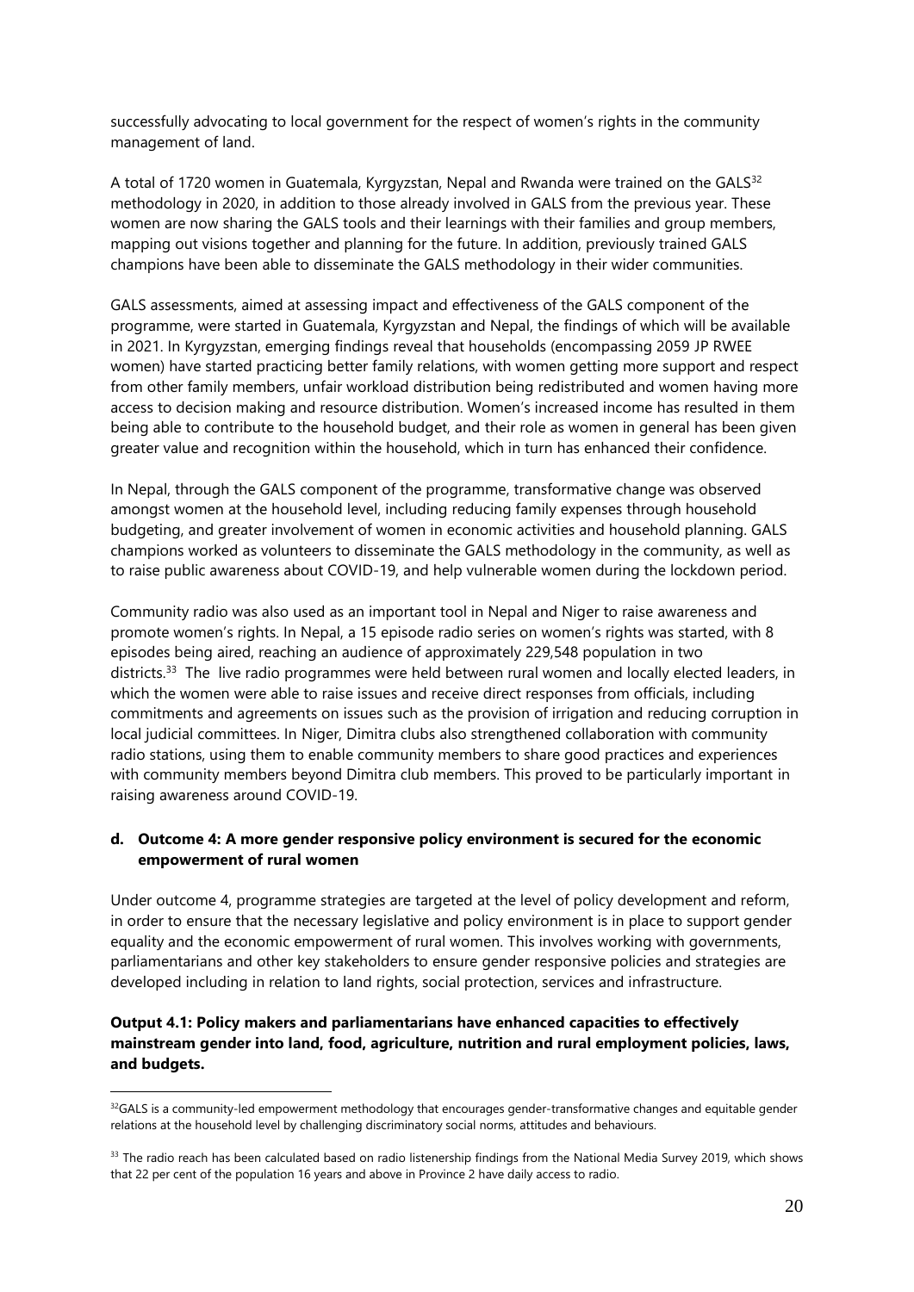successfully advocating to local government for the respect of women's rights in the community management of land.

A total of 1720 women in Guatemala, Kyrgyzstan, Nepal and Rwanda were trained on the GALS<sup>32</sup> methodology in 2020, in addition to those already involved in GALS from the previous year. These women are now sharing the GALS tools and their learnings with their families and group members, mapping out visions together and planning for the future. In addition, previously trained GALS champions have been able to disseminate the GALS methodology in their wider communities.

GALS assessments, aimed at assessing impact and effectiveness of the GALS component of the programme, were started in Guatemala, Kyrgyzstan and Nepal, the findings of which will be available in 2021. In Kyrgyzstan, emerging findings reveal that households (encompassing 2059 JP RWEE women) have started practicing better family relations, with women getting more support and respect from other family members, unfair workload distribution being redistributed and women having more access to decision making and resource distribution. Women's increased income has resulted in them being able to contribute to the household budget, and their role as women in general has been given greater value and recognition within the household, which in turn has enhanced their confidence.

In Nepal, through the GALS component of the programme, transformative change was observed amongst women at the household level, including reducing family expenses through household budgeting, and greater involvement of women in economic activities and household planning. GALS champions worked as volunteers to disseminate the GALS methodology in the community, as well as to raise public awareness about COVID-19, and help vulnerable women during the lockdown period.

Community radio was also used as an important tool in Nepal and Niger to raise awareness and promote women's rights. In Nepal, a 15 episode radio series on women's rights was started, with 8 episodes being aired, reaching an audience of approximately 229,548 population in two districts.<sup>33</sup> The live radio programmes were held between rural women and locally elected leaders, in which the women were able to raise issues and receive direct responses from officials, including commitments and agreements on issues such as the provision of irrigation and reducing corruption in local judicial committees. In Niger, Dimitra clubs also strengthened collaboration with community radio stations, using them to enable community members to share good practices and experiences with community members beyond Dimitra club members. This proved to be particularly important in raising awareness around COVID-19.

#### <span id="page-19-0"></span>**d. Outcome 4: A more gender responsive policy environment is secured for the economic empowerment of rural women**

Under outcome 4, programme strategies are targeted at the level of policy development and reform, in order to ensure that the necessary legislative and policy environment is in place to support gender equality and the economic empowerment of rural women. This involves working with governments, parliamentarians and other key stakeholders to ensure gender responsive policies and strategies are developed including in relation to land rights, social protection, services and infrastructure.

### **Output 4.1: Policy makers and parliamentarians have enhanced capacities to effectively mainstream gender into land, food, agriculture, nutrition and rural employment policies, laws, and budgets.**

<sup>&</sup>lt;sup>32</sup>GALS is a community-led empowerment methodology that encourages gender-transformative changes and equitable gender relations at the household level by challenging discriminatory social norms, attitudes and behaviours.

<sup>&</sup>lt;sup>33</sup> The radio reach has been calculated based on radio listenership findings from the National Media Survey 2019, which shows that 22 per cent of the population 16 years and above in Province 2 have daily access to radio.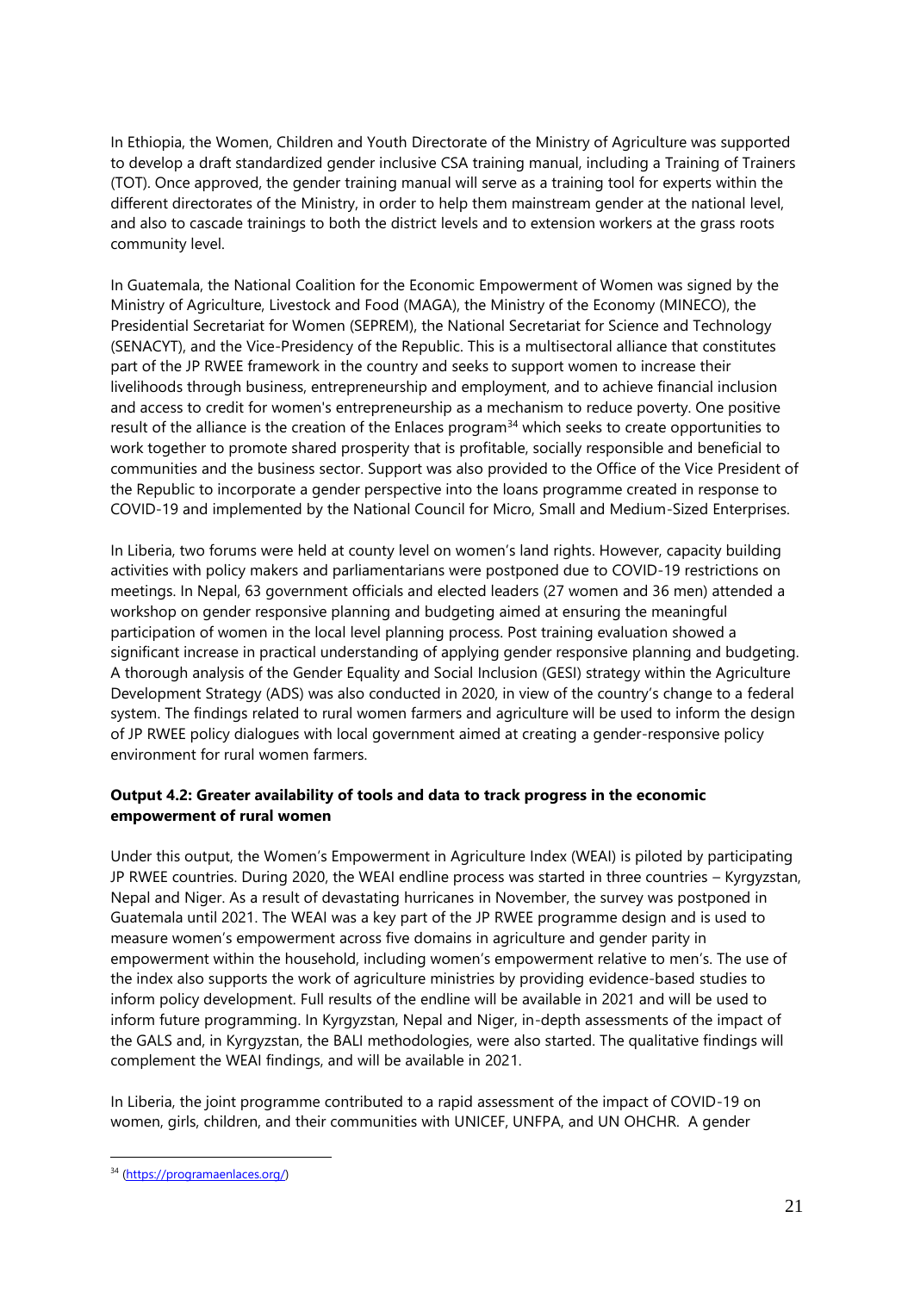In Ethiopia, the Women, Children and Youth Directorate of the Ministry of Agriculture was supported to develop a draft standardized gender inclusive CSA training manual, including a Training of Trainers (TOT). Once approved, the gender training manual will serve as a training tool for experts within the different directorates of the Ministry, in order to help them mainstream gender at the national level, and also to cascade trainings to both the district levels and to extension workers at the grass roots community level.

In Guatemala, the National Coalition for the Economic Empowerment of Women was signed by the Ministry of Agriculture, Livestock and Food (MAGA), the Ministry of the Economy (MINECO), the Presidential Secretariat for Women (SEPREM), the National Secretariat for Science and Technology (SENACYT), and the Vice-Presidency of the Republic. This is a multisectoral alliance that constitutes part of the JP RWEE framework in the country and seeks to support women to increase their livelihoods through business, entrepreneurship and employment, and to achieve financial inclusion and access to credit for women's entrepreneurship as a mechanism to reduce poverty. One positive result of the alliance is the creation of the Enlaces program<sup>34</sup> which seeks to create opportunities to work together to promote shared prosperity that is profitable, socially responsible and beneficial to communities and the business sector. Support was also provided to the Office of the Vice President of the Republic to incorporate a gender perspective into the loans programme created in response to COVID-19 and implemented by the National Council for Micro, Small and Medium-Sized Enterprises.

In Liberia, two forums were held at county level on women's land rights. However, capacity building activities with policy makers and parliamentarians were postponed due to COVID-19 restrictions on meetings. In Nepal, 63 government officials and elected leaders (27 women and 36 men) attended a workshop on gender responsive planning and budgeting aimed at ensuring the meaningful participation of women in the local level planning process. Post training evaluation showed a significant increase in practical understanding of applying gender responsive planning and budgeting. A thorough analysis of the Gender Equality and Social Inclusion (GESI) strategy within the Agriculture Development Strategy (ADS) was also conducted in 2020, in view of the country's change to a federal system. The findings related to rural women farmers and agriculture will be used to inform the design of JP RWEE policy dialogues with local government aimed at creating a gender-responsive policy environment for rural women farmers.

### **Output 4.2: Greater availability of tools and data to track progress in the economic empowerment of rural women**

Under this output, the Women's Empowerment in Agriculture Index (WEAI) is piloted by participating JP RWEE countries. During 2020, the WEAI endline process was started in three countries – Kyrgyzstan, Nepal and Niger. As a result of devastating hurricanes in November, the survey was postponed in Guatemala until 2021. The WEAI was a key part of the JP RWEE programme design and is used to measure women's empowerment across five domains in agriculture and gender parity in empowerment within the household, including women's empowerment relative to men's. The use of the index also supports the work of agriculture ministries by providing evidence-based studies to inform policy development. Full results of the endline will be available in 2021 and will be used to inform future programming. In Kyrgyzstan, Nepal and Niger, in-depth assessments of the impact of the GALS and, in Kyrgyzstan, the BALI methodologies, were also started. The qualitative findings will complement the WEAI findings, and will be available in 2021.

In Liberia, the joint programme contributed to a rapid assessment of the impact of COVID-19 on women, girls, children, and their communities with UNICEF, UNFPA, and UN OHCHR. A gender

<sup>34</sup> [\(https://programaenlaces.org/\)](https://programaenlaces.org/)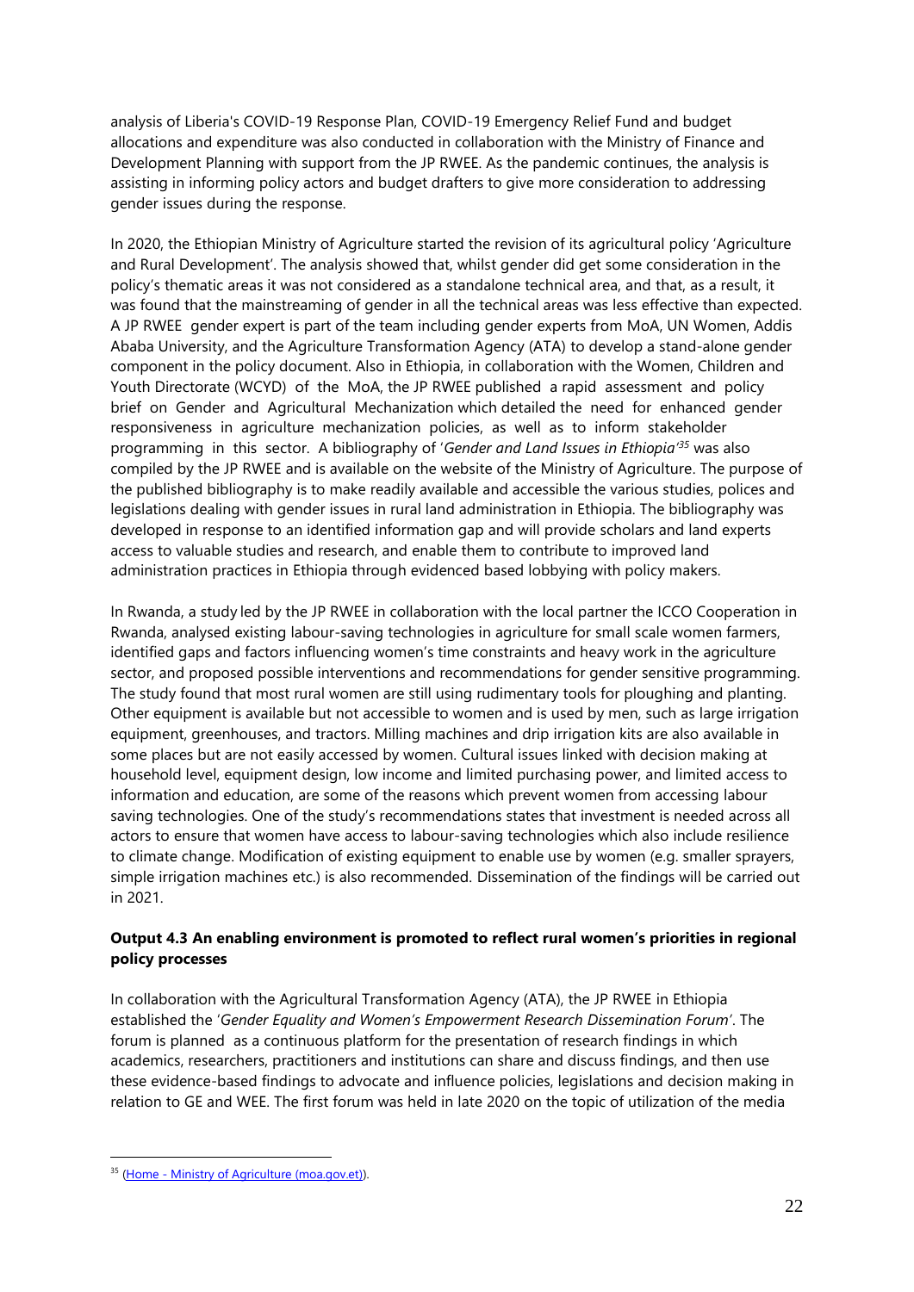analysis of Liberia's COVID-19 Response Plan, COVID-19 Emergency Relief Fund and budget allocations and expenditure was also conducted in collaboration with the Ministry of Finance and Development Planning with support from the JP RWEE. As the pandemic continues, the analysis is assisting in informing policy actors and budget drafters to give more consideration to addressing gender issues during the response.

In 2020, the Ethiopian Ministry of Agriculture started the revision of its agricultural policy 'Agriculture and Rural Development'. The analysis showed that, whilst gender did get some consideration in the policy's thematic areas it was not considered as a standalone technical area, and that, as a result, it was found that the mainstreaming of gender in all the technical areas was less effective than expected. A JP RWEE gender expert is part of the team including gender experts from MoA, UN Women, Addis Ababa University, and the Agriculture Transformation Agency (ATA) to develop a stand-alone gender component in the policy document. Also in Ethiopia, in collaboration with the Women, Children and Youth Directorate (WCYD) of the MoA, the JP RWEE published a rapid assessment and policy brief on Gender and Agricultural Mechanization which detailed the need for enhanced gender responsiveness in agriculture mechanization policies, as well as to inform stakeholder programming in this sector. A bibliography of '*Gender and Land Issues in Ethiopia'<sup>35</sup>* was also compiled by the JP RWEE and is available on the website of the Ministry of Agriculture. The purpose of the published bibliography is to make readily available and accessible the various studies, polices and legislations dealing with gender issues in rural land administration in Ethiopia. The bibliography was developed in response to an identified information gap and will provide scholars and land experts access to valuable studies and research, and enable them to contribute to improved land administration practices in Ethiopia through evidenced based lobbying with policy makers.

In Rwanda, a study led by the JP RWEE in collaboration with the local partner the ICCO Cooperation in Rwanda, analysed existing labour-saving technologies in agriculture for small scale women farmers, identified gaps and factors influencing women's time constraints and heavy work in the agriculture sector, and proposed possible interventions and recommendations for gender sensitive programming. The study found that most rural women are still using rudimentary tools for ploughing and planting. Other equipment is available but not accessible to women and is used by men, such as large irrigation equipment, greenhouses, and tractors. Milling machines and drip irrigation kits are also available in some places but are not easily accessed by women. Cultural issues linked with decision making at household level, equipment design, low income and limited purchasing power, and limited access to information and education, are some of the reasons which prevent women from accessing labour saving technologies. One of the study's recommendations states that investment is needed across all actors to ensure that women have access to labour-saving technologies which also include resilience to climate change. Modification of existing equipment to enable use by women (e.g. smaller sprayers, simple irrigation machines etc.) is also recommended. Dissemination of the findings will be carried out in 2021.

### **Output 4.3 An enabling environment is promoted to reflect rural women's priorities in regional policy processes**

In collaboration with the Agricultural Transformation Agency (ATA), the JP RWEE in Ethiopia established the '*Gender Equality and Women's Empowerment Research Dissemination Forum'*. The forum is planned as a continuous platform for the presentation of research findings in which academics, researchers, practitioners and institutions can share and discuss findings, and then use these evidence-based findings to advocate and influence policies, legislations and decision making in relation to GE and WEE. The first forum was held in late 2020 on the topic of utilization of the media

<sup>35</sup> (Home - [Ministry of Agriculture \(moa.gov.et\)\)](http://www.moa.gov.et/web/guest/home).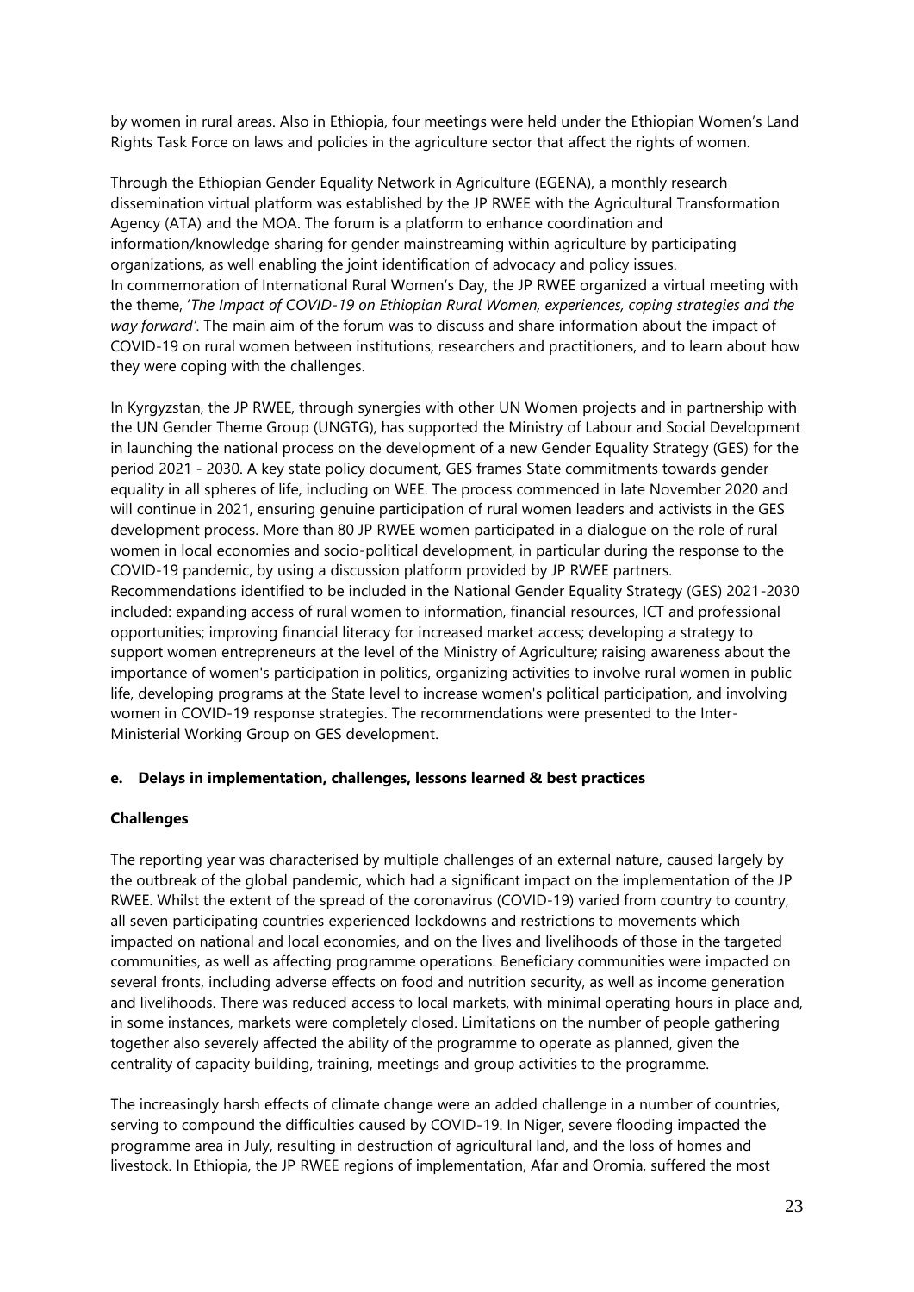by women in rural areas. Also in Ethiopia, four meetings were held under the Ethiopian Women's Land Rights Task Force on laws and policies in the agriculture sector that affect the rights of women.

Through the Ethiopian Gender Equality Network in Agriculture (EGENA), a monthly research dissemination virtual platform was established by the JP RWEE with the Agricultural Transformation Agency (ATA) and the MOA. The forum is a platform to enhance coordination and information/knowledge sharing for gender mainstreaming within agriculture by participating organizations, as well enabling the joint identification of advocacy and policy issues. In commemoration of International Rural Women's Day, the JP RWEE organized a virtual meeting with the theme, '*The Impact of COVID-19 on Ethiopian Rural Women, experiences, coping strategies and the way forward'*. The main aim of the forum was to discuss and share information about the impact of COVID-19 on rural women between institutions, researchers and practitioners, and to learn about how they were coping with the challenges.

In Kyrgyzstan, the JP RWEE, through synergies with other UN Women projects and in partnership with the UN Gender Theme Group (UNGTG), has supported the Ministry of Labour and Social Development in launching the national process on the development of a new Gender Equality Strategy (GES) for the period 2021 - 2030. A key state policy document, GES frames State commitments towards gender equality in all spheres of life, including on WEE. The process commenced in late November 2020 and will continue in 2021, ensuring genuine participation of rural women leaders and activists in the GES development process. More than 80 JP RWEE women participated in a dialogue on the role of rural women in local economies and socio-political development, in particular during the response to the COVID-19 pandemic, by using a discussion platform provided by JP RWEE partners. Recommendations identified to be included in the National Gender Equality Strategy (GES) 2021-2030 included: expanding access of rural women to information, financial resources, ICT and professional opportunities; improving financial literacy for increased market access; developing a strategy to support women entrepreneurs at the level of the Ministry of Agriculture; raising awareness about the importance of women's participation in politics, organizing activities to involve rural women in public life, developing programs at the State level to increase women's political participation, and involving women in COVID-19 response strategies. The recommendations were presented to the Inter-Ministerial Working Group on GES development.

#### <span id="page-22-0"></span>**e. Delays in implementation, challenges, lessons learned & best practices**

#### **Challenges**

The reporting year was characterised by multiple challenges of an external nature, caused largely by the outbreak of the global pandemic, which had a significant impact on the implementation of the JP RWEE. Whilst the extent of the spread of the coronavirus (COVID-19) varied from country to country, all seven participating countries experienced lockdowns and restrictions to movements which impacted on national and local economies, and on the lives and livelihoods of those in the targeted communities, as well as affecting programme operations. Beneficiary communities were impacted on several fronts, including adverse effects on food and nutrition security, as well as income generation and livelihoods. There was reduced access to local markets, with minimal operating hours in place and, in some instances, markets were completely closed. Limitations on the number of people gathering together also severely affected the ability of the programme to operate as planned, given the centrality of capacity building, training, meetings and group activities to the programme.

The increasingly harsh effects of climate change were an added challenge in a number of countries, serving to compound the difficulties caused by COVID-19. In Niger, severe flooding impacted the programme area in July, resulting in destruction of agricultural land, and the loss of homes and livestock. In Ethiopia, the JP RWEE regions of implementation, Afar and Oromia, suffered the most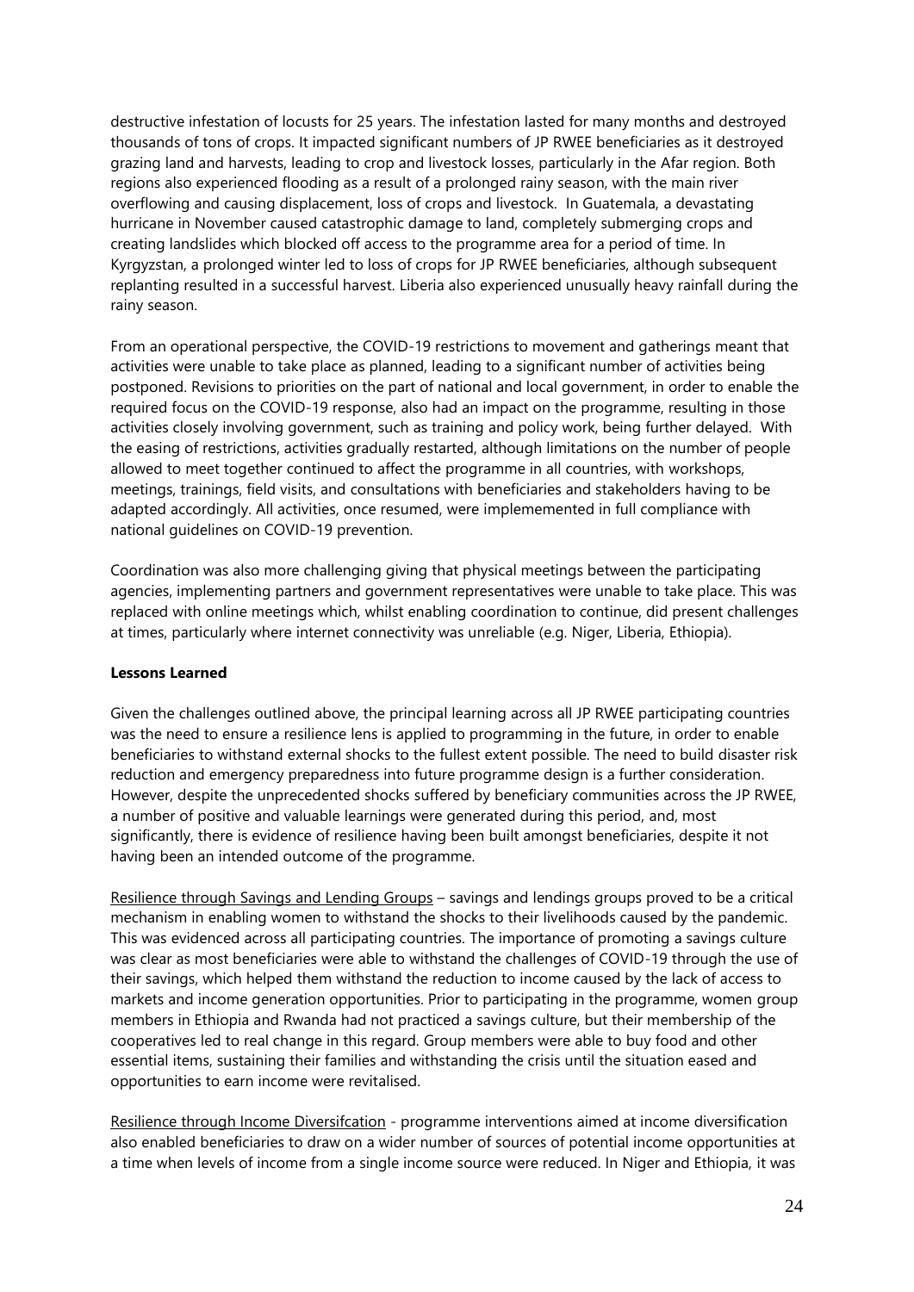destructive infestation of locusts for 25 years. The infestation lasted for many months and destroyed thousands of tons of crops. It impacted significant numbers of JP RWEE beneficiaries as it destroyed grazing land and harvests, leading to crop and livestock losses, particularly in the Afar region. Both regions also experienced flooding as a result of a prolonged rainy season, with the main river overflowing and causing displacement, loss of crops and livestock. In Guatemala, a devastating hurricane in November caused catastrophic damage to land, completely submerging crops and creating landslides which blocked off access to the programme area for a period of time. In Kyrgyzstan, a prolonged winter led to loss of crops for JP RWEE beneficiaries, although subsequent replanting resulted in a successful harvest. Liberia also experienced unusually heavy rainfall during the rainy season.

From an operational perspective, the COVID-19 restrictions to movement and gatherings meant that activities were unable to take place as planned, leading to a significant number of activities being postponed. Revisions to priorities on the part of national and local government, in order to enable the required focus on the COVID-19 response, also had an impact on the programme, resulting in those activities closely involving government, such as training and policy work, being further delayed. With the easing of restrictions, activities gradually restarted, although limitations on the number of people allowed to meet together continued to affect the programme in all countries, with workshops, meetings, trainings, field visits, and consultations with beneficiaries and stakeholders having to be adapted accordingly. All activities, once resumed, were implememented in full compliance with national guidelines on COVID-19 prevention.

Coordination was also more challenging giving that physical meetings between the participating agencies, implementing partners and government representatives were unable to take place. This was replaced with online meetings which, whilst enabling coordination to continue, did present challenges at times, particularly where internet connectivity was unreliable (e.g. Niger, Liberia, Ethiopia).

### **Lessons Learned**

Given the challenges outlined above, the principal learning across all JP RWEE participating countries was the need to ensure a resilience lens is applied to programming in the future, in order to enable beneficiaries to withstand external shocks to the fullest extent possible. The need to build disaster risk reduction and emergency preparedness into future programme design is a further consideration. However, despite the unprecedented shocks suffered by beneficiary communities across the JP RWEE, a number of positive and valuable learnings were generated during this period, and, most significantly, there is evidence of resilience having been built amongst beneficiaries, despite it not having been an intended outcome of the programme.

Resilience through Savings and Lending Groups – savings and lendings groups proved to be a critical mechanism in enabling women to withstand the shocks to their livelihoods caused by the pandemic. This was evidenced across all participating countries. The importance of promoting a savings culture was clear as most beneficiaries were able to withstand the challenges of COVID-19 through the use of their savings, which helped them withstand the reduction to income caused by the lack of access to markets and income generation opportunities. Prior to participating in the programme, women group members in Ethiopia and Rwanda had not practiced a savings culture, but their membership of the cooperatives led to real change in this regard. Group members were able to buy food and other essential items, sustaining their families and withstanding the crisis until the situation eased and opportunities to earn income were revitalised.

Resilience through Income Diversifcation - programme interventions aimed at income diversification also enabled beneficiaries to draw on a wider number of sources of potential income opportunities at a time when levels of income from a single income source were reduced. In Niger and Ethiopia, it was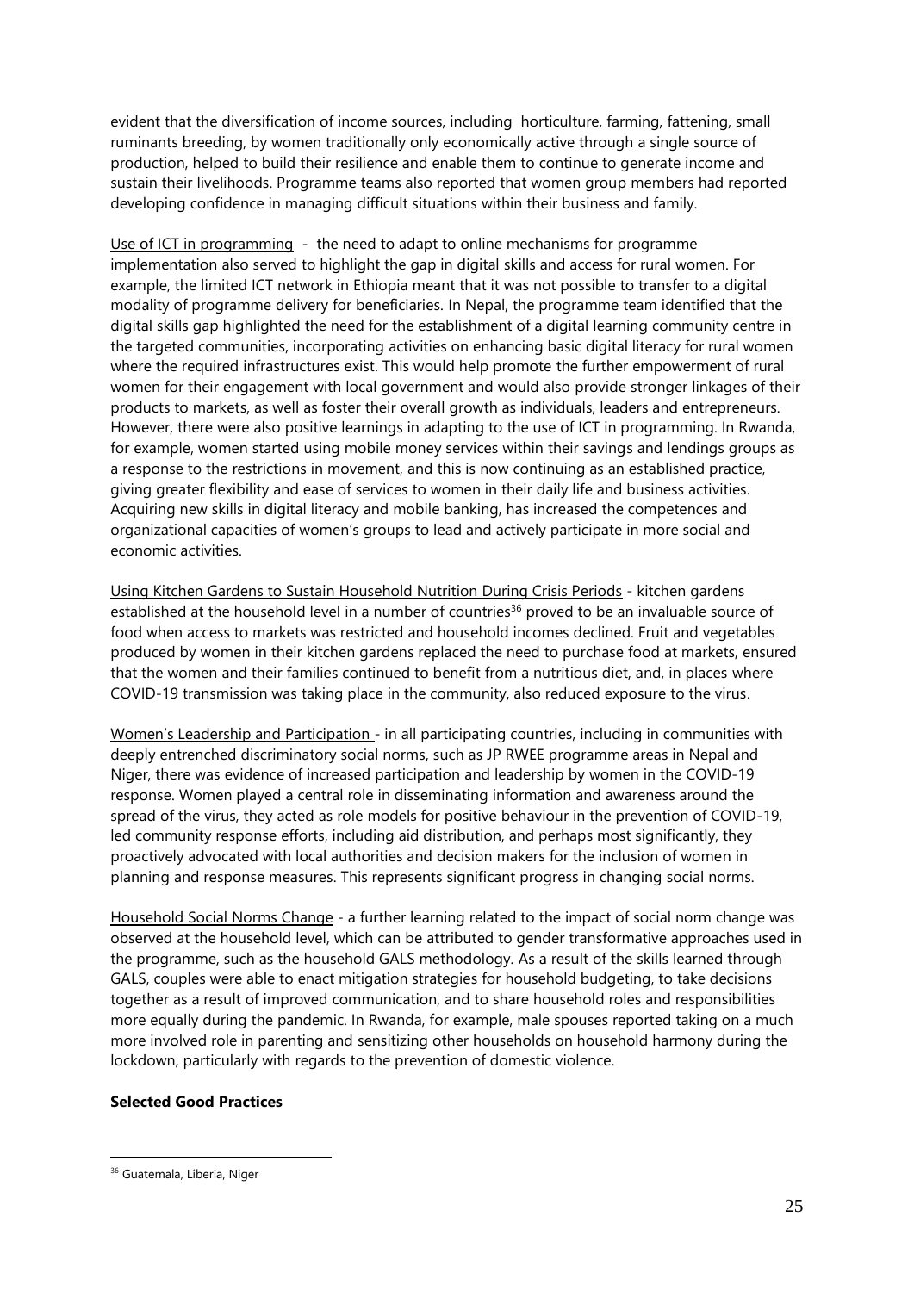evident that the diversification of income sources, including horticulture, farming, fattening, small ruminants breeding, by women traditionally only economically active through a single source of production, helped to build their resilience and enable them to continue to generate income and sustain their livelihoods. Programme teams also reported that women group members had reported developing confidence in managing difficult situations within their business and family.

Use of ICT in programming - the need to adapt to online mechanisms for programme implementation also served to highlight the gap in digital skills and access for rural women. For example, the limited ICT network in Ethiopia meant that it was not possible to transfer to a digital modality of programme delivery for beneficiaries. In Nepal, the programme team identified that the digital skills gap highlighted the need for the establishment of a digital learning community centre in the targeted communities, incorporating activities on enhancing basic digital literacy for rural women where the required infrastructures exist. This would help promote the further empowerment of rural women for their engagement with local government and would also provide stronger linkages of their products to markets, as well as foster their overall growth as individuals, leaders and entrepreneurs. However, there were also positive learnings in adapting to the use of ICT in programming. In Rwanda, for example, women started using mobile money services within their savings and lendings groups as a response to the restrictions in movement, and this is now continuing as an established practice, giving greater flexibility and ease of services to women in their daily life and business activities. Acquiring new skills in digital literacy and mobile banking, has increased the competences and organizational capacities of women's groups to lead and actively participate in more social and economic activities.

Using Kitchen Gardens to Sustain Household Nutrition During Crisis Periods - kitchen gardens established at the household level in a number of countries<sup>36</sup> proved to be an invaluable source of food when access to markets was restricted and household incomes declined. Fruit and vegetables produced by women in their kitchen gardens replaced the need to purchase food at markets, ensured that the women and their families continued to benefit from a nutritious diet, and, in places where COVID-19 transmission was taking place in the community, also reduced exposure to the virus.

Women's Leadership and Participation - in all participating countries, including in communities with deeply entrenched discriminatory social norms, such as JP RWEE programme areas in Nepal and Niger, there was evidence of increased participation and leadership by women in the COVID-19 response. Women played a central role in disseminating information and awareness around the spread of the virus, they acted as role models for positive behaviour in the prevention of COVID-19, led community response efforts, including aid distribution, and perhaps most significantly, they proactively advocated with local authorities and decision makers for the inclusion of women in planning and response measures. This represents significant progress in changing social norms.

Household Social Norms Change - a further learning related to the impact of social norm change was observed at the household level, which can be attributed to gender transformative approaches used in the programme, such as the household GALS methodology. As a result of the skills learned through GALS, couples were able to enact mitigation strategies for household budgeting, to take decisions together as a result of improved communication, and to share household roles and responsibilities more equally during the pandemic. In Rwanda, for example, male spouses reported taking on a much more involved role in parenting and sensitizing other households on household harmony during the lockdown, particularly with regards to the prevention of domestic violence.

#### **Selected Good Practices**

<sup>&</sup>lt;sup>36</sup> Guatemala, Liberia, Niger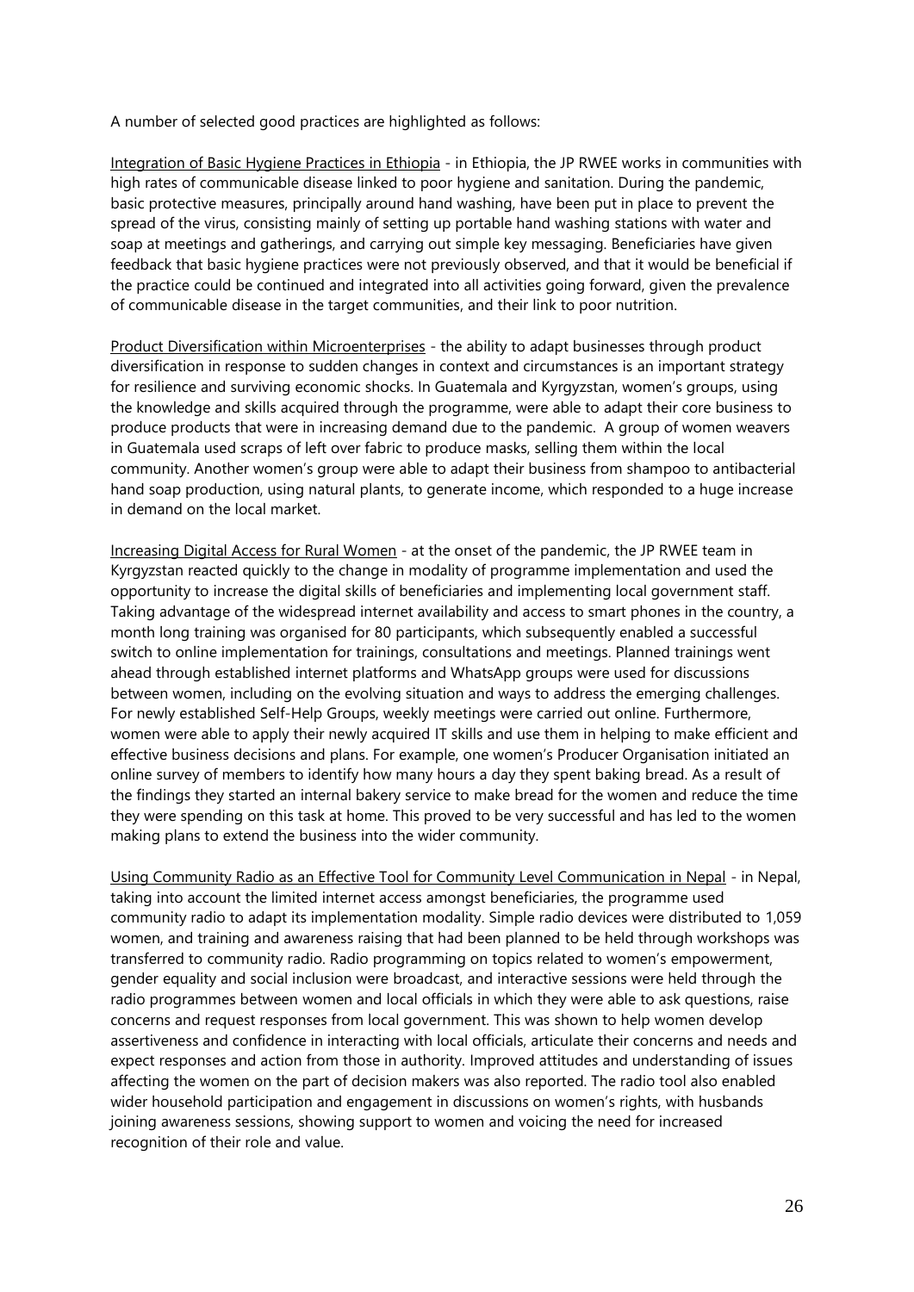A number of selected good practices are highlighted as follows:

Integration of Basic Hygiene Practices in Ethiopia - in Ethiopia, the JP RWEE works in communities with high rates of communicable disease linked to poor hygiene and sanitation. During the pandemic, basic protective measures, principally around hand washing, have been put in place to prevent the spread of the virus, consisting mainly of setting up portable hand washing stations with water and soap at meetings and gatherings, and carrying out simple key messaging. Beneficiaries have given feedback that basic hygiene practices were not previously observed, and that it would be beneficial if the practice could be continued and integrated into all activities going forward, given the prevalence of communicable disease in the target communities, and their link to poor nutrition.

Product Diversification within Microenterprises - the ability to adapt businesses through product diversification in response to sudden changes in context and circumstances is an important strategy for resilience and surviving economic shocks. In Guatemala and Kyrgyzstan, women's groups, using the knowledge and skills acquired through the programme, were able to adapt their core business to produce products that were in increasing demand due to the pandemic. A group of women weavers in Guatemala used scraps of left over fabric to produce masks, selling them within the local community. Another women's group were able to adapt their business from shampoo to antibacterial hand soap production, using natural plants, to generate income, which responded to a huge increase in demand on the local market.

Increasing Digital Access for Rural Women - at the onset of the pandemic, the JP RWEE team in Kyrgyzstan reacted quickly to the change in modality of programme implementation and used the opportunity to increase the digital skills of beneficiaries and implementing local government staff. Taking advantage of the widespread internet availability and access to smart phones in the country, a month long training was organised for 80 participants, which subsequently enabled a successful switch to online implementation for trainings, consultations and meetings. Planned trainings went ahead through established internet platforms and WhatsApp groups were used for discussions between women, including on the evolving situation and ways to address the emerging challenges. For newly established Self-Help Groups, weekly meetings were carried out online. Furthermore, women were able to apply their newly acquired IT skills and use them in helping to make efficient and effective business decisions and plans. For example, one women's Producer Organisation initiated an online survey of members to identify how many hours a day they spent baking bread. As a result of the findings they started an internal bakery service to make bread for the women and reduce the time they were spending on this task at home. This proved to be very successful and has led to the women making plans to extend the business into the wider community.

Using Community Radio as an Effective Tool for Community Level Communication in Nepal - in Nepal, taking into account the limited internet access amongst beneficiaries, the programme used community radio to adapt its implementation modality. Simple radio devices were distributed to 1,059 women, and training and awareness raising that had been planned to be held through workshops was transferred to community radio. Radio programming on topics related to women's empowerment, gender equality and social inclusion were broadcast, and interactive sessions were held through the radio programmes between women and local officials in which they were able to ask questions, raise concerns and request responses from local government. This was shown to help women develop assertiveness and confidence in interacting with local officials, articulate their concerns and needs and expect responses and action from those in authority. Improved attitudes and understanding of issues affecting the women on the part of decision makers was also reported. The radio tool also enabled wider household participation and engagement in discussions on women's rights, with husbands joining awareness sessions, showing support to women and voicing the need for increased recognition of their role and value.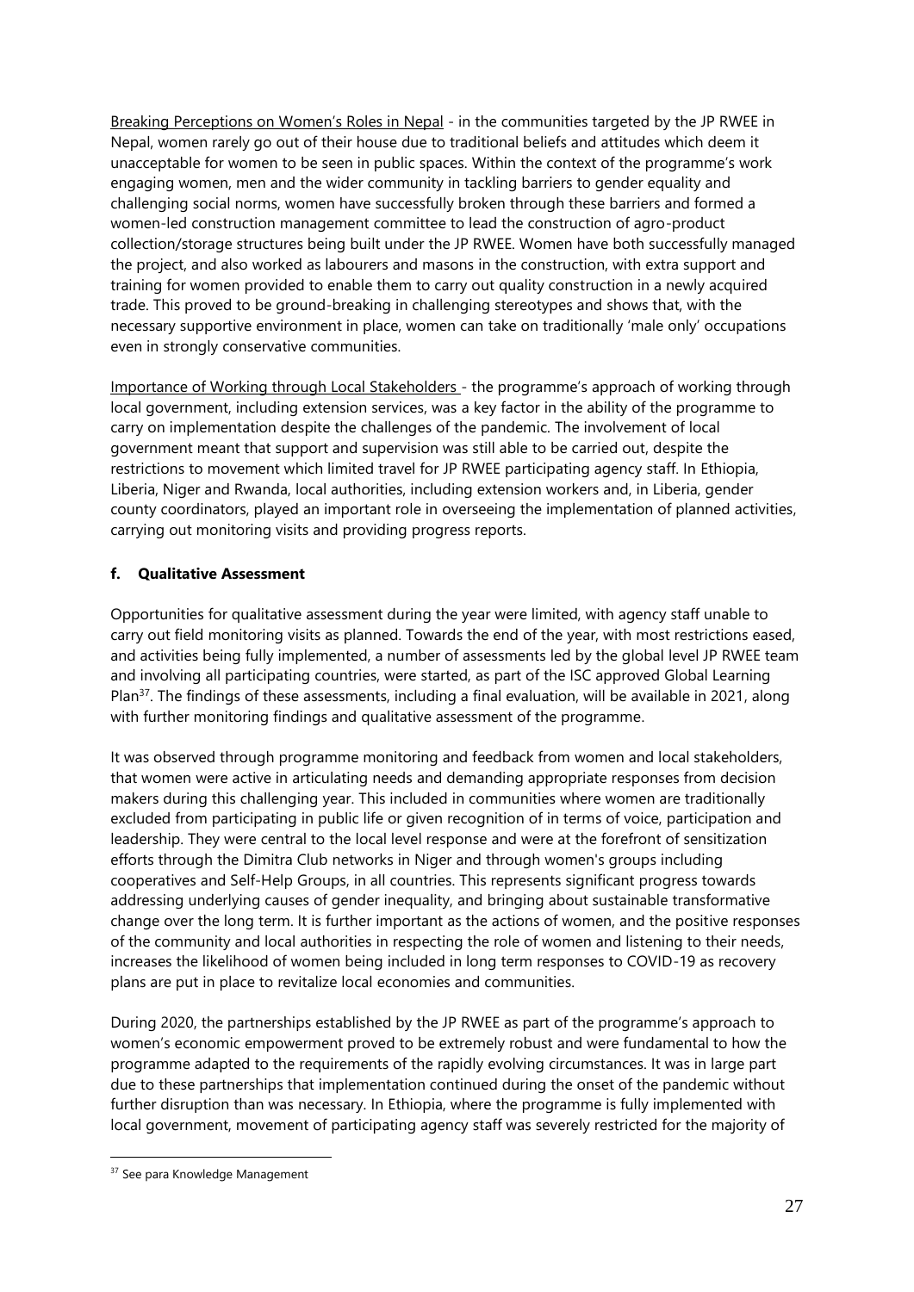Breaking Perceptions on Women's Roles in Nepal - in the communities targeted by the JP RWEE in Nepal, women rarely go out of their house due to traditional beliefs and attitudes which deem it unacceptable for women to be seen in public spaces. Within the context of the programme's work engaging women, men and the wider community in tackling barriers to gender equality and challenging social norms, women have successfully broken through these barriers and formed a women-led construction management committee to lead the construction of agro-product collection/storage structures being built under the JP RWEE. Women have both successfully managed the project, and also worked as labourers and masons in the construction, with extra support and training for women provided to enable them to carry out quality construction in a newly acquired trade. This proved to be ground-breaking in challenging stereotypes and shows that, with the necessary supportive environment in place, women can take on traditionally 'male only' occupations even in strongly conservative communities.

Importance of Working through Local Stakeholders - the programme's approach of working through local government, including extension services, was a key factor in the ability of the programme to carry on implementation despite the challenges of the pandemic. The involvement of local government meant that support and supervision was still able to be carried out, despite the restrictions to movement which limited travel for JP RWEE participating agency staff. In Ethiopia, Liberia, Niger and Rwanda, local authorities, including extension workers and, in Liberia, gender county coordinators, played an important role in overseeing the implementation of planned activities, carrying out monitoring visits and providing progress reports.

### <span id="page-26-0"></span>**f. Qualitative Assessment**

Opportunities for qualitative assessment during the year were limited, with agency staff unable to carry out field monitoring visits as planned. Towards the end of the year, with most restrictions eased, and activities being fully implemented, a number of assessments led by the global level JP RWEE team and involving all participating countries, were started, as part of the ISC approved Global Learning Plan<sup>37</sup>. The findings of these assessments, including a final evaluation, will be available in 2021, along with further monitoring findings and qualitative assessment of the programme.

It was observed through programme monitoring and feedback from women and local stakeholders, that women were active in articulating needs and demanding appropriate responses from decision makers during this challenging year. This included in communities where women are traditionally excluded from participating in public life or given recognition of in terms of voice, participation and leadership. They were central to the local level response and were at the forefront of sensitization efforts through the Dimitra Club networks in Niger and through women's groups including cooperatives and Self-Help Groups, in all countries. This represents significant progress towards addressing underlying causes of gender inequality, and bringing about sustainable transformative change over the long term. It is further important as the actions of women, and the positive responses of the community and local authorities in respecting the role of women and listening to their needs, increases the likelihood of women being included in long term responses to COVID-19 as recovery plans are put in place to revitalize local economies and communities.

During 2020, the partnerships established by the JP RWEE as part of the programme's approach to women's economic empowerment proved to be extremely robust and were fundamental to how the programme adapted to the requirements of the rapidly evolving circumstances. It was in large part due to these partnerships that implementation continued during the onset of the pandemic without further disruption than was necessary. In Ethiopia, where the programme is fully implemented with local government, movement of participating agency staff was severely restricted for the majority of

<sup>&</sup>lt;sup>37</sup> See para Knowledge Management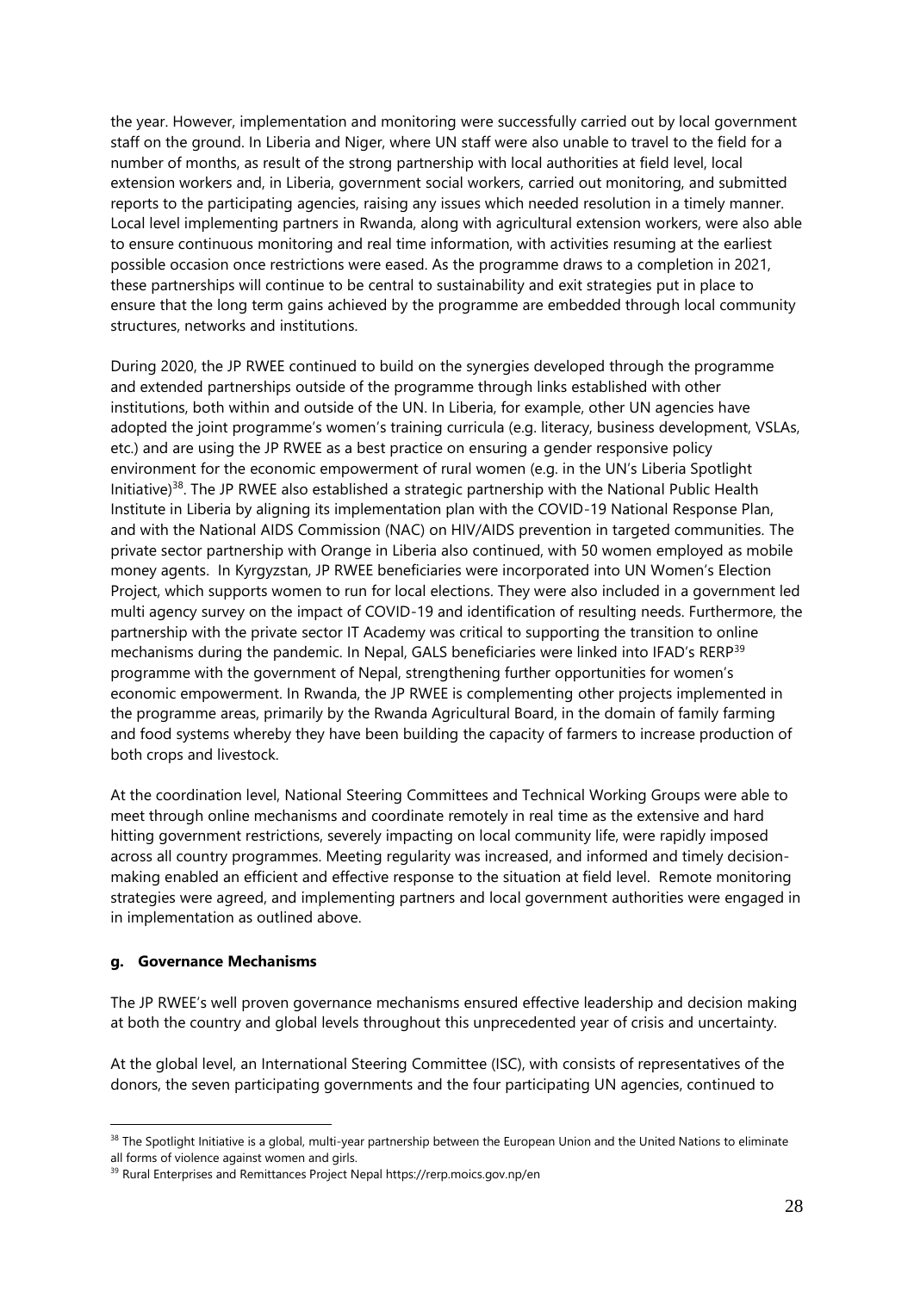the year. However, implementation and monitoring were successfully carried out by local government staff on the ground. In Liberia and Niger, where UN staff were also unable to travel to the field for a number of months, as result of the strong partnership with local authorities at field level, local extension workers and, in Liberia, government social workers, carried out monitoring, and submitted reports to the participating agencies, raising any issues which needed resolution in a timely manner. Local level implementing partners in Rwanda, along with agricultural extension workers, were also able to ensure continuous monitoring and real time information, with activities resuming at the earliest possible occasion once restrictions were eased. As the programme draws to a completion in 2021, these partnerships will continue to be central to sustainability and exit strategies put in place to ensure that the long term gains achieved by the programme are embedded through local community structures, networks and institutions.

During 2020, the JP RWEE continued to build on the synergies developed through the programme and extended partnerships outside of the programme through links established with other institutions, both within and outside of the UN. In Liberia, for example, other UN agencies have adopted the joint programme's women's training curricula (e.g. literacy, business development, VSLAs, etc.) and are using the JP RWEE as a best practice on ensuring a gender responsive policy environment for the economic empowerment of rural women (e.g. in the UN's Liberia Spotlight Initiative)<sup>38</sup>. The JP RWEE also established a strategic partnership with the National Public Health Institute in Liberia by aligning its implementation plan with the COVID-19 National Response Plan, and with the National AIDS Commission (NAC) on HIV/AIDS prevention in targeted communities. The private sector partnership with Orange in Liberia also continued, with 50 women employed as mobile money agents. In Kyrgyzstan, JP RWEE beneficiaries were incorporated into UN Women's Election Project, which supports women to run for local elections. They were also included in a government led multi agency survey on the impact of COVID-19 and identification of resulting needs. Furthermore, the partnership with the private sector IT Academy was critical to supporting the transition to online mechanisms during the pandemic. In Nepal, GALS beneficiaries were linked into IFAD's RERP<sup>39</sup> programme with the government of Nepal, strengthening further opportunities for women's economic empowerment. In Rwanda, the JP RWEE is complementing other projects implemented in the programme areas, primarily by the Rwanda Agricultural Board, in the domain of family farming and food systems whereby they have been building the capacity of farmers to increase production of both crops and livestock.

At the coordination level, National Steering Committees and Technical Working Groups were able to meet through online mechanisms and coordinate remotely in real time as the extensive and hard hitting government restrictions, severely impacting on local community life, were rapidly imposed across all country programmes. Meeting regularity was increased, and informed and timely decisionmaking enabled an efficient and effective response to the situation at field level. Remote monitoring strategies were agreed, and implementing partners and local government authorities were engaged in in implementation as outlined above.

#### <span id="page-27-0"></span>**g. Governance Mechanisms**

The JP RWEE's well proven governance mechanisms ensured effective leadership and decision making at both the country and global levels throughout this unprecedented year of crisis and uncertainty.

At the global level, an International Steering Committee (ISC), with consists of representatives of the donors, the seven participating governments and the four participating UN agencies, continued to

<sup>&</sup>lt;sup>38</sup> The Spotlight Initiative is a global, multi-year partnership between the European Union and the United Nations to eliminate all forms of violence against women and girls.

<sup>39</sup> Rural Enterprises and Remittances Project Nepal https://rerp.moics.gov.np/en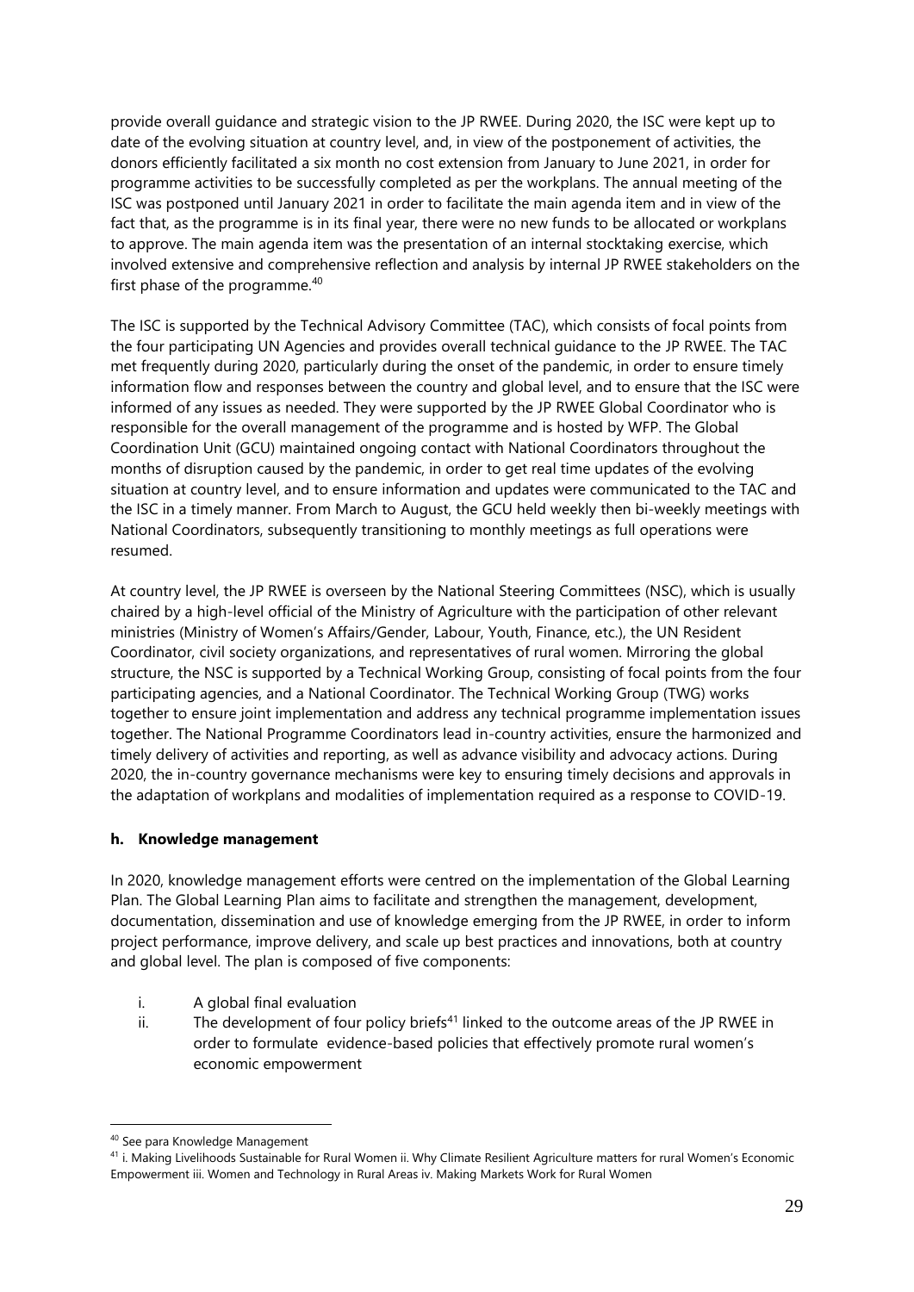provide overall guidance and strategic vision to the JP RWEE. During 2020, the ISC were kept up to date of the evolving situation at country level, and, in view of the postponement of activities, the donors efficiently facilitated a six month no cost extension from January to June 2021, in order for programme activities to be successfully completed as per the workplans. The annual meeting of the ISC was postponed until January 2021 in order to facilitate the main agenda item and in view of the fact that, as the programme is in its final year, there were no new funds to be allocated or workplans to approve. The main agenda item was the presentation of an internal stocktaking exercise, which involved extensive and comprehensive reflection and analysis by internal JP RWEE stakeholders on the first phase of the programme.<sup>40</sup>

The ISC is supported by the Technical Advisory Committee (TAC), which consists of focal points from the four participating UN Agencies and provides overall technical guidance to the JP RWEE. The TAC met frequently during 2020, particularly during the onset of the pandemic, in order to ensure timely information flow and responses between the country and global level, and to ensure that the ISC were informed of any issues as needed. They were supported by the JP RWEE Global Coordinator who is responsible for the overall management of the programme and is hosted by WFP. The Global Coordination Unit (GCU) maintained ongoing contact with National Coordinators throughout the months of disruption caused by the pandemic, in order to get real time updates of the evolving situation at country level, and to ensure information and updates were communicated to the TAC and the ISC in a timely manner. From March to August, the GCU held weekly then bi-weekly meetings with National Coordinators, subsequently transitioning to monthly meetings as full operations were resumed.

At country level, the JP RWEE is overseen by the National Steering Committees (NSC), which is usually chaired by a high-level official of the Ministry of Agriculture with the participation of other relevant ministries (Ministry of Women's Affairs/Gender, Labour, Youth, Finance, etc.), the UN Resident Coordinator, civil society organizations, and representatives of rural women. Mirroring the global structure, the NSC is supported by a Technical Working Group, consisting of focal points from the four participating agencies, and a National Coordinator. The Technical Working Group (TWG) works together to ensure joint implementation and address any technical programme implementation issues together. The National Programme Coordinators lead in-country activities, ensure the harmonized and timely delivery of activities and reporting, as well as advance visibility and advocacy actions. During 2020, the in-country governance mechanisms were key to ensuring timely decisions and approvals in the adaptation of workplans and modalities of implementation required as a response to COVID-19.

#### <span id="page-28-0"></span>**h. Knowledge management**

In 2020, knowledge management efforts were centred on the implementation of the Global Learning Plan. The Global Learning Plan aims to facilitate and strengthen the management, development, documentation, dissemination and use of knowledge emerging from the JP RWEE, in order to inform project performance, improve delivery, and scale up best practices and innovations, both at country and global level. The plan is composed of five components:

- i. A global final evaluation
- ii. The development of four policy briefs<sup>41</sup> linked to the outcome areas of the JP RWEE in order to formulate evidence-based policies that effectively promote rural women's economic empowerment

<sup>40</sup> See para Knowledge Management

<sup>41</sup> i. Making Livelihoods Sustainable for Rural Women ii. Why Climate Resilient Agriculture matters for rural Women's Economic Empowerment iii. Women and Technology in Rural Areas iv. Making Markets Work for Rural Women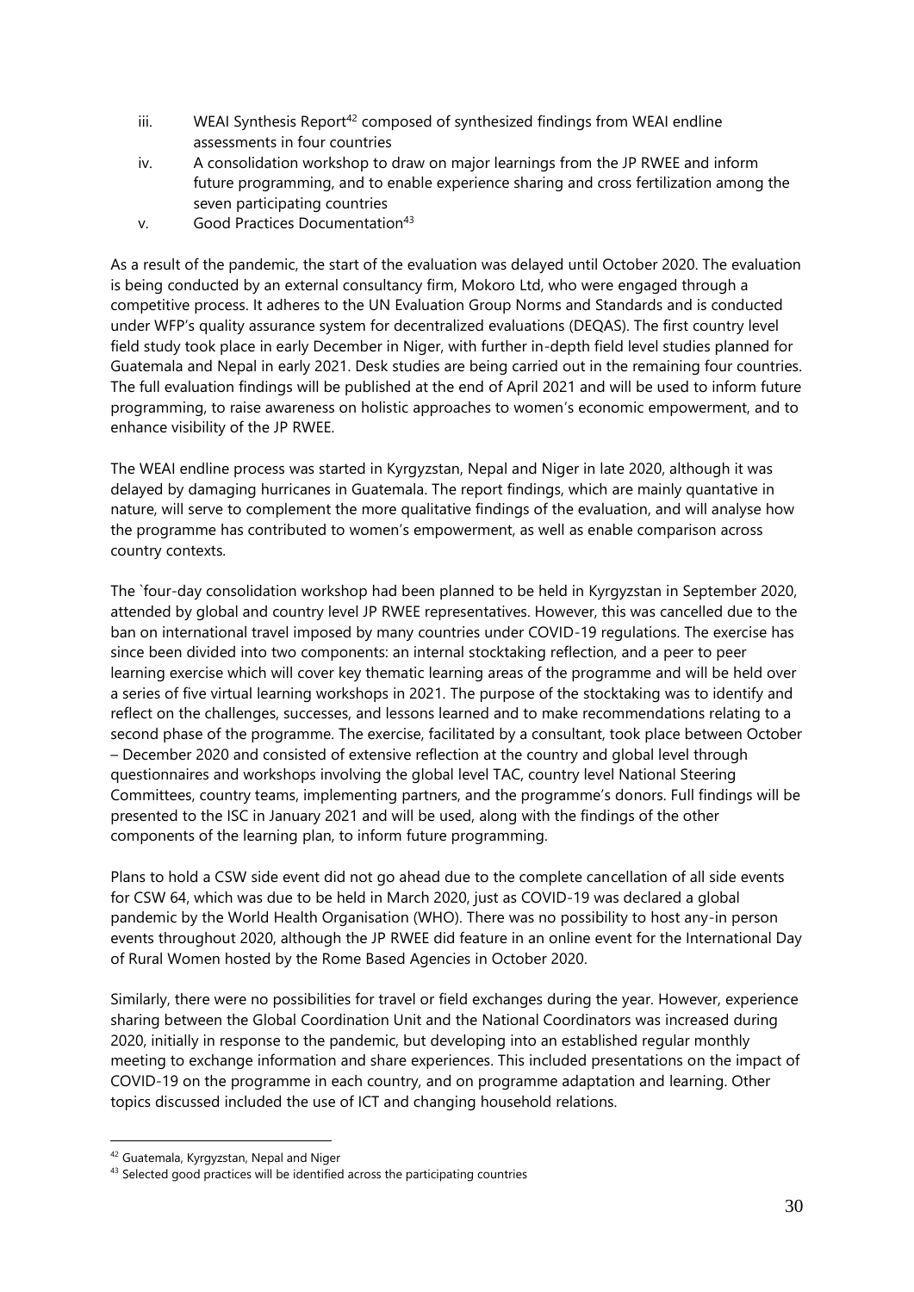- $iii.$  WEAI Synthesis Report<sup>42</sup> composed of synthesized findings from WEAI endline assessments in four countries
- iv. A consolidation workshop to draw on major learnings from the JP RWEE and inform future programming, and to enable experience sharing and cross fertilization among the seven participating countries
- v. Good Practices Documentation<sup>43</sup>

As a result of the pandemic, the start of the evaluation was delayed until October 2020. The evaluation is being conducted by an external consultancy firm, Mokoro Ltd, who were engaged through a competitive process. It adheres to the UN Evaluation Group Norms and Standards and is conducted under WFP's quality assurance system for decentralized evaluations (DEQAS). The first country level field study took place in early December in Niger, with further in-depth field level studies planned for Guatemala and Nepal in early 2021. Desk studies are being carried out in the remaining four countries. The full evaluation findings will be published at the end of April 2021 and will be used to inform future programming, to raise awareness on holistic approaches to women's economic empowerment, and to enhance visibility of the JP RWEE.

The WEAI endline process was started in Kyrgyzstan, Nepal and Niger in late 2020, although it was delayed by damaging hurricanes in Guatemala. The report findings, which are mainly quantative in nature, will serve to complement the more qualitative findings of the evaluation, and will analyse how the programme has contributed to women's empowerment, as well as enable comparison across country contexts.

The `four-day consolidation workshop had been planned to be held in Kyrgyzstan in September 2020, attended by global and country level JP RWEE representatives. However, this was cancelled due to the ban on international travel imposed by many countries under COVID-19 regulations. The exercise has since been divided into two components: an internal stocktaking reflection, and a peer to peer learning exercise which will cover key thematic learning areas of the programme and will be held over a series of five virtual learning workshops in 2021. The purpose of the stocktaking was to identify and reflect on the challenges, successes, and lessons learned and to make recommendations relating to a second phase of the programme. The exercise, facilitated by a consultant, took place between October – December 2020 and consisted of extensive reflection at the country and global level through questionnaires and workshops involving the global level TAC, country level National Steering Committees, country teams, implementing partners, and the programme's donors. Full findings will be presented to the ISC in January 2021 and will be used, along with the findings of the other components of the learning plan, to inform future programming.

Plans to hold a CSW side event did not go ahead due to the complete cancellation of all side events for CSW 64, which was due to be held in March 2020, just as COVID-19 was declared a global pandemic by the World Health Organisation (WHO). There was no possibility to host any-in person events throughout 2020, although the JP RWEE did feature in an online event for the International Day of Rural Women hosted by the Rome Based Agencies in October 2020.

Similarly, there were no possibilities for travel or field exchanges during the year. However, experience sharing between the Global Coordination Unit and the National Coordinators was increased during 2020, initially in response to the pandemic, but developing into an established regular monthly meeting to exchange information and share experiences. This included presentations on the impact of COVID-19 on the programme in each country, and on programme adaptation and learning. Other topics discussed included the use of ICT and changing household relations.

<sup>42</sup> Guatemala, Kyrgyzstan, Nepal and Niger

<sup>43</sup> Selected good practices will be identified across the participating countries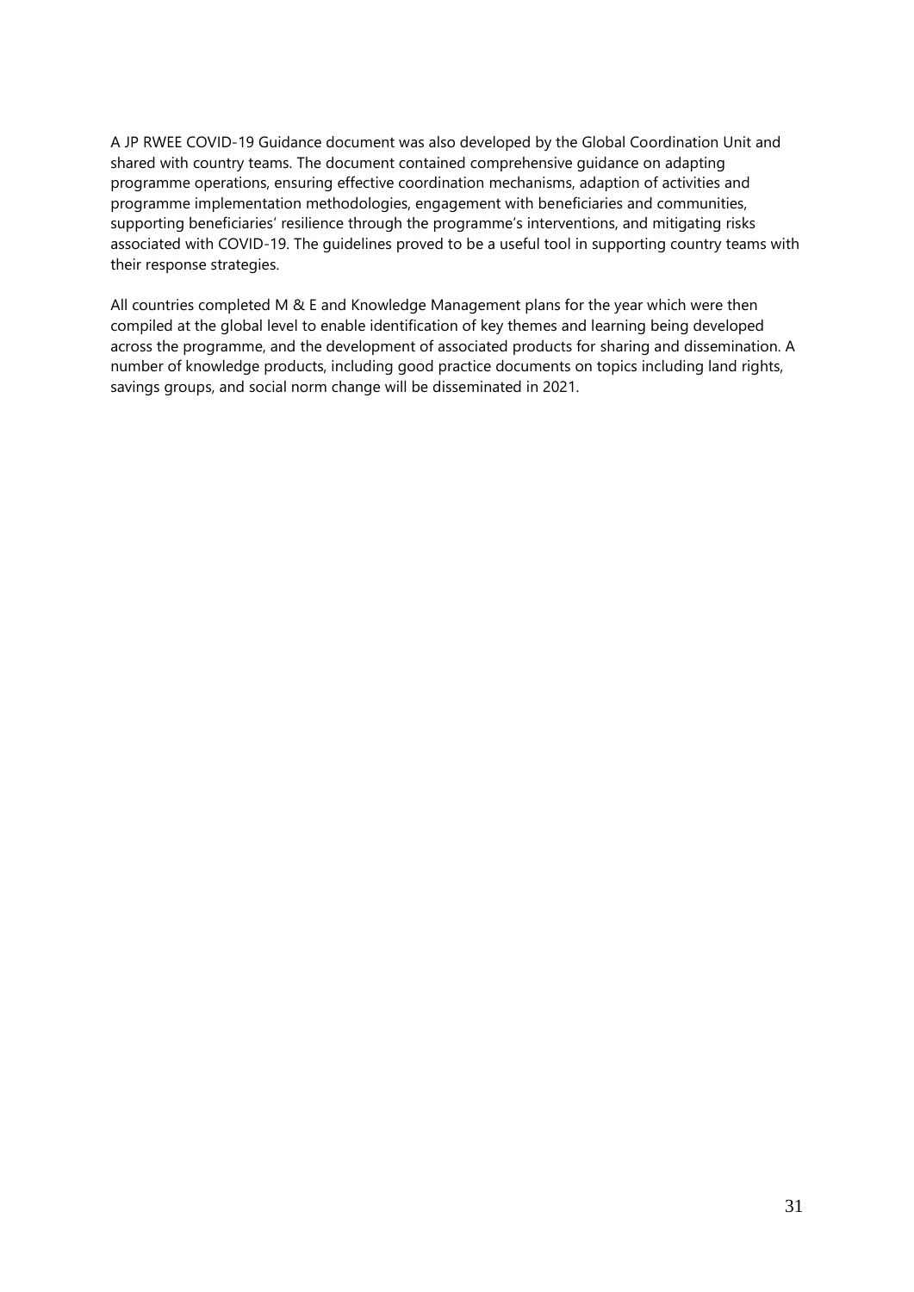A JP RWEE COVID-19 Guidance document was also developed by the Global Coordination Unit and shared with country teams. The document contained comprehensive guidance on adapting programme operations, ensuring effective coordination mechanisms, adaption of activities and programme implementation methodologies, engagement with beneficiaries and communities, supporting beneficiaries' resilience through the programme's interventions, and mitigating risks associated with COVID-19. The guidelines proved to be a useful tool in supporting country teams with their response strategies.

All countries completed M & E and Knowledge Management plans for the year which were then compiled at the global level to enable identification of key themes and learning being developed across the programme, and the development of associated products for sharing and dissemination. A number of knowledge products, including good practice documents on topics including land rights, savings groups, and social norm change will be disseminated in 2021.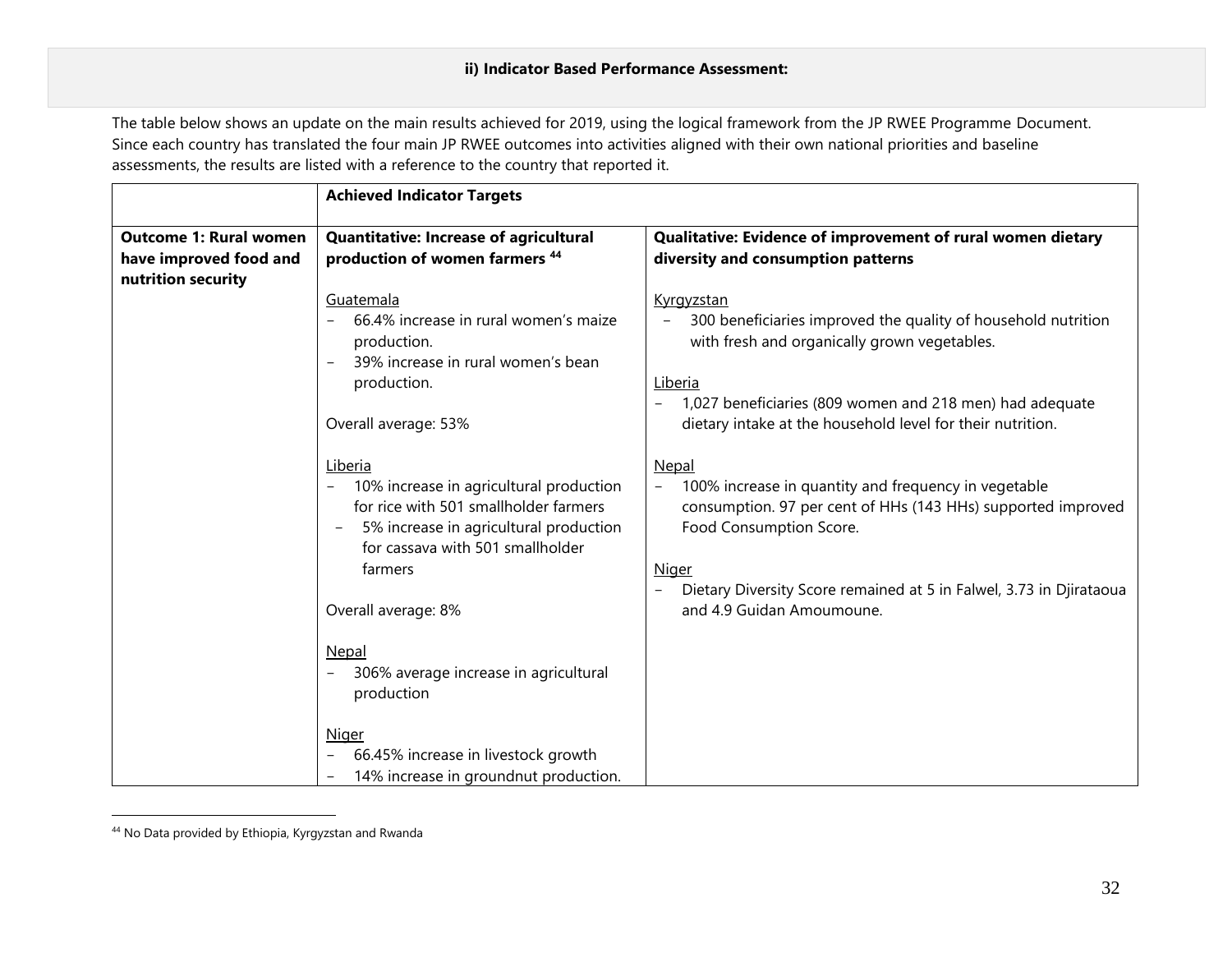The table below shows an update on the main results achieved for 2019, using the logical framework from the JP RWEE Programme Document. Since each country has translated the four main JP RWEE outcomes into activities aligned with their own national priorities and baseline assessments, the results are listed with a reference to the country that reported it.

|                                                                               | <b>Achieved Indicator Targets</b>                                                                                                                                                                                |                                                                                                                                                                                                                                                                                       |
|-------------------------------------------------------------------------------|------------------------------------------------------------------------------------------------------------------------------------------------------------------------------------------------------------------|---------------------------------------------------------------------------------------------------------------------------------------------------------------------------------------------------------------------------------------------------------------------------------------|
| <b>Outcome 1: Rural women</b><br>have improved food and<br>nutrition security | <b>Quantitative: Increase of agricultural</b><br>production of women farmers <sup>44</sup>                                                                                                                       | Qualitative: Evidence of improvement of rural women dietary<br>diversity and consumption patterns                                                                                                                                                                                     |
|                                                                               | Guatemala<br>66.4% increase in rural women's maize<br>production.<br>39% increase in rural women's bean<br>production.<br>Overall average: 53%                                                                   | Kyrgyzstan<br>300 beneficiaries improved the quality of household nutrition<br>with fresh and organically grown vegetables.<br>Liberia<br>1,027 beneficiaries (809 women and 218 men) had adequate<br>$\qquad \qquad -$<br>dietary intake at the household level for their nutrition. |
|                                                                               | Liberia<br>10% increase in agricultural production<br>$\overline{\phantom{a}}$<br>for rice with 501 smallholder farmers<br>5% increase in agricultural production<br>for cassava with 501 smallholder<br>farmers | <b>Nepal</b><br>100% increase in quantity and frequency in vegetable<br>$\overline{\phantom{0}}$<br>consumption. 97 per cent of HHs (143 HHs) supported improved<br>Food Consumption Score.<br><b>Niger</b><br>Dietary Diversity Score remained at 5 in Falwel, 3.73 in Djirataoua    |
|                                                                               | Overall average: 8%<br>Nepal<br>306% average increase in agricultural<br>production                                                                                                                              | and 4.9 Guidan Amoumoune.                                                                                                                                                                                                                                                             |
|                                                                               | <b>Niger</b><br>66.45% increase in livestock growth<br>14% increase in groundnut production.                                                                                                                     |                                                                                                                                                                                                                                                                                       |

<sup>44</sup> No Data provided by Ethiopia, Kyrgyzstan and Rwanda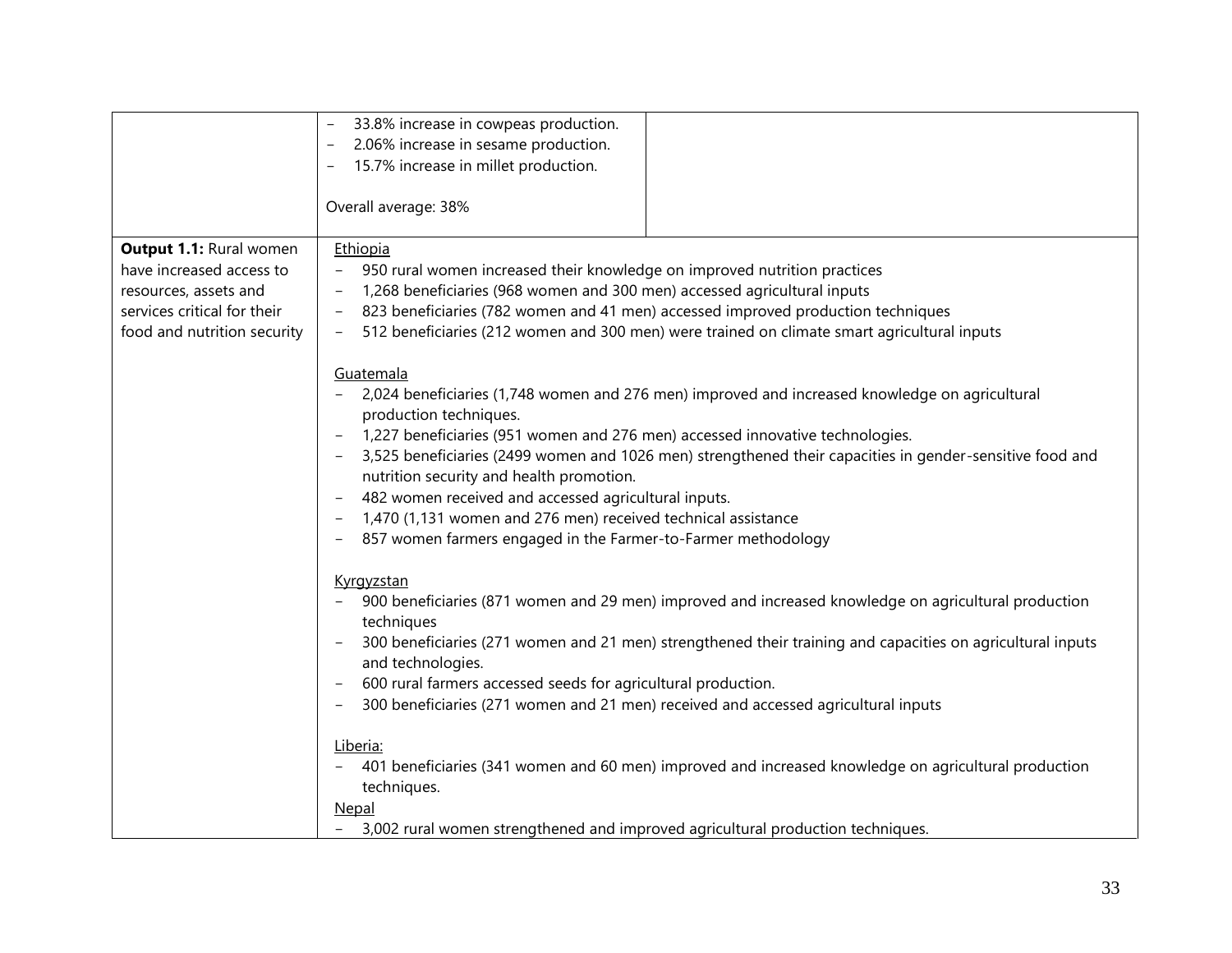|                                | 33.8% increase in cowpeas production.                                                                                   |
|--------------------------------|-------------------------------------------------------------------------------------------------------------------------|
|                                | 2.06% increase in sesame production.                                                                                    |
|                                | 15.7% increase in millet production.                                                                                    |
|                                |                                                                                                                         |
|                                | Overall average: 38%                                                                                                    |
|                                |                                                                                                                         |
| <b>Output 1.1: Rural women</b> | Ethiopia                                                                                                                |
| have increased access to       | 950 rural women increased their knowledge on improved nutrition practices                                               |
| resources, assets and          | 1,268 beneficiaries (968 women and 300 men) accessed agricultural inputs                                                |
|                                |                                                                                                                         |
| services critical for their    | 823 beneficiaries (782 women and 41 men) accessed improved production techniques                                        |
| food and nutrition security    | 512 beneficiaries (212 women and 300 men) were trained on climate smart agricultural inputs<br>$\overline{\phantom{a}}$ |
|                                |                                                                                                                         |
|                                | Guatemala                                                                                                               |
|                                | 2,024 beneficiaries (1,748 women and 276 men) improved and increased knowledge on agricultural                          |
|                                | production techniques.                                                                                                  |
|                                | 1,227 beneficiaries (951 women and 276 men) accessed innovative technologies.                                           |
|                                | 3,525 beneficiaries (2499 women and 1026 men) strengthened their capacities in gender-sensitive food and                |
|                                | nutrition security and health promotion.                                                                                |
|                                | 482 women received and accessed agricultural inputs.                                                                    |
|                                | 1,470 (1,131 women and 276 men) received technical assistance                                                           |
|                                |                                                                                                                         |
|                                | 857 women farmers engaged in the Farmer-to-Farmer methodology                                                           |
|                                |                                                                                                                         |
|                                | Kyrgyzstan                                                                                                              |
|                                | 900 beneficiaries (871 women and 29 men) improved and increased knowledge on agricultural production                    |
|                                | techniques                                                                                                              |
|                                | 300 beneficiaries (271 women and 21 men) strengthened their training and capacities on agricultural inputs              |
|                                | and technologies.                                                                                                       |
|                                | 600 rural farmers accessed seeds for agricultural production.                                                           |
|                                | 300 beneficiaries (271 women and 21 men) received and accessed agricultural inputs                                      |
|                                |                                                                                                                         |
|                                | Liberia:                                                                                                                |
|                                | 401 beneficiaries (341 women and 60 men) improved and increased knowledge on agricultural production                    |
|                                |                                                                                                                         |
|                                | techniques.                                                                                                             |
|                                | <b>Nepal</b>                                                                                                            |
|                                | 3,002 rural women strengthened and improved agricultural production techniques.                                         |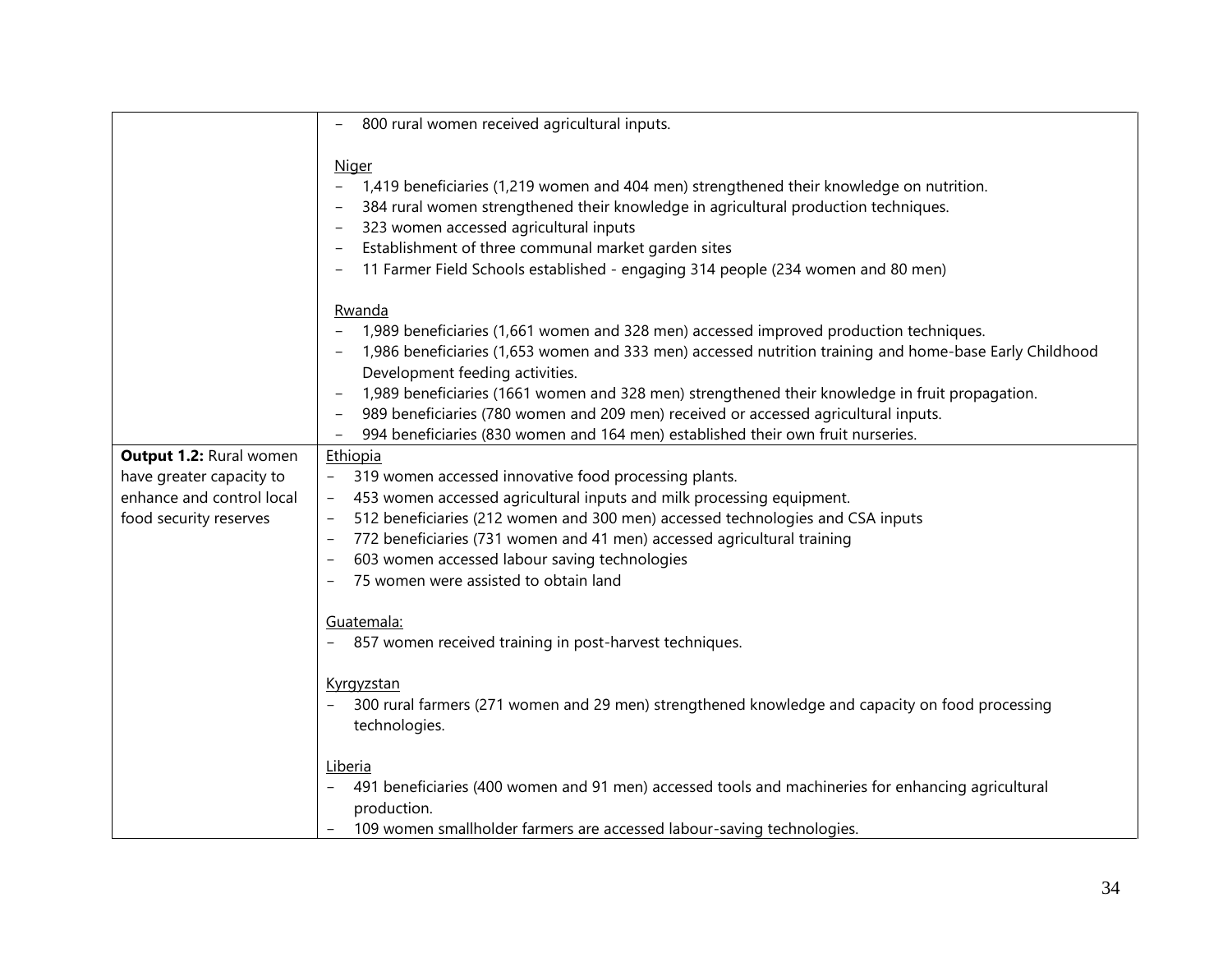|                                                                                                            | 800 rural women received agricultural inputs.                                                                                                                                                                                                                                                                                                                                                                                                                                                                                                                                                                    |
|------------------------------------------------------------------------------------------------------------|------------------------------------------------------------------------------------------------------------------------------------------------------------------------------------------------------------------------------------------------------------------------------------------------------------------------------------------------------------------------------------------------------------------------------------------------------------------------------------------------------------------------------------------------------------------------------------------------------------------|
|                                                                                                            | <u>Niger</u><br>1,419 beneficiaries (1,219 women and 404 men) strengthened their knowledge on nutrition.<br>$\overline{\phantom{a}}$<br>384 rural women strengthened their knowledge in agricultural production techniques.<br>323 women accessed agricultural inputs<br>$\overline{\phantom{a}}$<br>Establishment of three communal market garden sites<br>$\overline{\phantom{a}}$<br>11 Farmer Field Schools established - engaging 314 people (234 women and 80 men)                                                                                                                                         |
|                                                                                                            | Rwanda<br>1,989 beneficiaries (1,661 women and 328 men) accessed improved production techniques.<br>1,986 beneficiaries (1,653 women and 333 men) accessed nutrition training and home-base Early Childhood<br>Development feeding activities.<br>1,989 beneficiaries (1661 women and 328 men) strengthened their knowledge in fruit propagation.<br>$\overline{\phantom{m}}$<br>989 beneficiaries (780 women and 209 men) received or accessed agricultural inputs.<br>$\overline{\phantom{a}}$<br>994 beneficiaries (830 women and 164 men) established their own fruit nurseries.<br>$\overline{\phantom{m}}$ |
| Output 1.2: Rural women<br>have greater capacity to<br>enhance and control local<br>food security reserves | Ethiopia<br>319 women accessed innovative food processing plants.<br>453 women accessed agricultural inputs and milk processing equipment.<br>512 beneficiaries (212 women and 300 men) accessed technologies and CSA inputs<br>772 beneficiaries (731 women and 41 men) accessed agricultural training<br>603 women accessed labour saving technologies<br>75 women were assisted to obtain land<br>Guatemala:<br>857 women received training in post-harvest techniques.<br>Kyrgyzstan<br>300 rural farmers (271 women and 29 men) strengthened knowledge and capacity on food processing<br>technologies.     |
|                                                                                                            | Liberia<br>491 beneficiaries (400 women and 91 men) accessed tools and machineries for enhancing agricultural<br>$-$<br>production.<br>109 women smallholder farmers are accessed labour-saving technologies.                                                                                                                                                                                                                                                                                                                                                                                                    |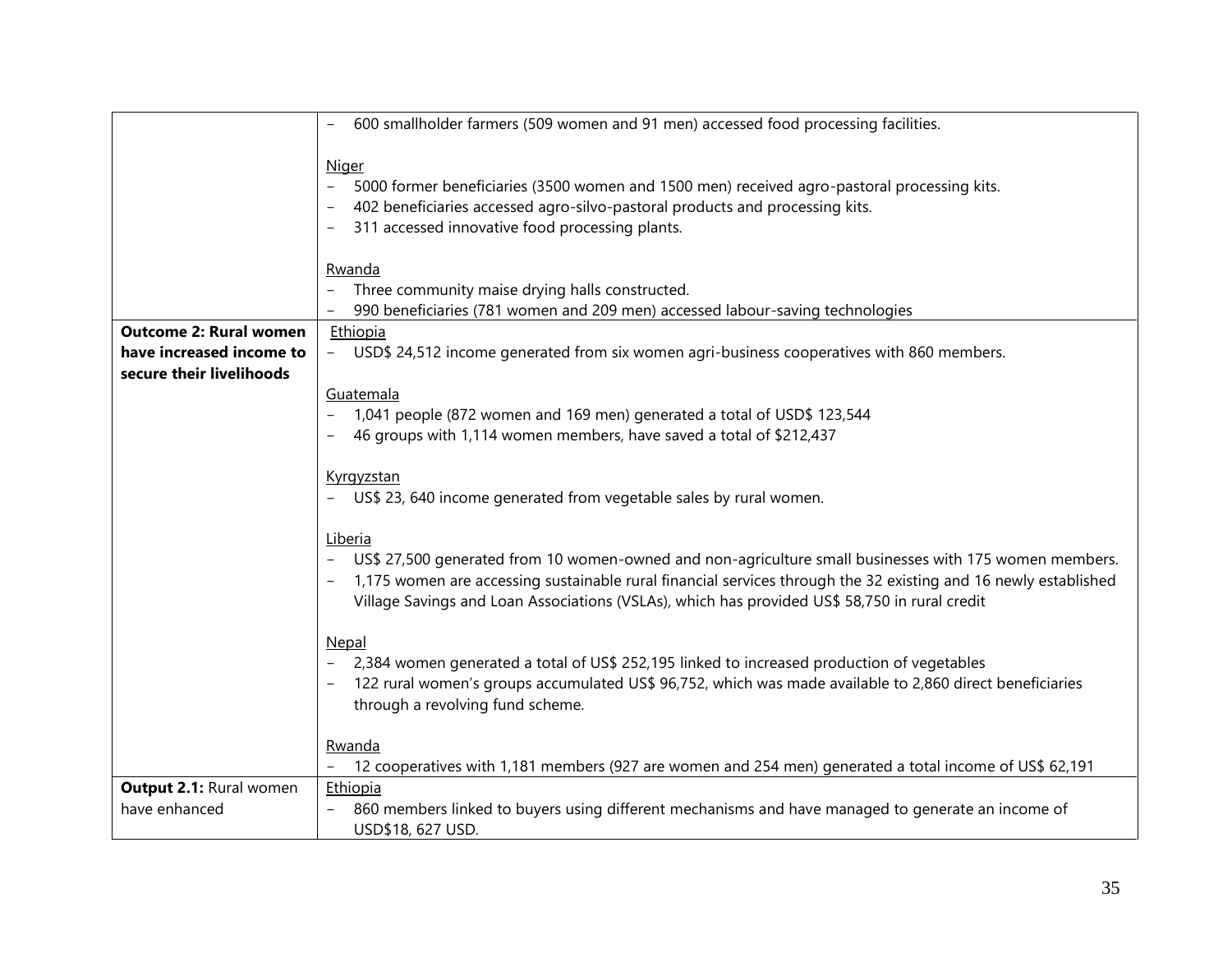|                                | 600 smallholder farmers (509 women and 91 men) accessed food processing facilities.                             |
|--------------------------------|-----------------------------------------------------------------------------------------------------------------|
|                                |                                                                                                                 |
|                                | <b>Niger</b>                                                                                                    |
|                                | $-$<br>5000 former beneficiaries (3500 women and 1500 men) received agro-pastoral processing kits.              |
|                                | 402 beneficiaries accessed agro-silvo-pastoral products and processing kits.                                    |
|                                | 311 accessed innovative food processing plants.                                                                 |
|                                |                                                                                                                 |
|                                | Rwanda                                                                                                          |
|                                | Three community maise drying halls constructed.                                                                 |
|                                | 990 beneficiaries (781 women and 209 men) accessed labour-saving technologies                                   |
| <b>Outcome 2: Rural women</b>  | Ethiopia                                                                                                        |
| have increased income to       | USD\$ 24,512 income generated from six women agri-business cooperatives with 860 members.                       |
| secure their livelihoods       |                                                                                                                 |
|                                | Guatemala                                                                                                       |
|                                | 1,041 people (872 women and 169 men) generated a total of USD\$ 123,544                                         |
|                                | 46 groups with 1,114 women members, have saved a total of \$212,437                                             |
|                                |                                                                                                                 |
|                                | Kyrgyzstan                                                                                                      |
|                                | - US\$ 23, 640 income generated from vegetable sales by rural women.                                            |
|                                |                                                                                                                 |
|                                | Liberia                                                                                                         |
|                                | US\$ 27,500 generated from 10 women-owned and non-agriculture small businesses with 175 women members.          |
|                                | 1,175 women are accessing sustainable rural financial services through the 32 existing and 16 newly established |
|                                | Village Savings and Loan Associations (VSLAs), which has provided US\$ 58,750 in rural credit                   |
|                                |                                                                                                                 |
|                                | Nepal                                                                                                           |
|                                | 2,384 women generated a total of US\$ 252,195 linked to increased production of vegetables                      |
|                                | 122 rural women's groups accumulated US\$ 96,752, which was made available to 2,860 direct beneficiaries        |
|                                | through a revolving fund scheme.                                                                                |
|                                |                                                                                                                 |
|                                | Rwanda                                                                                                          |
|                                | 12 cooperatives with 1,181 members (927 are women and 254 men) generated a total income of US\$ 62,191          |
| <b>Output 2.1: Rural women</b> | Ethiopia                                                                                                        |
| have enhanced                  | 860 members linked to buyers using different mechanisms and have managed to generate an income of               |
|                                | USD\$18, 627 USD.                                                                                               |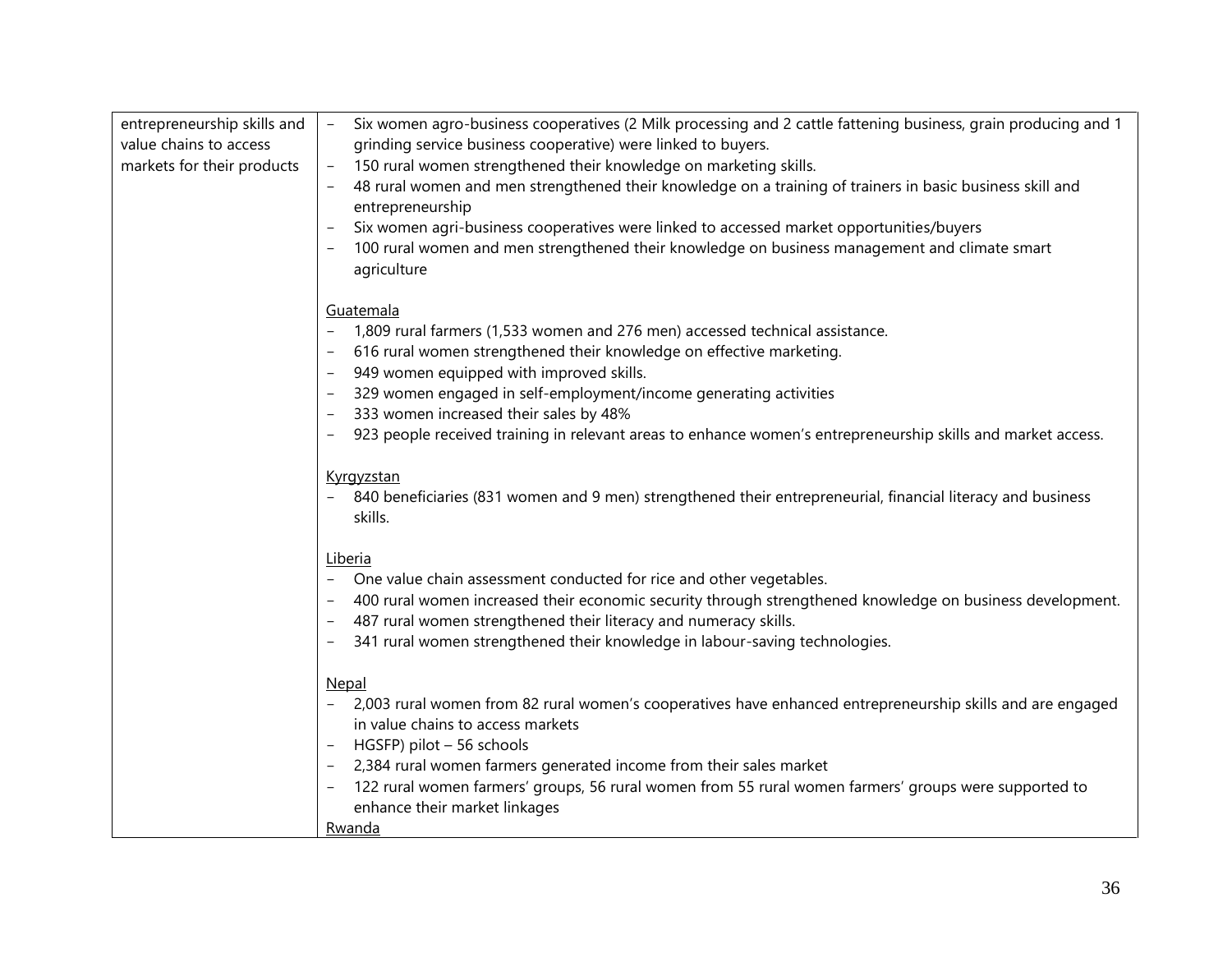| entrepreneurship skills and | Six women agro-business cooperatives (2 Milk processing and 2 cattle fattening business, grain producing and 1<br>$\equiv$                                                    |
|-----------------------------|-------------------------------------------------------------------------------------------------------------------------------------------------------------------------------|
| value chains to access      | grinding service business cooperative) were linked to buyers.                                                                                                                 |
| markets for their products  | 150 rural women strengthened their knowledge on marketing skills.                                                                                                             |
|                             | 48 rural women and men strengthened their knowledge on a training of trainers in basic business skill and<br>entrepreneurship                                                 |
|                             | Six women agri-business cooperatives were linked to accessed market opportunities/buyers                                                                                      |
|                             | 100 rural women and men strengthened their knowledge on business management and climate smart<br>agriculture                                                                  |
|                             | Guatemala                                                                                                                                                                     |
|                             | 1,809 rural farmers (1,533 women and 276 men) accessed technical assistance.                                                                                                  |
|                             | 616 rural women strengthened their knowledge on effective marketing.                                                                                                          |
|                             | 949 women equipped with improved skills.                                                                                                                                      |
|                             | 329 women engaged in self-employment/income generating activities                                                                                                             |
|                             | 333 women increased their sales by 48%                                                                                                                                        |
|                             | 923 people received training in relevant areas to enhance women's entrepreneurship skills and market access.                                                                  |
|                             |                                                                                                                                                                               |
|                             | Kyrgyzstan<br>840 beneficiaries (831 women and 9 men) strengthened their entrepreneurial, financial literacy and business<br>skills.                                          |
|                             | Liberia                                                                                                                                                                       |
|                             | One value chain assessment conducted for rice and other vegetables.                                                                                                           |
|                             | 400 rural women increased their economic security through strengthened knowledge on business development.<br>487 rural women strengthened their literacy and numeracy skills. |
|                             | 341 rural women strengthened their knowledge in labour-saving technologies.                                                                                                   |
|                             |                                                                                                                                                                               |
|                             | Nepal                                                                                                                                                                         |
|                             | 2,003 rural women from 82 rural women's cooperatives have enhanced entrepreneurship skills and are engaged                                                                    |
|                             | in value chains to access markets                                                                                                                                             |
|                             | HGSFP) pilot - 56 schools                                                                                                                                                     |
|                             | 2,384 rural women farmers generated income from their sales market                                                                                                            |
|                             | 122 rural women farmers' groups, 56 rural women from 55 rural women farmers' groups were supported to                                                                         |
|                             | enhance their market linkages                                                                                                                                                 |
|                             | Rwanda                                                                                                                                                                        |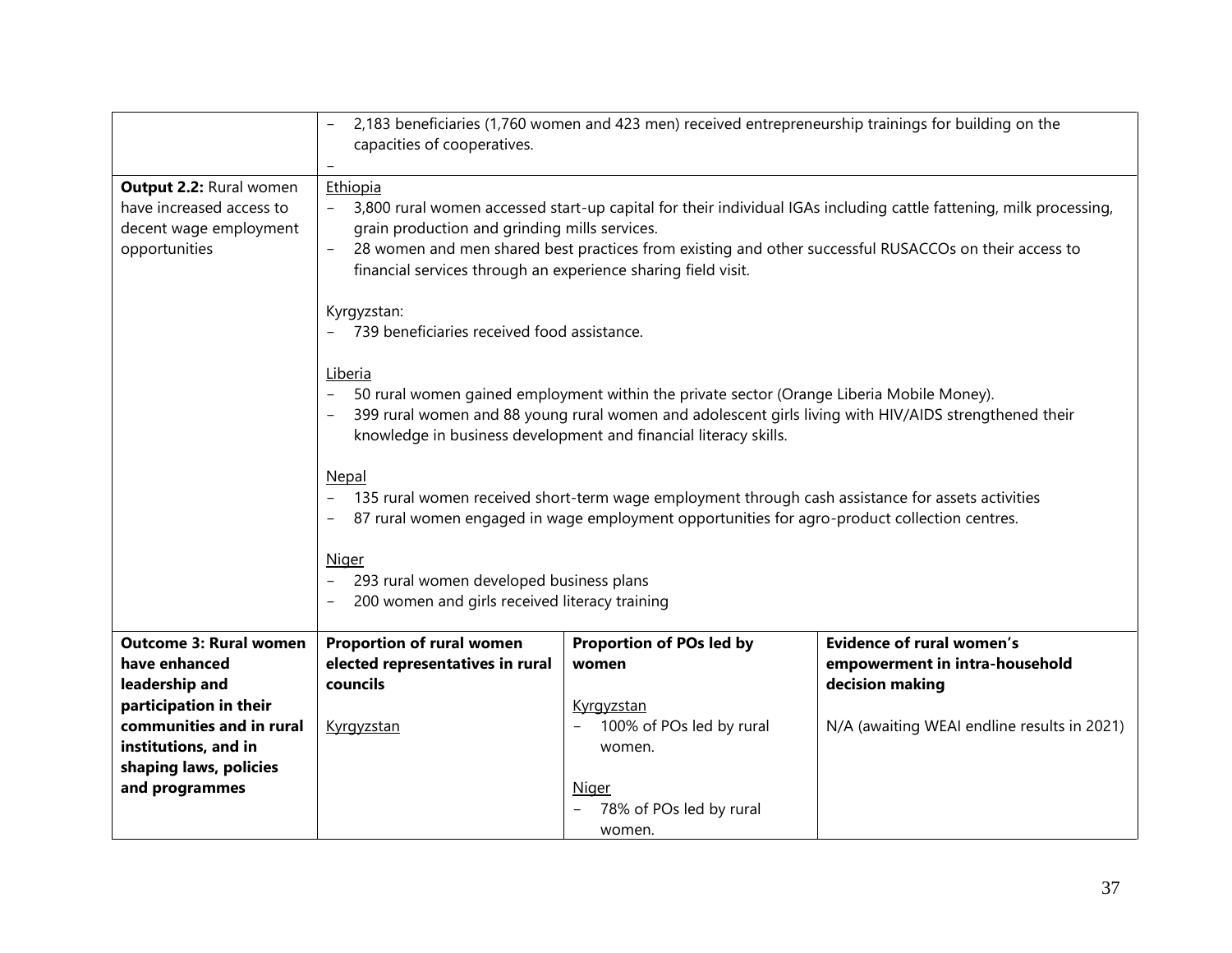|                               | 2,183 beneficiaries (1,760 women and 423 men) received entrepreneurship trainings for building on the                                                                                                                                                                                                                                                |                          |                                                                                                                    |  |
|-------------------------------|------------------------------------------------------------------------------------------------------------------------------------------------------------------------------------------------------------------------------------------------------------------------------------------------------------------------------------------------------|--------------------------|--------------------------------------------------------------------------------------------------------------------|--|
|                               | capacities of cooperatives.                                                                                                                                                                                                                                                                                                                          |                          |                                                                                                                    |  |
|                               |                                                                                                                                                                                                                                                                                                                                                      |                          |                                                                                                                    |  |
| Output 2.2: Rural women       | Ethiopia                                                                                                                                                                                                                                                                                                                                             |                          |                                                                                                                    |  |
| have increased access to      |                                                                                                                                                                                                                                                                                                                                                      |                          | 3,800 rural women accessed start-up capital for their individual IGAs including cattle fattening, milk processing, |  |
| decent wage employment        | grain production and grinding mills services.<br>28 women and men shared best practices from existing and other successful RUSACCOs on their access to                                                                                                                                                                                               |                          |                                                                                                                    |  |
| opportunities                 | financial services through an experience sharing field visit.                                                                                                                                                                                                                                                                                        |                          |                                                                                                                    |  |
|                               | Kyrgyzstan:<br>739 beneficiaries received food assistance.                                                                                                                                                                                                                                                                                           |                          |                                                                                                                    |  |
|                               | Liberia<br>50 rural women gained employment within the private sector (Orange Liberia Mobile Money).<br>399 rural women and 88 young rural women and adolescent girls living with HIV/AIDS strengthened their<br>knowledge in business development and financial literacy skills.                                                                    |                          |                                                                                                                    |  |
|                               | Nepal<br>135 rural women received short-term wage employment through cash assistance for assets activities<br>$\overline{\phantom{0}}$<br>87 rural women engaged in wage employment opportunities for agro-product collection centres.<br><b>Niger</b><br>293 rural women developed business plans<br>200 women and girls received literacy training |                          |                                                                                                                    |  |
| <b>Outcome 3: Rural women</b> | Proportion of rural women                                                                                                                                                                                                                                                                                                                            | Proportion of POs led by | <b>Evidence of rural women's</b>                                                                                   |  |
| have enhanced                 | elected representatives in rural                                                                                                                                                                                                                                                                                                                     | women                    | empowerment in intra-household                                                                                     |  |
| leadership and                | councils                                                                                                                                                                                                                                                                                                                                             |                          | decision making                                                                                                    |  |
| participation in their        |                                                                                                                                                                                                                                                                                                                                                      | Kyrgyzstan               |                                                                                                                    |  |
| communities and in rural      | Kyrgyzstan                                                                                                                                                                                                                                                                                                                                           | 100% of POs led by rural | N/A (awaiting WEAI endline results in 2021)                                                                        |  |
| institutions, and in          |                                                                                                                                                                                                                                                                                                                                                      | women.                   |                                                                                                                    |  |
| shaping laws, policies        |                                                                                                                                                                                                                                                                                                                                                      |                          |                                                                                                                    |  |
| and programmes                |                                                                                                                                                                                                                                                                                                                                                      | <b>Niger</b>             |                                                                                                                    |  |
|                               |                                                                                                                                                                                                                                                                                                                                                      | 78% of POs led by rural  |                                                                                                                    |  |
|                               |                                                                                                                                                                                                                                                                                                                                                      | women.                   |                                                                                                                    |  |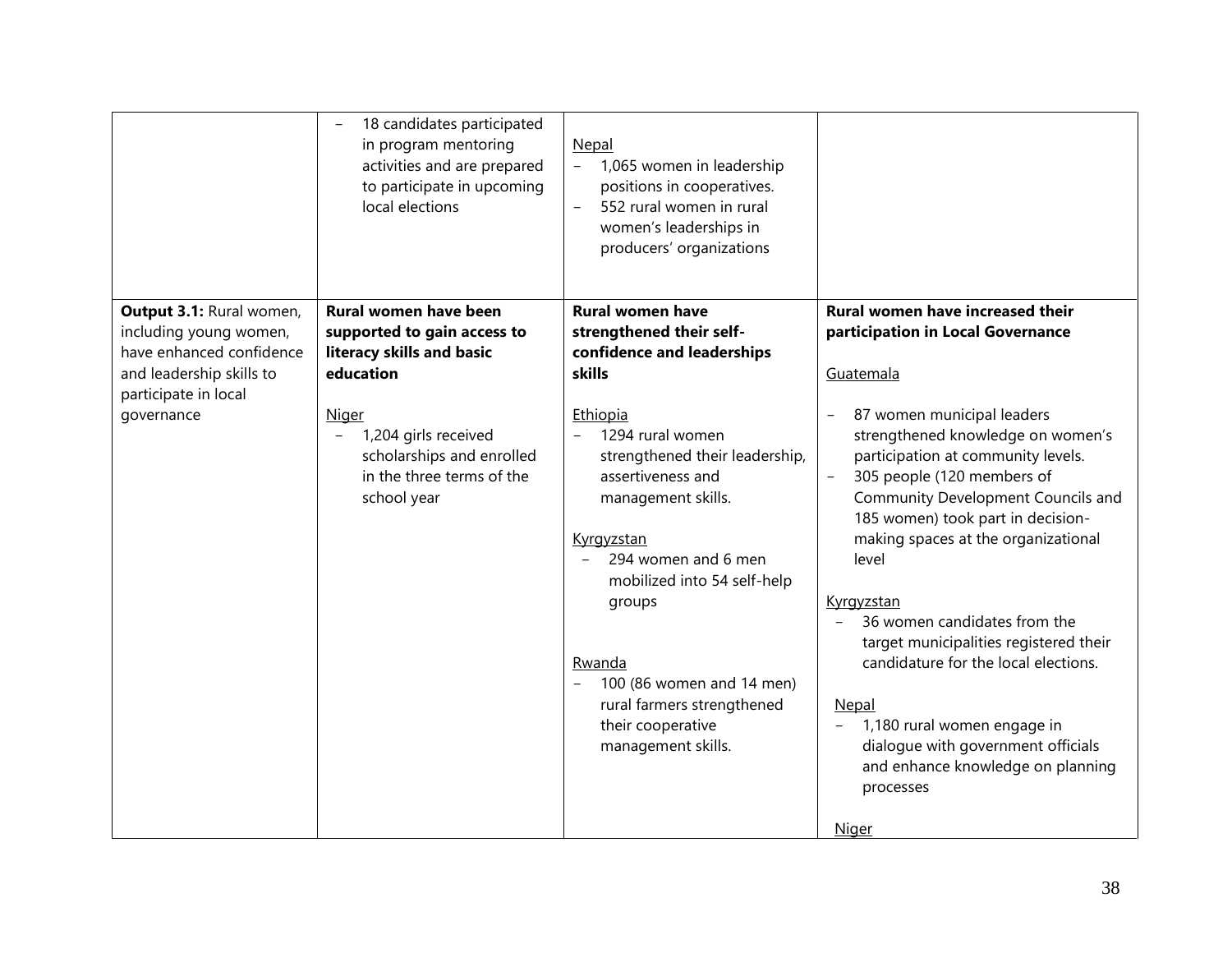|                                                                                                                                                  | 18 candidates participated<br>in program mentoring<br>activities and are prepared<br>to participate in upcoming<br>local elections                                                                                                          | Nepal<br>1,065 women in leadership<br>positions in cooperatives.<br>552 rural women in rural<br>women's leaderships in<br>producers' organizations                                                                                                                                                                                                                                                            |                                                                                                                                                                                                                                                                                                                                                                                                                                                                                                                                                                                                                                                                         |
|--------------------------------------------------------------------------------------------------------------------------------------------------|---------------------------------------------------------------------------------------------------------------------------------------------------------------------------------------------------------------------------------------------|---------------------------------------------------------------------------------------------------------------------------------------------------------------------------------------------------------------------------------------------------------------------------------------------------------------------------------------------------------------------------------------------------------------|-------------------------------------------------------------------------------------------------------------------------------------------------------------------------------------------------------------------------------------------------------------------------------------------------------------------------------------------------------------------------------------------------------------------------------------------------------------------------------------------------------------------------------------------------------------------------------------------------------------------------------------------------------------------------|
| Output 3.1: Rural women,<br>including young women,<br>have enhanced confidence<br>and leadership skills to<br>participate in local<br>governance | Rural women have been<br>supported to gain access to<br>literacy skills and basic<br>education<br><b>Niger</b><br>1,204 girls received<br>$\overline{\phantom{0}}$<br>scholarships and enrolled<br>in the three terms of the<br>school year | <b>Rural women have</b><br>strengthened their self-<br>confidence and leaderships<br>skills<br>Ethiopia<br>1294 rural women<br>$-$<br>strengthened their leadership,<br>assertiveness and<br>management skills.<br>Kyrgyzstan<br>294 women and 6 men<br>mobilized into 54 self-help<br>groups<br>Rwanda<br>100 (86 women and 14 men)<br>rural farmers strengthened<br>their cooperative<br>management skills. | <b>Rural women have increased their</b><br>participation in Local Governance<br>Guatemala<br>87 women municipal leaders<br>strengthened knowledge on women's<br>participation at community levels.<br>305 people (120 members of<br>$\overline{\phantom{a}}$<br>Community Development Councils and<br>185 women) took part in decision-<br>making spaces at the organizational<br>level<br>Kyrgyzstan<br>36 women candidates from the<br>target municipalities registered their<br>candidature for the local elections.<br>Nepal<br>1,180 rural women engage in<br>dialogue with government officials<br>and enhance knowledge on planning<br>processes<br><b>Niger</b> |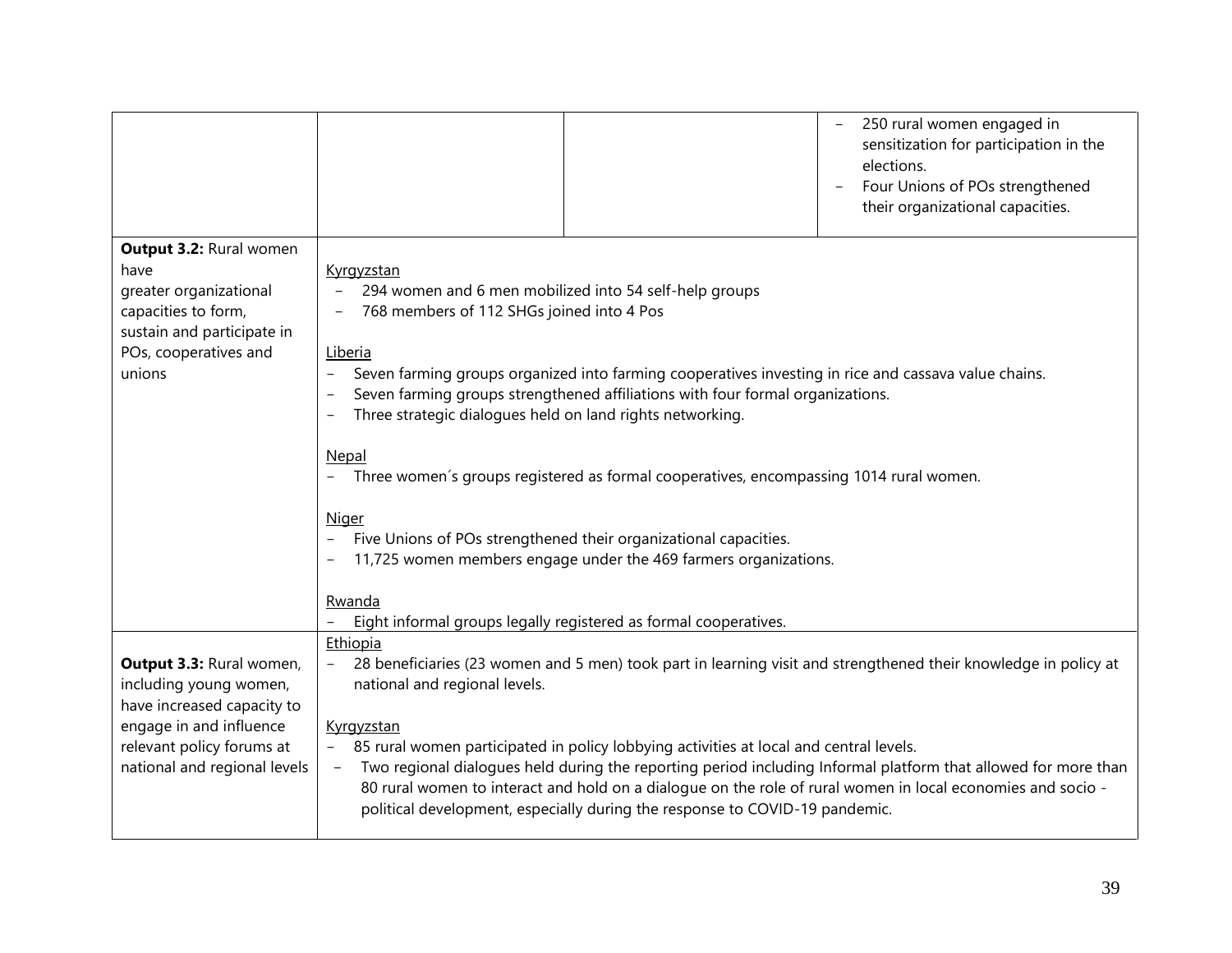|                                                                                                                                                                          |                                                                                                                                                                                                                                                                                                                                                                                                                                                                                                                                                                                                                                                                                                                              | 250 rural women engaged in<br>sensitization for participation in the<br>elections.<br>Four Unions of POs strengthened<br>their organizational capacities. |
|--------------------------------------------------------------------------------------------------------------------------------------------------------------------------|------------------------------------------------------------------------------------------------------------------------------------------------------------------------------------------------------------------------------------------------------------------------------------------------------------------------------------------------------------------------------------------------------------------------------------------------------------------------------------------------------------------------------------------------------------------------------------------------------------------------------------------------------------------------------------------------------------------------------|-----------------------------------------------------------------------------------------------------------------------------------------------------------|
| Output 3.2: Rural women<br>have<br>greater organizational<br>capacities to form,<br>sustain and participate in<br>POs, cooperatives and<br>unions                        | Kyrgyzstan<br>294 women and 6 men mobilized into 54 self-help groups<br>768 members of 112 SHGs joined into 4 Pos<br>Liberia<br>Seven farming groups organized into farming cooperatives investing in rice and cassava value chains.<br>Seven farming groups strengthened affiliations with four formal organizations.<br>Three strategic dialogues held on land rights networking.<br>Nepal<br>Three women's groups registered as formal cooperatives, encompassing 1014 rural women.<br><b>Niger</b><br>Five Unions of POs strengthened their organizational capacities.<br>11,725 women members engage under the 469 farmers organizations.<br>Rwanda<br>Eight informal groups legally registered as formal cooperatives. |                                                                                                                                                           |
| Output 3.3: Rural women,<br>including young women,<br>have increased capacity to<br>engage in and influence<br>relevant policy forums at<br>national and regional levels | Ethiopia<br>28 beneficiaries (23 women and 5 men) took part in learning visit and strengthened their knowledge in policy at<br>national and regional levels.<br>Kyrgyzstan<br>85 rural women participated in policy lobbying activities at local and central levels.<br>Two regional dialogues held during the reporting period including Informal platform that allowed for more than<br>$\overline{\phantom{a}}$<br>80 rural women to interact and hold on a dialogue on the role of rural women in local economies and socio -<br>political development, especially during the response to COVID-19 pandemic.                                                                                                             |                                                                                                                                                           |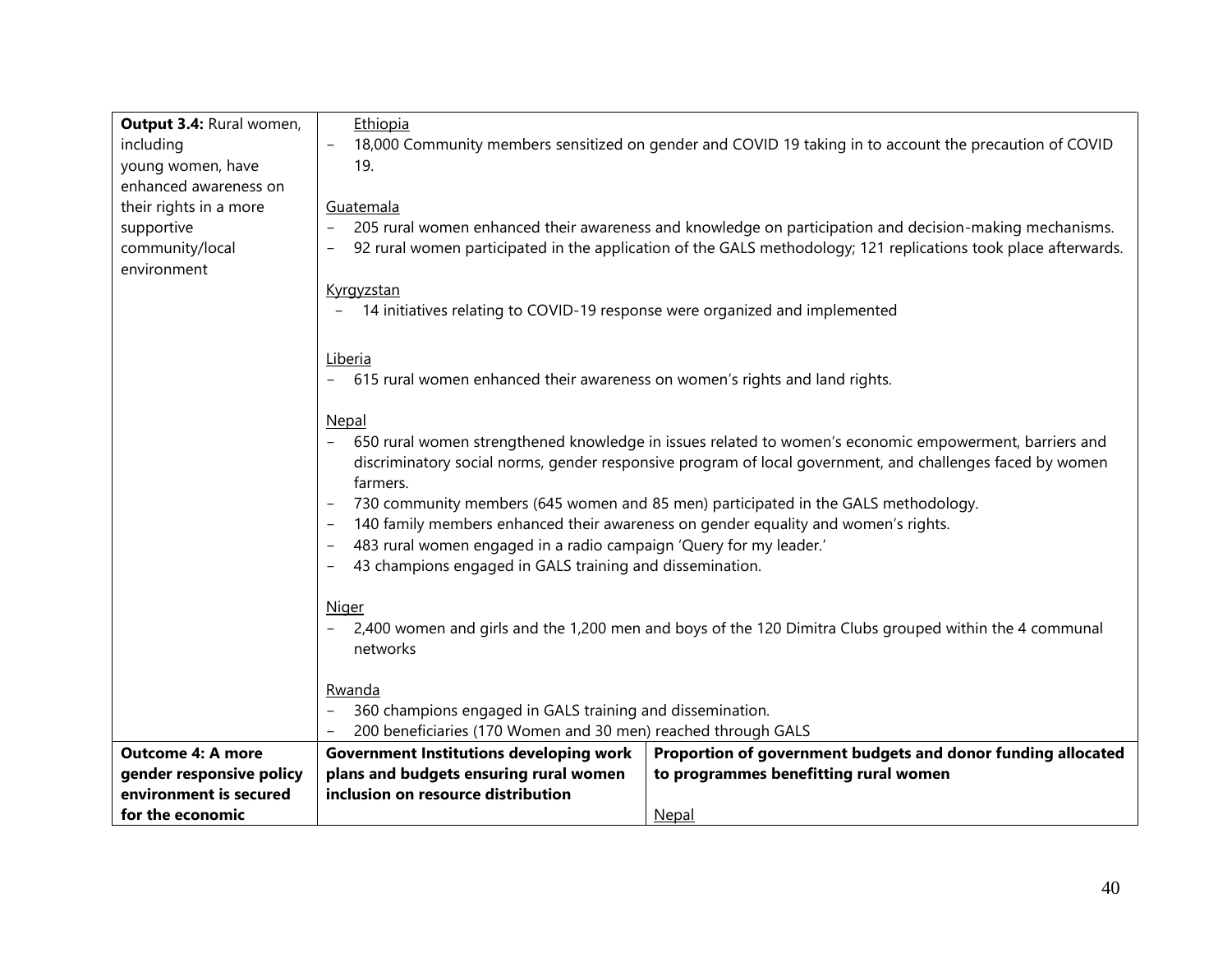| Output 3.4: Rural women, | Ethiopia                                                                                                                            |                                                                                                           |  |  |  |
|--------------------------|-------------------------------------------------------------------------------------------------------------------------------------|-----------------------------------------------------------------------------------------------------------|--|--|--|
| including                | 18,000 Community members sensitized on gender and COVID 19 taking in to account the precaution of COVID                             |                                                                                                           |  |  |  |
| young women, have        | 19.                                                                                                                                 |                                                                                                           |  |  |  |
| enhanced awareness on    |                                                                                                                                     |                                                                                                           |  |  |  |
| their rights in a more   | Guatemala                                                                                                                           |                                                                                                           |  |  |  |
| supportive               | 205 rural women enhanced their awareness and knowledge on participation and decision-making mechanisms.<br>$\overline{\phantom{a}}$ |                                                                                                           |  |  |  |
| community/local          | 92 rural women participated in the application of the GALS methodology; 121 replications took place afterwards.                     |                                                                                                           |  |  |  |
| environment              |                                                                                                                                     |                                                                                                           |  |  |  |
|                          | Kyrgyzstan                                                                                                                          |                                                                                                           |  |  |  |
|                          | 14 initiatives relating to COVID-19 response were organized and implemented                                                         |                                                                                                           |  |  |  |
|                          |                                                                                                                                     |                                                                                                           |  |  |  |
|                          |                                                                                                                                     |                                                                                                           |  |  |  |
|                          | Liberia                                                                                                                             |                                                                                                           |  |  |  |
|                          | 615 rural women enhanced their awareness on women's rights and land rights.<br>$ \,$                                                |                                                                                                           |  |  |  |
|                          |                                                                                                                                     |                                                                                                           |  |  |  |
|                          | Nepal                                                                                                                               |                                                                                                           |  |  |  |
|                          |                                                                                                                                     | 650 rural women strengthened knowledge in issues related to women's economic empowerment, barriers and    |  |  |  |
|                          |                                                                                                                                     | discriminatory social norms, gender responsive program of local government, and challenges faced by women |  |  |  |
|                          | farmers.                                                                                                                            |                                                                                                           |  |  |  |
|                          | 730 community members (645 women and 85 men) participated in the GALS methodology.                                                  |                                                                                                           |  |  |  |
|                          |                                                                                                                                     | 140 family members enhanced their awareness on gender equality and women's rights.                        |  |  |  |
|                          | 483 rural women engaged in a radio campaign 'Query for my leader.'                                                                  |                                                                                                           |  |  |  |
|                          | 43 champions engaged in GALS training and dissemination.                                                                            |                                                                                                           |  |  |  |
|                          |                                                                                                                                     |                                                                                                           |  |  |  |
|                          | <b>Niger</b>                                                                                                                        |                                                                                                           |  |  |  |
|                          |                                                                                                                                     | 2,400 women and girls and the 1,200 men and boys of the 120 Dimitra Clubs grouped within the 4 communal   |  |  |  |
|                          | networks                                                                                                                            |                                                                                                           |  |  |  |
|                          |                                                                                                                                     |                                                                                                           |  |  |  |
|                          | Rwanda                                                                                                                              |                                                                                                           |  |  |  |
|                          | 360 champions engaged in GALS training and dissemination.                                                                           |                                                                                                           |  |  |  |
|                          | 200 beneficiaries (170 Women and 30 men) reached through GALS                                                                       |                                                                                                           |  |  |  |
| <b>Outcome 4: A more</b> | <b>Government Institutions developing work</b>                                                                                      | Proportion of government budgets and donor funding allocated                                              |  |  |  |
| gender responsive policy | plans and budgets ensuring rural women                                                                                              | to programmes benefitting rural women                                                                     |  |  |  |
| environment is secured   | inclusion on resource distribution                                                                                                  |                                                                                                           |  |  |  |
| for the economic         |                                                                                                                                     | <b>Nepal</b>                                                                                              |  |  |  |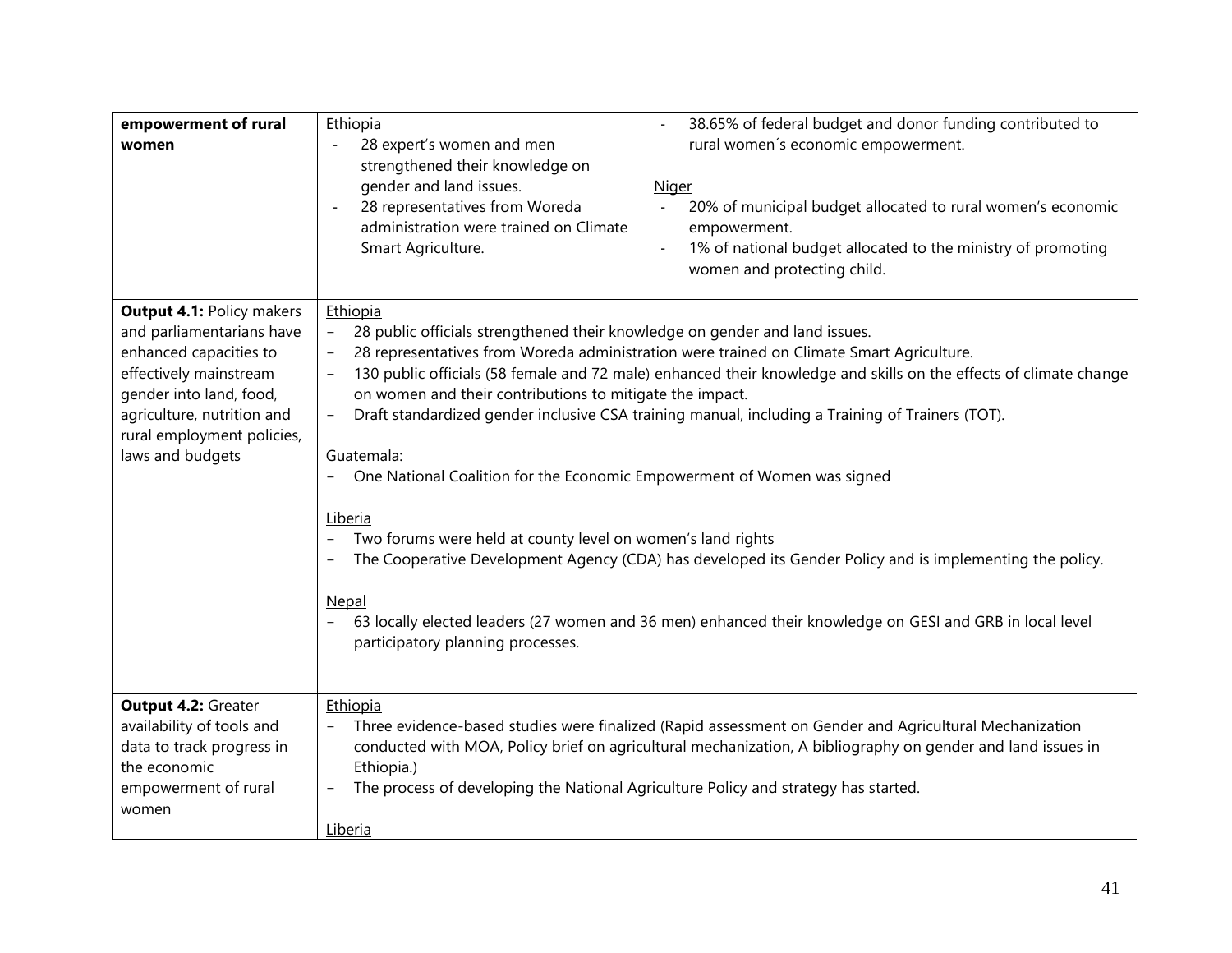| empowerment of rural<br>women<br><b>Output 4.1: Policy makers</b><br>and parliamentarians have<br>enhanced capacities to<br>effectively mainstream<br>gender into land, food,<br>agriculture, nutrition and<br>rural employment policies,<br>laws and budgets | Ethiopia<br>28 expert's women and men<br>$\ddot{\phantom{a}}$<br>strengthened their knowledge on<br>gender and land issues.<br>28 representatives from Woreda<br>administration were trained on Climate<br>Smart Agriculture.<br>Ethiopia<br>28 public officials strengthened their knowledge on gender and land issues.<br>$\overline{\phantom{a}}$<br>on women and their contributions to mitigate the impact.<br>$\overline{\phantom{a}}$<br>Guatemala:<br>One National Coalition for the Economic Empowerment of Women was signed<br>Liberia<br>Two forums were held at county level on women's land rights | 38.65% of federal budget and donor funding contributed to<br>$\blacksquare$<br>rural women's economic empowerment.<br><b>Niger</b><br>20% of municipal budget allocated to rural women's economic<br>$\blacksquare$<br>empowerment.<br>1% of national budget allocated to the ministry of promoting<br>women and protecting child.<br>28 representatives from Woreda administration were trained on Climate Smart Agriculture.<br>130 public officials (58 female and 72 male) enhanced their knowledge and skills on the effects of climate change<br>Draft standardized gender inclusive CSA training manual, including a Training of Trainers (TOT). |
|---------------------------------------------------------------------------------------------------------------------------------------------------------------------------------------------------------------------------------------------------------------|-----------------------------------------------------------------------------------------------------------------------------------------------------------------------------------------------------------------------------------------------------------------------------------------------------------------------------------------------------------------------------------------------------------------------------------------------------------------------------------------------------------------------------------------------------------------------------------------------------------------|---------------------------------------------------------------------------------------------------------------------------------------------------------------------------------------------------------------------------------------------------------------------------------------------------------------------------------------------------------------------------------------------------------------------------------------------------------------------------------------------------------------------------------------------------------------------------------------------------------------------------------------------------------|
| Output 4.2: Greater<br>availability of tools and<br>data to track progress in<br>the economic                                                                                                                                                                 | Nepal<br>participatory planning processes.<br>Ethiopia<br>Ethiopia.)                                                                                                                                                                                                                                                                                                                                                                                                                                                                                                                                            | The Cooperative Development Agency (CDA) has developed its Gender Policy and is implementing the policy.<br>63 locally elected leaders (27 women and 36 men) enhanced their knowledge on GESI and GRB in local level<br>Three evidence-based studies were finalized (Rapid assessment on Gender and Agricultural Mechanization<br>conducted with MOA, Policy brief on agricultural mechanization, A bibliography on gender and land issues in                                                                                                                                                                                                           |
| empowerment of rural<br>women                                                                                                                                                                                                                                 | The process of developing the National Agriculture Policy and strategy has started.<br>Liberia                                                                                                                                                                                                                                                                                                                                                                                                                                                                                                                  |                                                                                                                                                                                                                                                                                                                                                                                                                                                                                                                                                                                                                                                         |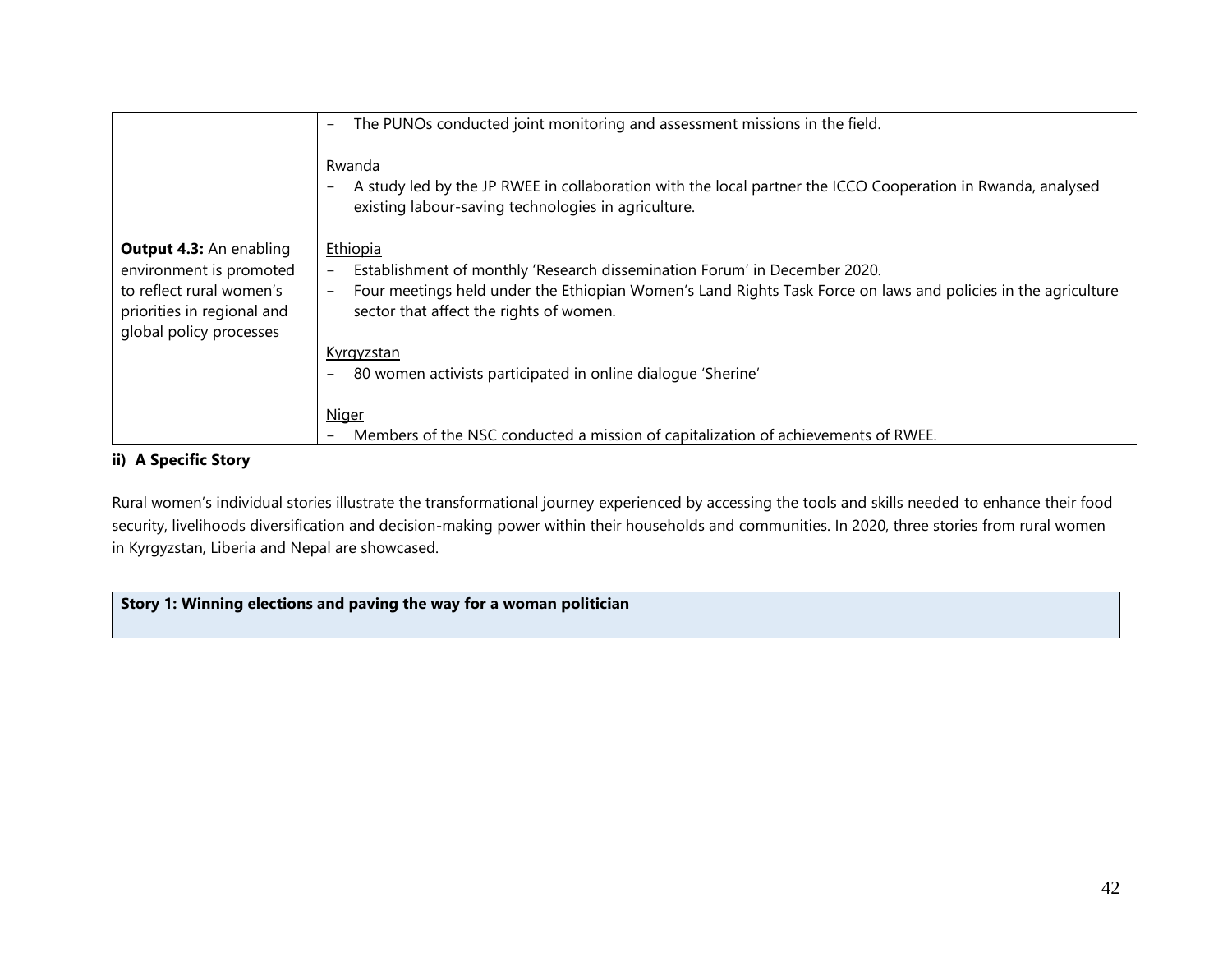|                                                       | The PUNOs conducted joint monitoring and assessment missions in the field.<br>$-$<br>Rwanda<br>A study led by the JP RWEE in collaboration with the local partner the ICCO Cooperation in Rwanda, analysed |
|-------------------------------------------------------|------------------------------------------------------------------------------------------------------------------------------------------------------------------------------------------------------------|
|                                                       | existing labour-saving technologies in agriculture.                                                                                                                                                        |
| <b>Output 4.3: An enabling</b>                        | Ethiopia                                                                                                                                                                                                   |
| environment is promoted<br>to reflect rural women's   | Establishment of monthly 'Research dissemination Forum' in December 2020.<br>Four meetings held under the Ethiopian Women's Land Rights Task Force on laws and policies in the agriculture                 |
| priorities in regional and<br>global policy processes | sector that affect the rights of women.                                                                                                                                                                    |
|                                                       | <u>Kyrgyzstan</u>                                                                                                                                                                                          |
|                                                       | 80 women activists participated in online dialogue 'Sherine'                                                                                                                                               |
|                                                       | <b>Niger</b>                                                                                                                                                                                               |
|                                                       | Members of the NSC conducted a mission of capitalization of achievements of RWEE.                                                                                                                          |

### **ii) A Specific Story**

Rural women's individual stories illustrate the transformational journey experienced by accessing the tools and skills needed to enhance their food security, livelihoods diversification and decision-making power within their households and communities. In 2020, three stories from rural women in Kyrgyzstan, Liberia and Nepal are showcased.

### <span id="page-41-0"></span>**Story 1: Winning elections and paving the way for a woman politician**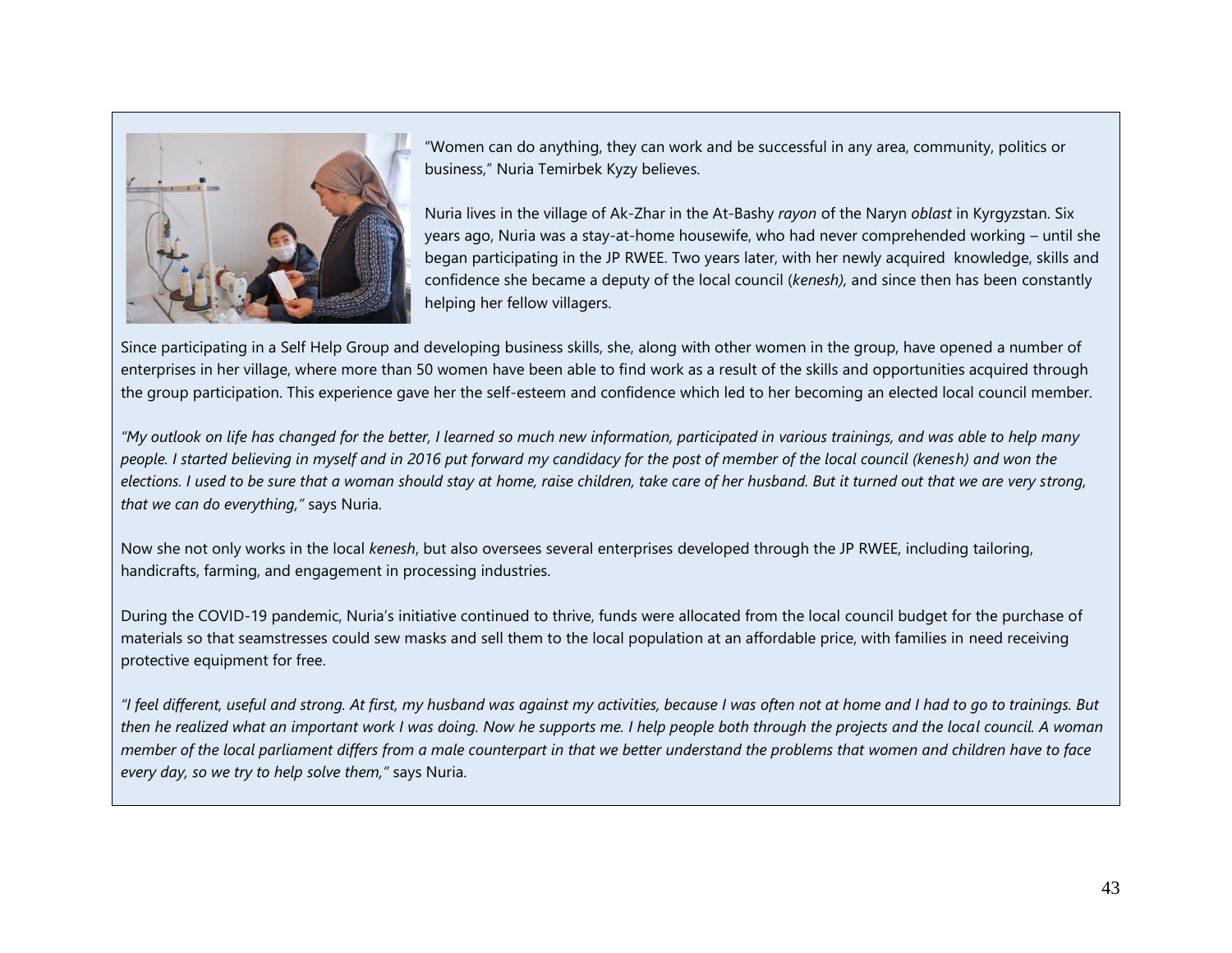

"Women can do anything, they can work and be successful in any area, community, politics or business," Nuria Temirbek Kyzy believes.

Nuria lives in the village of Ak-Zhar in the At-Bashy *rayon* of the Naryn *oblast* in Kyrgyzstan. Six years ago, Nuria was a stay-at-home housewife, who had never comprehended working – until she began participating in the JP RWEE. Two years later, with her newly acquired knowledge, skills and confidence she became a deputy of the local council (*kenesh),* and since then has been constantly helping her fellow villagers.

Since participating in a Self Help Group and developing business skills, she, along with other women in the group, have opened a number of enterprises in her village, where more than 50 women have been able to find work as a result of the skills and opportunities acquired through the group participation. This experience gave her the self-esteem and confidence which led to her becoming an elected local council member.

*"My outlook on life has changed for the better, I learned so much new information, participated in various trainings, and was able to help many people. I started believing in myself and in 2016 put forward my candidacy for the post of member of the local council (kenesh) and won the elections. I used to be sure that a woman should stay at home, raise children, take care of her husband. But it turned out that we are very strong, that we can do everything,"* says Nuria.

Now she not only works in the local *kenesh*, but also oversees several enterprises developed through the JP RWEE, including tailoring, handicrafts, farming, and engagement in processing industries.

During the COVID-19 pandemic, Nuria's initiative continued to thrive, funds were allocated from the local council budget for the purchase of materials so that seamstresses could sew masks and sell them to the local population at an affordable price, with families in need receiving protective equipment for free.

*"I feel different, useful and strong. At first, my husband was against my activities, because I was often not at home and I had to go to trainings. But then he realized what an important work I was doing. Now he supports me. I help people both through the projects and the local council. A woman member of the local parliament differs from a male counterpart in that we better understand the problems that women and children have to face every day, so we try to help solve them,"* says Nuria.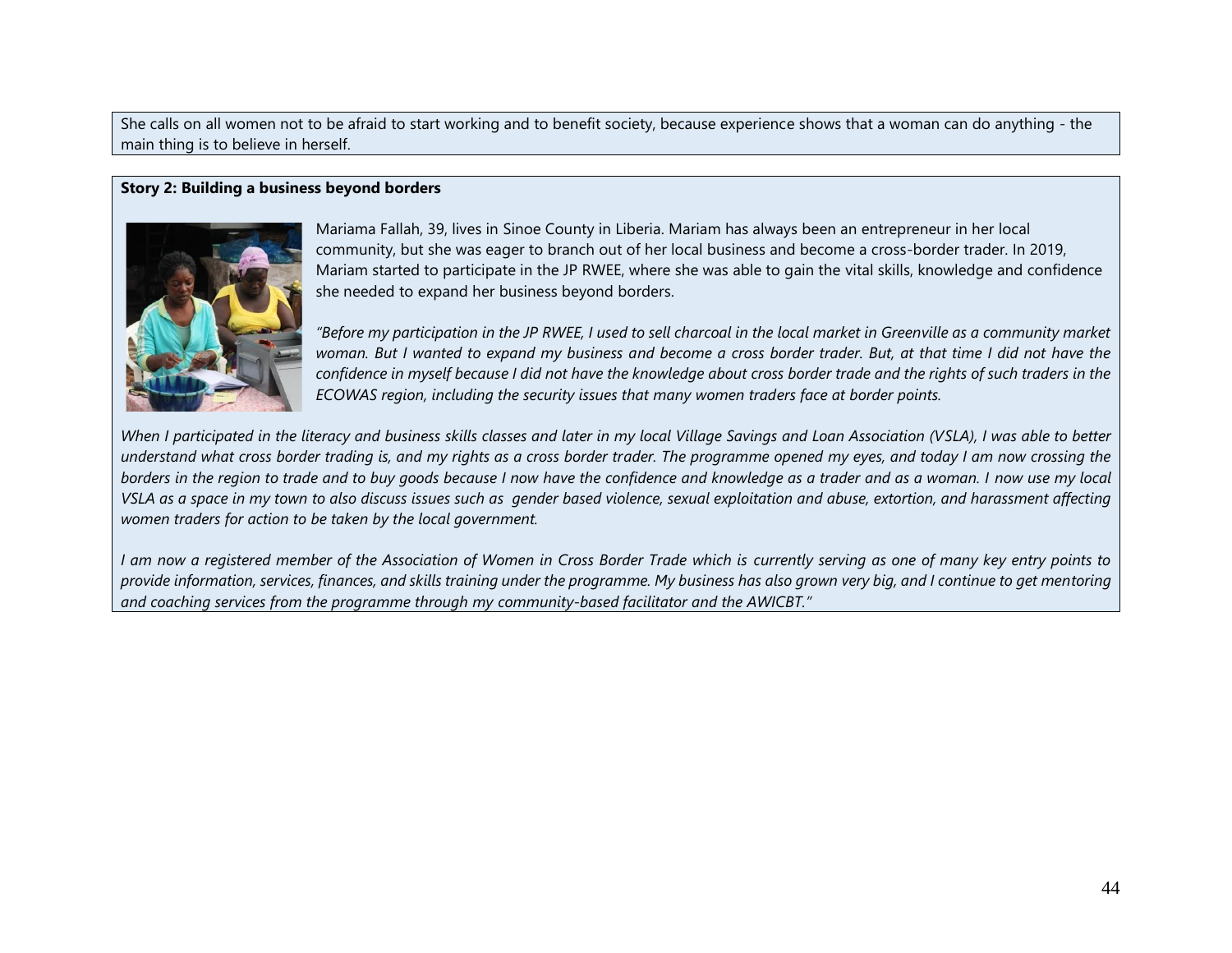She calls on all women not to be afraid to start working and to benefit society, because experience shows that a woman can do anything - the main thing is to believe in herself.

#### **Story 2: Building a business beyond borders**



Mariama Fallah, 39, lives in Sinoe County in Liberia. Mariam has always been an entrepreneur in her local community, but she was eager to branch out of her local business and become a cross-border trader. In 2019, Mariam started to participate in the JP RWEE, where she was able to gain the vital skills, knowledge and confidence she needed to expand her business beyond borders.

*"Before my participation in the JP RWEE, I used to sell charcoal in the local market in Greenville as a community market*  woman. But I wanted to expand my business and become a cross border trader. But, at that time I did not have the *confidence in myself because I did not have the knowledge about cross border trade and the rights of such traders in the ECOWAS region, including the security issues that many women traders face at border points.* 

*When I participated in the literacy and business skills classes and later in my local Village Savings and Loan Association (VSLA), I was able to better understand what cross border trading is, and my rights as a cross border trader. The programme opened my eyes, and today I am now crossing the borders in the region to trade and to buy goods because I now have the confidence and knowledge as a trader and as a woman. I now use my local VSLA as a space in my town to also discuss issues such as gender based violence, sexual exploitation and abuse, extortion, and harassment affecting women traders for action to be taken by the local government.* 

*I am now a registered member of the Association of Women in Cross Border Trade which is currently serving as one of many key entry points to provide information, services, finances, and skills training under the programme. My business has also grown very big, and I continue to get mentoring and coaching services from the programme through my community-based facilitator and the AWICBT."*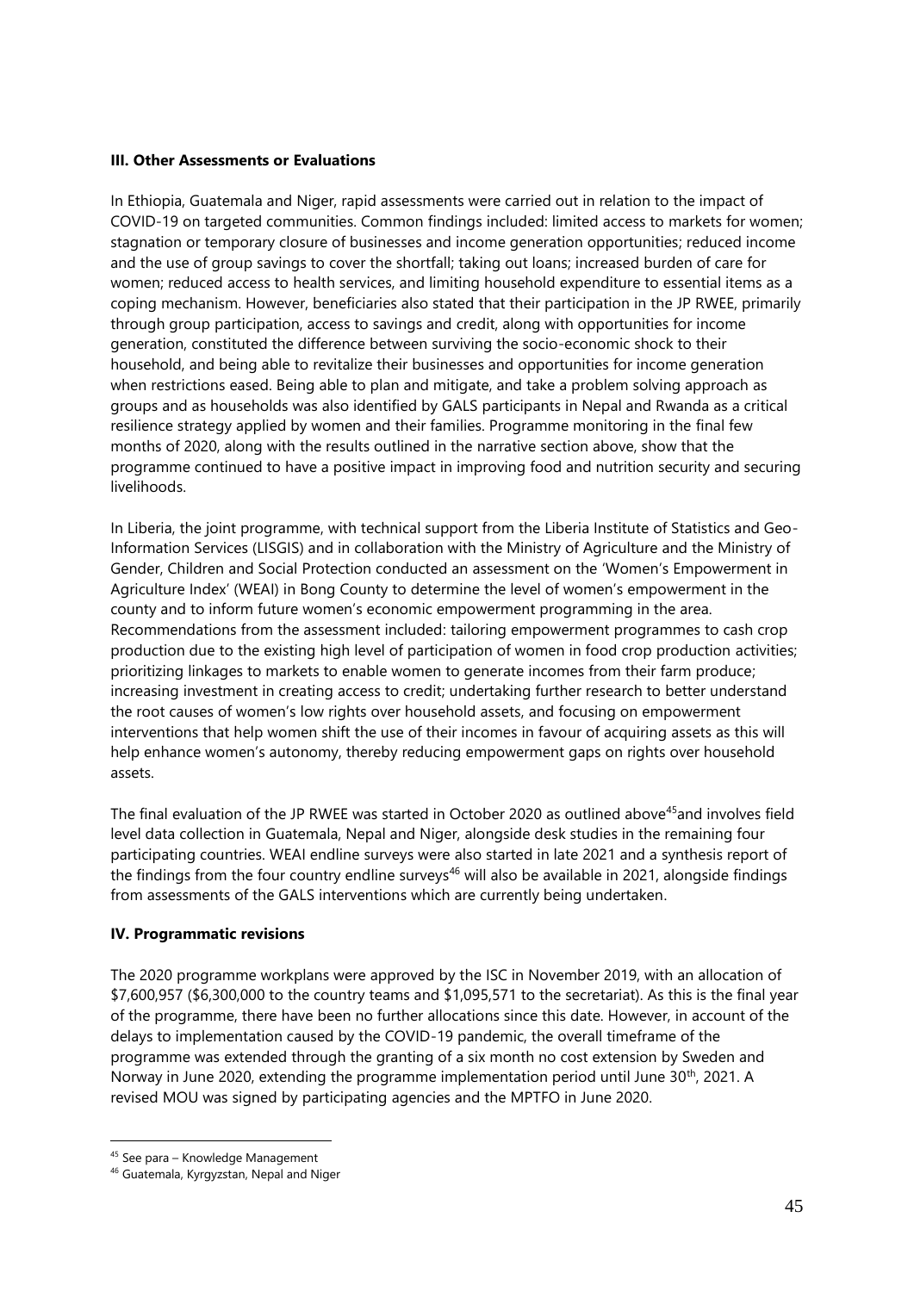#### <span id="page-44-0"></span>**III. Other Assessments or Evaluations**

In Ethiopia, Guatemala and Niger, rapid assessments were carried out in relation to the impact of COVID-19 on targeted communities. Common findings included: limited access to markets for women; stagnation or temporary closure of businesses and income generation opportunities; reduced income and the use of group savings to cover the shortfall; taking out loans; increased burden of care for women; reduced access to health services, and limiting household expenditure to essential items as a coping mechanism. However, beneficiaries also stated that their participation in the JP RWEE, primarily through group participation, access to savings and credit, along with opportunities for income generation, constituted the difference between surviving the socio-economic shock to their household, and being able to revitalize their businesses and opportunities for income generation when restrictions eased. Being able to plan and mitigate, and take a problem solving approach as groups and as households was also identified by GALS participants in Nepal and Rwanda as a critical resilience strategy applied by women and their families. Programme monitoring in the final few months of 2020, along with the results outlined in the narrative section above, show that the programme continued to have a positive impact in improving food and nutrition security and securing livelihoods.

In Liberia, the joint programme, with technical support from the Liberia Institute of Statistics and Geo-Information Services (LISGIS) and in collaboration with the Ministry of Agriculture and the Ministry of Gender, Children and Social Protection conducted an assessment on the 'Women's Empowerment in Agriculture Index' (WEAI) in Bong County to determine the level of women's empowerment in the county and to inform future women's economic empowerment programming in the area. Recommendations from the assessment included: tailoring empowerment programmes to cash crop production due to the existing high level of participation of women in food crop production activities; prioritizing linkages to markets to enable women to generate incomes from their farm produce; increasing investment in creating access to credit; undertaking further research to better understand the root causes of women's low rights over household assets, and focusing on empowerment interventions that help women shift the use of their incomes in favour of acquiring assets as this will help enhance women's autonomy, thereby reducing empowerment gaps on rights over household assets.

The final evaluation of the JP RWEE was started in October 2020 as outlined above<sup>45</sup>and involves field level data collection in Guatemala, Nepal and Niger, alongside desk studies in the remaining four participating countries. WEAI endline surveys were also started in late 2021 and a synthesis report of the findings from the four country endline surveys<sup>46</sup> will also be available in 2021, alongside findings from assessments of the GALS interventions which are currently being undertaken.

### <span id="page-44-1"></span>**IV. Programmatic revisions**

The 2020 programme workplans were approved by the ISC in November 2019, with an allocation of \$7,600,957 (\$6,300,000 to the country teams and \$1,095,571 to the secretariat). As this is the final year of the programme, there have been no further allocations since this date. However, in account of the delays to implementation caused by the COVID-19 pandemic, the overall timeframe of the programme was extended through the granting of a six month no cost extension by Sweden and Norway in June 2020, extending the programme implementation period until June  $30<sup>th</sup>$ , 2021. A revised MOU was signed by participating agencies and the MPTFO in June 2020.

<sup>45</sup> See para – Knowledge Management

<sup>46</sup> Guatemala, Kyrgyzstan, Nepal and Niger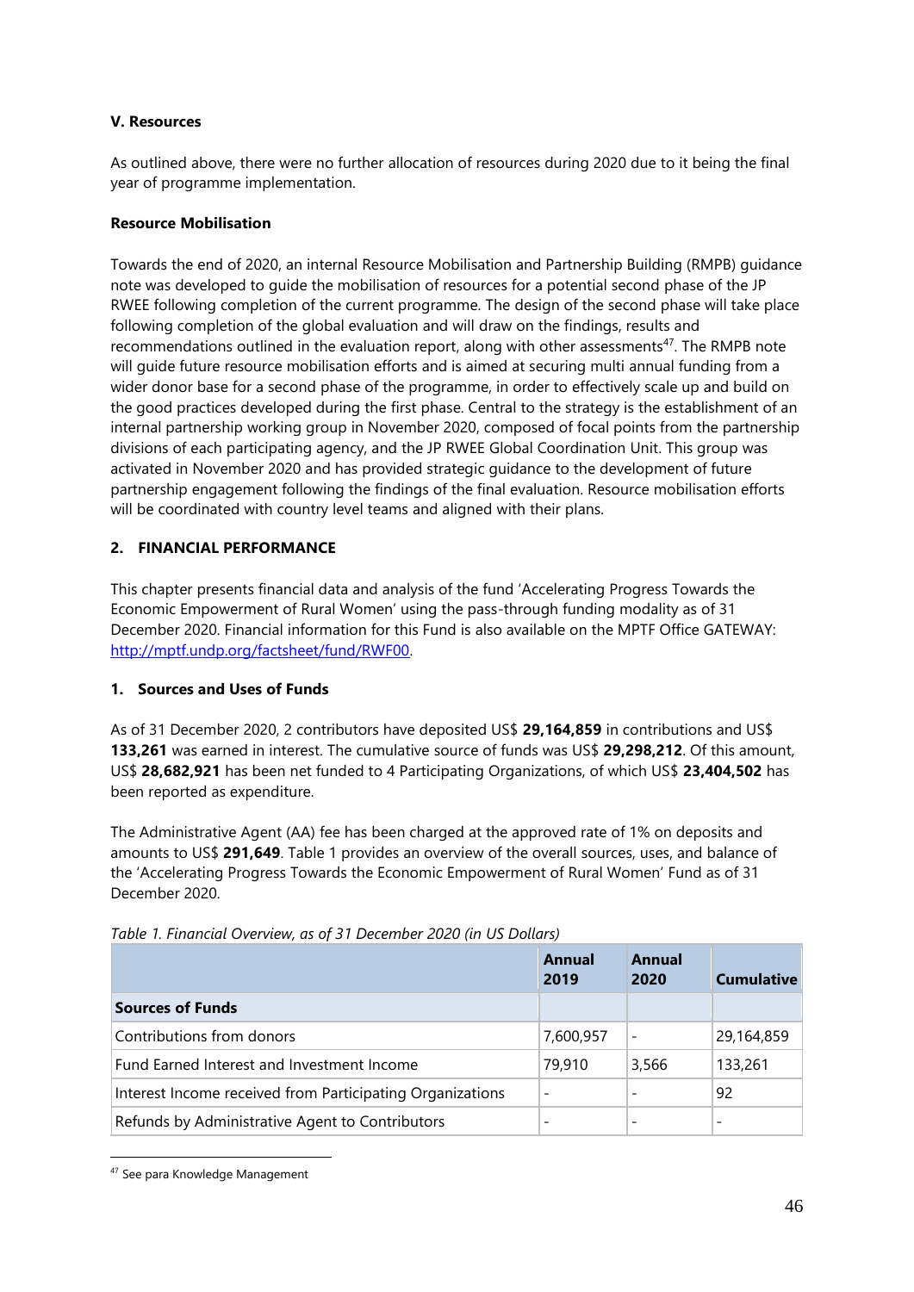#### <span id="page-45-0"></span>**V. Resources**

As outlined above, there were no further allocation of resources during 2020 due to it being the final year of programme implementation.

#### **Resource Mobilisation**

Towards the end of 2020, an internal Resource Mobilisation and Partnership Building (RMPB) guidance note was developed to guide the mobilisation of resources for a potential second phase of the JP RWEE following completion of the current programme. The design of the second phase will take place following completion of the global evaluation and will draw on the findings, results and recommendations outlined in the evaluation report, along with other assessments<sup>47</sup>. The RMPB note will guide future resource mobilisation efforts and is aimed at securing multi annual funding from a wider donor base for a second phase of the programme, in order to effectively scale up and build on the good practices developed during the first phase. Central to the strategy is the establishment of an internal partnership working group in November 2020, composed of focal points from the partnership divisions of each participating agency, and the JP RWEE Global Coordination Unit. This group was activated in November 2020 and has provided strategic guidance to the development of future partnership engagement following the findings of the final evaluation. Resource mobilisation efforts will be coordinated with country level teams and aligned with their plans.

### <span id="page-45-1"></span>**2. FINANCIAL PERFORMANCE**

This chapter presents financial data and analysis of the fund 'Accelerating Progress Towards the Economic Empowerment of Rural Women' using the pass-through funding modality as of 31 December 2020. Financial information for this Fund is also available on the MPTF Office GATEWAY: [http://mptf.undp.org/factsheet/fund/RWF00.](http://mptf.undp.org/factsheet/fund/RWF00)

### <span id="page-45-2"></span>**1. Sources and Uses of Funds**

As of 31 December 2020, 2 contributors have deposited US\$ **29,164,859** in contributions and US\$ **133,261** was earned in interest. The cumulative source of funds was US\$ **29,298,212**. Of this amount, US\$ **28,682,921** has been net funded to 4 Participating Organizations, of which US\$ **23,404,502** has been reported as expenditure.

The Administrative Agent (AA) fee has been charged at the approved rate of 1% on deposits and amounts to US\$ **291,649**. Table 1 provides an overview of the overall sources, uses, and balance of the 'Accelerating Progress Towards the Economic Empowerment of Rural Women' Fund as of 31 December 2020.

|                                                           | Annual<br>2019           | Annual<br>2020           | <b>Cumulative</b> |
|-----------------------------------------------------------|--------------------------|--------------------------|-------------------|
| <b>Sources of Funds</b>                                   |                          |                          |                   |
| Contributions from donors                                 | 7,600,957                | $\overline{\phantom{a}}$ | 29,164,859        |
| Fund Earned Interest and Investment Income                | 79,910                   | 3,566                    | 133,261           |
| Interest Income received from Participating Organizations | $\overline{\phantom{a}}$ | $\overline{\phantom{a}}$ | 92                |
| Refunds by Administrative Agent to Contributors           |                          |                          |                   |

*Table 1. Financial Overview, as of 31 December 2020 (in US Dollars)*

<sup>47</sup> See para Knowledge Management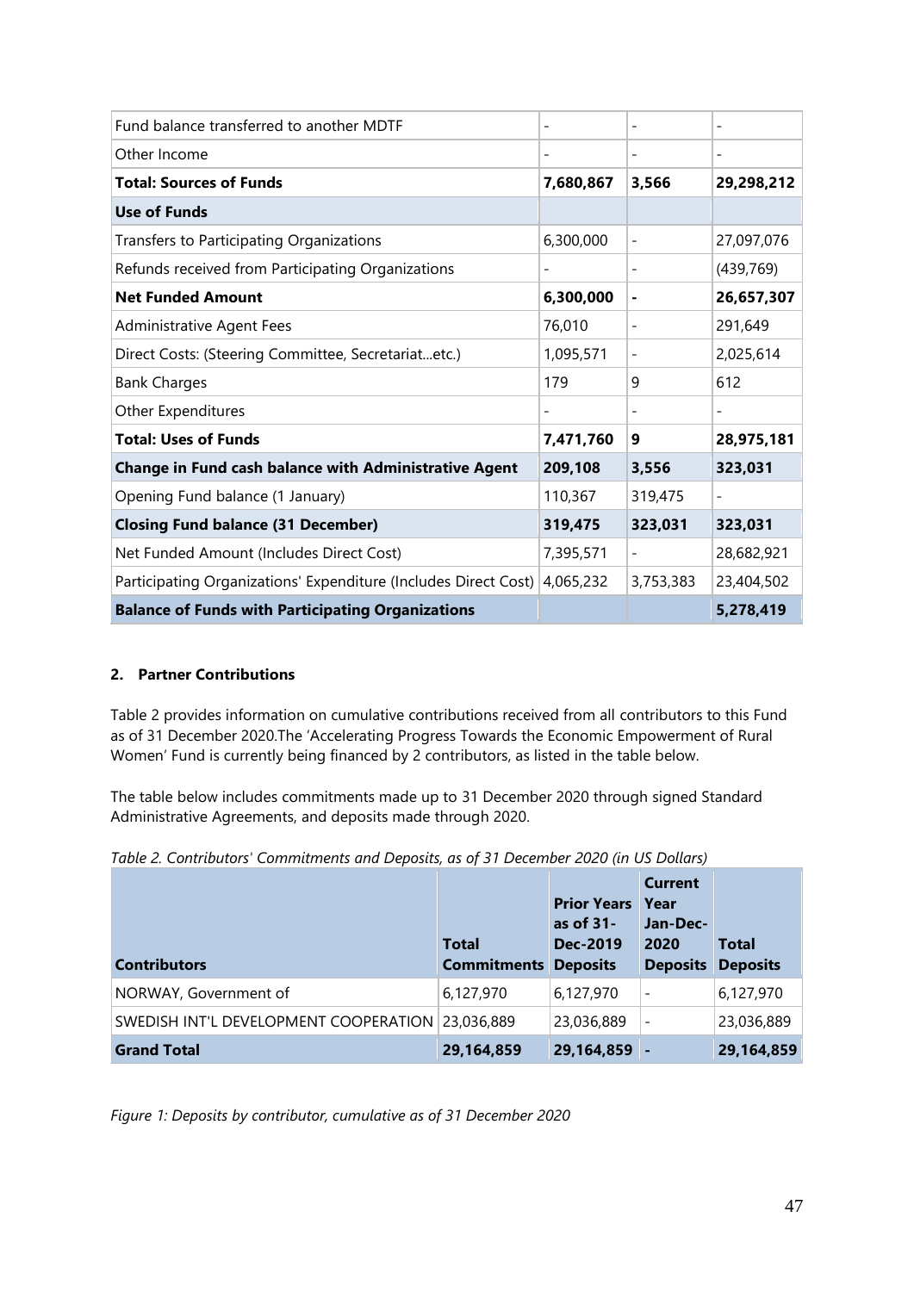| Fund balance transferred to another MDTF                        |                          | $\overline{\phantom{a}}$ | $\overline{a}$               |
|-----------------------------------------------------------------|--------------------------|--------------------------|------------------------------|
| Other Income                                                    | $\overline{\phantom{a}}$ | $\overline{\phantom{a}}$ | $\qquad \qquad \blacksquare$ |
| <b>Total: Sources of Funds</b>                                  | 7,680,867                | 3,566                    | 29,298,212                   |
| <b>Use of Funds</b>                                             |                          |                          |                              |
| Transfers to Participating Organizations                        | 6,300,000                | $\overline{\phantom{a}}$ | 27,097,076                   |
| Refunds received from Participating Organizations               |                          | $\overline{\phantom{a}}$ | (439, 769)                   |
| <b>Net Funded Amount</b>                                        | 6,300,000                | $\blacksquare$           | 26,657,307                   |
| <b>Administrative Agent Fees</b>                                | 76,010                   | $\overline{\phantom{a}}$ | 291,649                      |
| Direct Costs: (Steering Committee, Secretariatetc.)             | 1,095,571                |                          | 2,025,614                    |
| <b>Bank Charges</b>                                             | 179                      | 9                        | 612                          |
| Other Expenditures                                              | $\qquad \qquad -$        | $\overline{\phantom{a}}$ | $\overline{\phantom{a}}$     |
| <b>Total: Uses of Funds</b>                                     | 7,471,760                | 9                        | 28,975,181                   |
| <b>Change in Fund cash balance with Administrative Agent</b>    | 209,108                  | 3,556                    | 323,031                      |
| Opening Fund balance (1 January)                                | 110,367                  | 319,475                  | $\overline{\phantom{0}}$     |
| <b>Closing Fund balance (31 December)</b>                       | 319,475                  | 323,031                  | 323,031                      |
| Net Funded Amount (Includes Direct Cost)                        | 7,395,571                |                          | 28,682,921                   |
| Participating Organizations' Expenditure (Includes Direct Cost) | 4,065,232                | 3,753,383                | 23,404,502                   |
| <b>Balance of Funds with Participating Organizations</b>        |                          |                          | 5,278,419                    |

### <span id="page-46-0"></span>**2. Partner Contributions**

Table 2 provides information on cumulative contributions received from all contributors to this Fund as of 31 December 2020.The 'Accelerating Progress Towards the Economic Empowerment of Rural Women' Fund is currently being financed by 2 contributors, as listed in the table below.

The table below includes commitments made up to 31 December 2020 through signed Standard Administrative Agreements, and deposits made through 2020.

|  |  |  |  | Table 2. Contributors' Commitments and Deposits, as of 31 December 2020 (in US Dollars) |
|--|--|--|--|-----------------------------------------------------------------------------------------|
|--|--|--|--|-----------------------------------------------------------------------------------------|

| <b>Contributors</b>                              | <b>Total</b><br><b>Commitments</b> | <b>Prior Years</b><br>as of 31-<br>Dec-2019<br><b>Deposits</b> | <b>Current</b><br><b>Year</b><br>Jan-Dec-<br>2020<br><b>Deposits Deposits</b> | <b>Total</b> |
|--------------------------------------------------|------------------------------------|----------------------------------------------------------------|-------------------------------------------------------------------------------|--------------|
| NORWAY, Government of                            | 6,127,970                          | 6,127,970                                                      | $\qquad \qquad$                                                               | 6,127,970    |
| SWEDISH INT'L DEVELOPMENT COOPERATION 23,036,889 |                                    | 23,036,889                                                     |                                                                               | 23,036,889   |
| <b>Grand Total</b>                               | 29,164,859                         | 29,164,859                                                     |                                                                               | 29,164,859   |

*Figure 1: Deposits by contributor, cumulative as of 31 December 2020*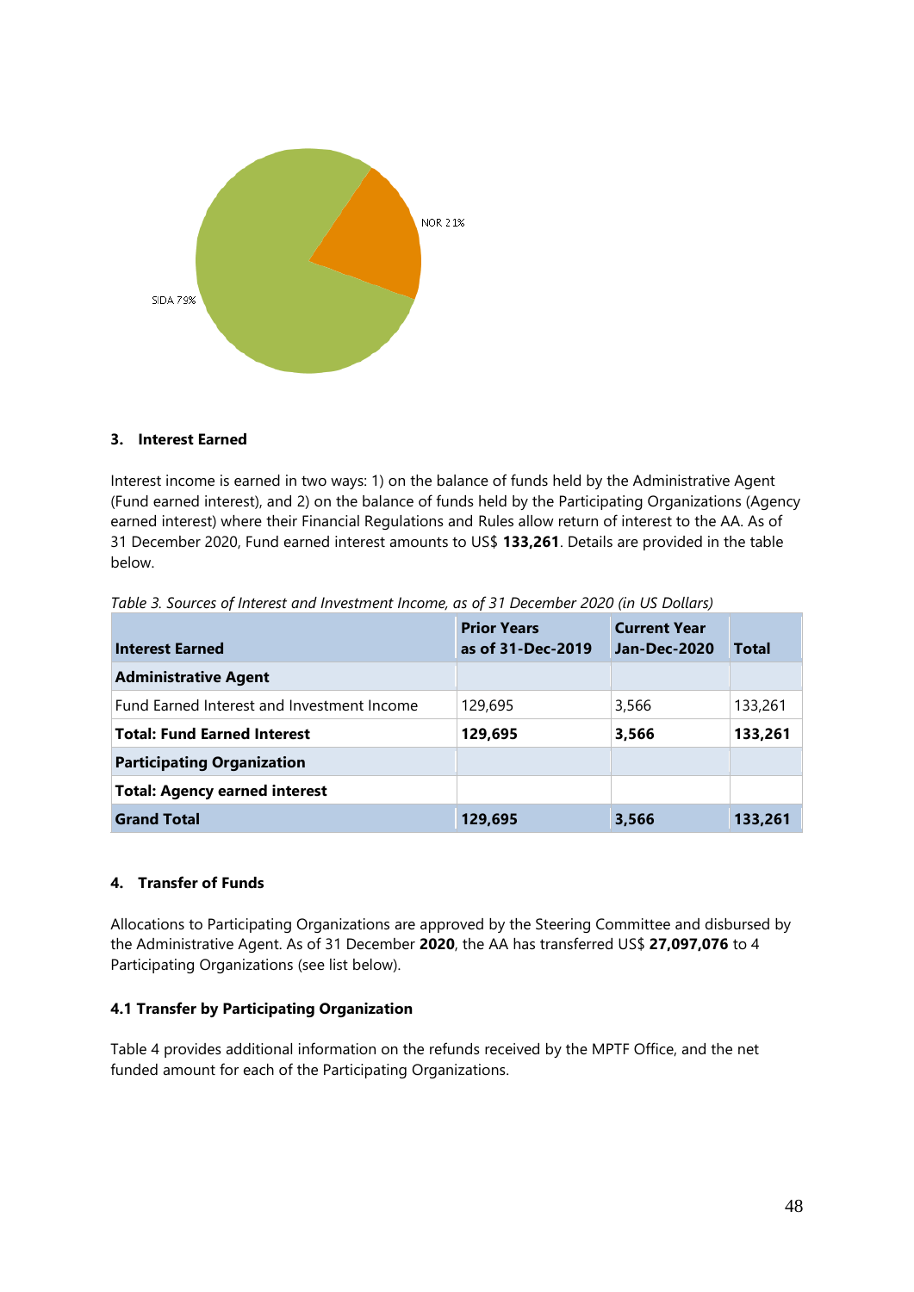

#### <span id="page-47-0"></span>**3. Interest Earned**

Interest income is earned in two ways: 1) on the balance of funds held by the Administrative Agent (Fund earned interest), and 2) on the balance of funds held by the Participating Organizations (Agency earned interest) where their Financial Regulations and Rules allow return of interest to the AA. As of 31 December 2020, Fund earned interest amounts to US\$ **133,261**. Details are provided in the table below.

| <b>Interest Earned</b>                     | <b>Prior Years</b><br>as of 31-Dec-2019 | <b>Current Year</b><br><b>Jan-Dec-2020</b> | <b>Total</b> |
|--------------------------------------------|-----------------------------------------|--------------------------------------------|--------------|
| <b>Administrative Agent</b>                |                                         |                                            |              |
| Fund Earned Interest and Investment Income | 129,695                                 | 3,566                                      | 133,261      |
| <b>Total: Fund Earned Interest</b>         | 129,695                                 | 3,566                                      | 133,261      |
| <b>Participating Organization</b>          |                                         |                                            |              |
| <b>Total: Agency earned interest</b>       |                                         |                                            |              |
| <b>Grand Total</b>                         | 129,695                                 | 3,566                                      | 133,261      |

*Table 3. Sources of Interest and Investment Income, as of 31 December 2020 (in US Dollars)*

#### <span id="page-47-1"></span>**4. Transfer of Funds**

Allocations to Participating Organizations are approved by the Steering Committee and disbursed by the Administrative Agent. As of 31 December **2020**, the AA has transferred US\$ **27,097,076** to 4 Participating Organizations (see list below).

#### <span id="page-47-2"></span>**4.1 Transfer by Participating Organization**

Table 4 provides additional information on the refunds received by the MPTF Office, and the net funded amount for each of the Participating Organizations.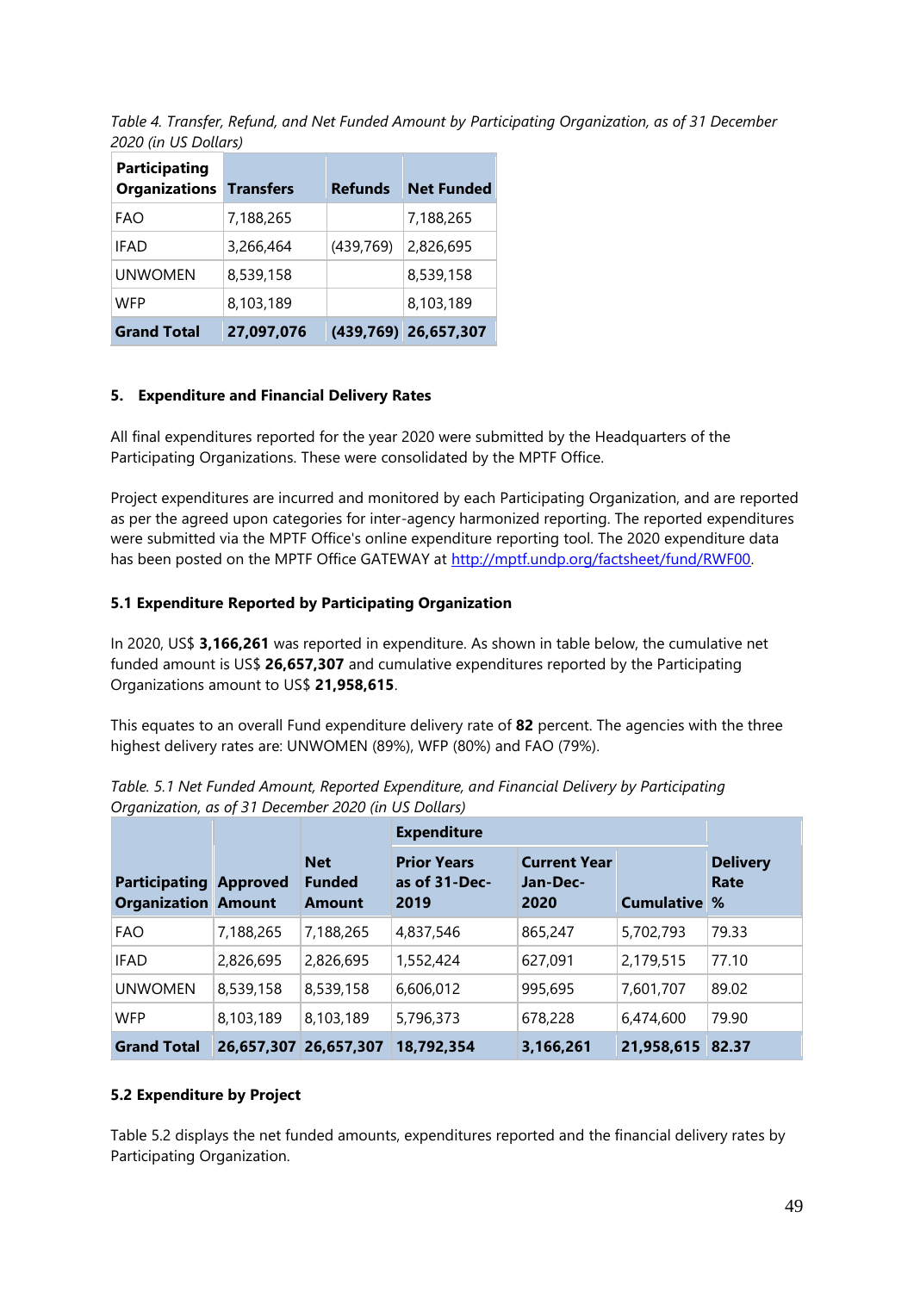*Table 4. Transfer, Refund, and Net Funded Amount by Participating Organization, as of 31 December 2020 (in US Dollars)*

| Participating<br><b>Organizations Transfers</b> |            | <b>Refunds</b> | <b>Net Funded</b>    |
|-------------------------------------------------|------------|----------------|----------------------|
| FAO                                             | 7,188,265  |                | 7,188,265            |
| <b>IFAD</b>                                     | 3,266,464  | (439, 769)     | 2,826,695            |
| <b>UNWOMEN</b>                                  | 8,539,158  |                | 8,539,158            |
| WFP                                             | 8,103,189  |                | 8,103,189            |
| <b>Grand Total</b>                              | 27,097,076 |                | (439,769) 26,657,307 |

#### <span id="page-48-0"></span>**5. Expenditure and Financial Delivery Rates**

All final expenditures reported for the year 2020 were submitted by the Headquarters of the Participating Organizations. These were consolidated by the MPTF Office.

Project expenditures are incurred and monitored by each Participating Organization, and are reported as per the agreed upon categories for inter-agency harmonized reporting. The reported expenditures were submitted via the MPTF Office's online expenditure reporting tool. The 2020 expenditure data has been posted on the MPTF Office GATEWAY at [http://mptf.undp.org/factsheet/fund/RWF00.](http://mptf.undp.org/factsheet/fund/RWF00)

#### <span id="page-48-1"></span>**5.1 Expenditure Reported by Participating Organization**

In 2020, US\$ **3,166,261** was reported in expenditure. As shown in table below, the cumulative net funded amount is US\$ **26,657,307** and cumulative expenditures reported by the Participating Organizations amount to US\$ **21,958,615**.

This equates to an overall Fund expenditure delivery rate of **82** percent. The agencies with the three highest delivery rates are: UNWOMEN (89%), WFP (80%) and FAO (79%).

|                                                             |           |                                              | <b>Expenditure</b>                          |                                         |                   |                                 |
|-------------------------------------------------------------|-----------|----------------------------------------------|---------------------------------------------|-----------------------------------------|-------------------|---------------------------------|
| <b>Participating Approved</b><br><b>Organization Amount</b> |           | <b>Net</b><br><b>Funded</b><br><b>Amount</b> | <b>Prior Years</b><br>as of 31-Dec-<br>2019 | <b>Current Year</b><br>Jan-Dec-<br>2020 | <b>Cumulative</b> | <b>Delivery</b><br>Rate<br>$\%$ |
| <b>FAO</b>                                                  | 7,188,265 | 7,188,265                                    | 4,837,546                                   | 865,247                                 | 5,702,793         | 79.33                           |
| <b>IFAD</b>                                                 | 2,826,695 | 2,826,695                                    | 1,552,424                                   | 627,091                                 | 2,179,515         | 77.10                           |
| <b>UNWOMEN</b>                                              | 8,539,158 | 8,539,158                                    | 6,606,012                                   | 995,695                                 | 7,601,707         | 89.02                           |
| <b>WFP</b>                                                  | 8,103,189 | 8,103,189                                    | 5,796,373                                   | 678,228                                 | 6,474,600         | 79.90                           |
| <b>Grand Total</b>                                          |           | 26,657,307 26,657,307                        | 18,792,354                                  | 3,166,261                               | 21,958,615        | 82.37                           |

*Table. 5.1 Net Funded Amount, Reported Expenditure, and Financial Delivery by Participating Organization, as of 31 December 2020 (in US Dollars)*

#### <span id="page-48-2"></span>**5.2 Expenditure by Project**

Table 5.2 displays the net funded amounts, expenditures reported and the financial delivery rates by Participating Organization.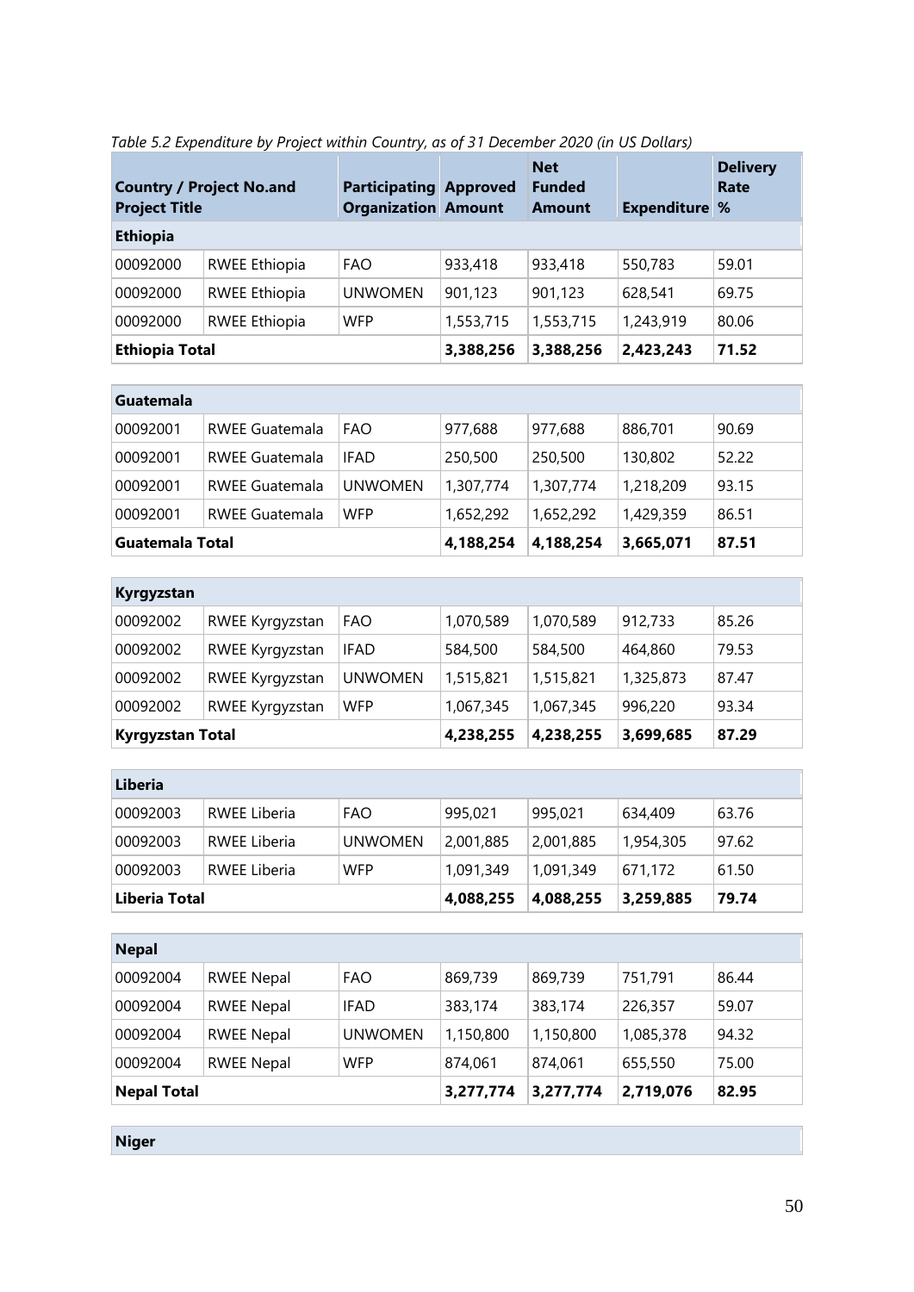| <b>Project Title</b>  | <b>Country / Project No.and</b> | <b>Participating Approved</b><br><b>Organization Amount</b> |           | <b>Net</b><br><b>Funded</b><br><b>Amount</b> | <b>Expenditure %</b> | <b>Delivery</b><br>Rate |
|-----------------------|---------------------------------|-------------------------------------------------------------|-----------|----------------------------------------------|----------------------|-------------------------|
| Ethiopia              |                                 |                                                             |           |                                              |                      |                         |
| 00092000              | <b>RWEE Ethiopia</b>            | <b>FAO</b>                                                  | 933,418   | 933,418                                      | 550,783              | 59.01                   |
| 00092000              | <b>RWEE Ethiopia</b>            | <b>UNWOMEN</b>                                              | 901,123   | 901,123                                      | 628,541              | 69.75                   |
| 00092000              | <b>RWEE Ethiopia</b>            | <b>WFP</b>                                                  | 1,553,715 | 1,553,715                                    | 1,243,919            | 80.06                   |
| <b>Ethiopia Total</b> |                                 |                                                             | 3,388,256 | 3,388,256                                    | 2,423,243            | 71.52                   |

|  | Table 5.2 Expenditure by Project within Country, as of 31 December 2020 (in US Dollars) |  |  |
|--|-----------------------------------------------------------------------------------------|--|--|
|  |                                                                                         |  |  |

| Guatemala       |                       |             |           |           |           |       |
|-----------------|-----------------------|-------------|-----------|-----------|-----------|-------|
| 00092001        | <b>RWEE Guatemala</b> | FAO         | 977,688   | 977,688   | 886,701   | 90.69 |
| 00092001        | <b>RWEE Guatemala</b> | <b>IFAD</b> | 250,500   | 250,500   | 130,802   | 52.22 |
| 00092001        | <b>RWEE Guatemala</b> | UNWOMEN     | 1,307,774 | 1,307,774 | 1,218,209 | 93.15 |
| 00092001        | <b>RWEE Guatemala</b> | <b>WFP</b>  | 1,652,292 | 1,652,292 | 1,429,359 | 86.51 |
| Guatemala Total |                       |             | 4,188,254 | 4,188,254 | 3,665,071 | 87.51 |

| Kyrgyzstan              |                 |                |           |           |           |       |
|-------------------------|-----------------|----------------|-----------|-----------|-----------|-------|
| 00092002                | RWEE Kyrgyzstan | <b>FAO</b>     | 1,070,589 | 1,070,589 | 912,733   | 85.26 |
| 00092002                | RWEE Kyrgyzstan | <b>IFAD</b>    | 584,500   | 584,500   | 464,860   | 79.53 |
| 00092002                | RWEE Kyrgyzstan | <b>UNWOMEN</b> | 1,515,821 | 1,515,821 | 1,325,873 | 87.47 |
| 00092002                | RWEE Kyrgyzstan | <b>WFP</b>     | 1,067,345 | 1,067,345 | 996,220   | 93.34 |
| <b>Kyrgyzstan Total</b> |                 |                | 4,238,255 | 4,238,255 | 3,699,685 | 87.29 |

| Liberia       |              |                |           |           |           |       |
|---------------|--------------|----------------|-----------|-----------|-----------|-------|
| 00092003      | RWEE Liberia | <b>FAO</b>     | 995,021   | 995,021   | 634,409   | 63.76 |
| 00092003      | RWEE Liberia | <b>UNWOMEN</b> | 2,001,885 | 2,001,885 | 1,954,305 | 97.62 |
| 00092003      | RWEE Liberia | <b>WFP</b>     | 1,091,349 | 1,091,349 | 671,172   | 61.50 |
| Liberia Total |              |                | 4,088,255 | 4,088,255 | 3,259,885 | 79.74 |

| <b>Nepal</b>       |                   |                |           |           |           |       |
|--------------------|-------------------|----------------|-----------|-----------|-----------|-------|
| 00092004           | <b>RWEE Nepal</b> | <b>FAO</b>     | 869,739   | 869,739   | 751,791   | 86.44 |
| 00092004           | <b>RWEE Nepal</b> | <b>IFAD</b>    | 383,174   | 383,174   | 226,357   | 59.07 |
| 00092004           | <b>RWEE Nepal</b> | <b>UNWOMEN</b> | 1,150,800 | 1,150,800 | 1,085,378 | 94.32 |
| 00092004           | <b>RWEE Nepal</b> | <b>WFP</b>     | 874,061   | 874,061   | 655,550   | 75.00 |
| <b>Nepal Total</b> |                   |                | 3,277,774 | 3,277,774 | 2,719,076 | 82.95 |

**Niger**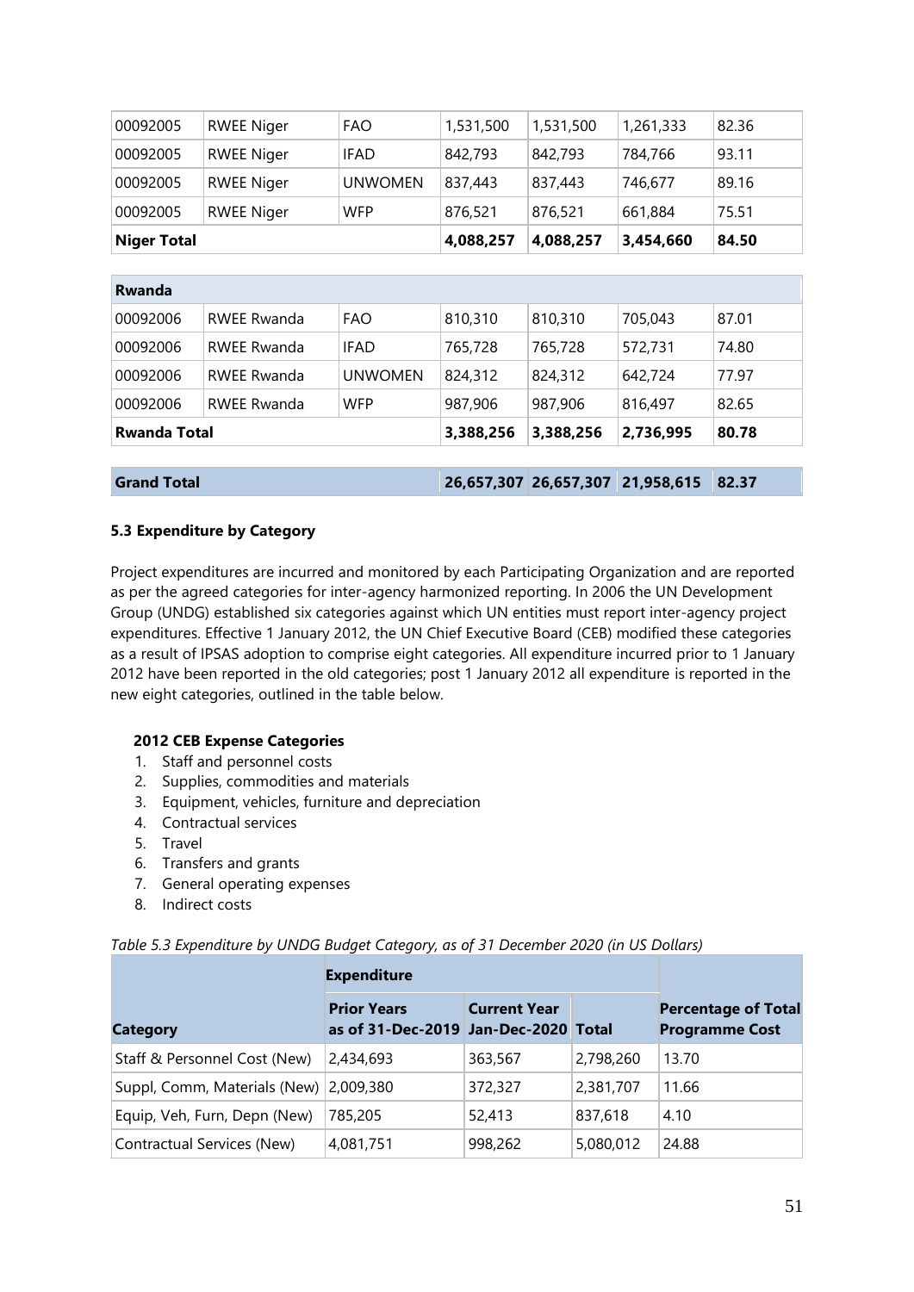| 00092005           | <b>RWEE Niger</b> | <b>FAO</b>     | 1,531,500 | 1,531,500 | 1,261,333 | 82.36 |
|--------------------|-------------------|----------------|-----------|-----------|-----------|-------|
| 00092005           | <b>RWEE Niger</b> | <b>IFAD</b>    | 842,793   | 842,793   | 784,766   | 93.11 |
| 00092005           | <b>RWEE Niger</b> | <b>UNWOMEN</b> | 837,443   | 837,443   | 746,677   | 89.16 |
| 00092005           | <b>RWEE Niger</b> | <b>WFP</b>     | 876,521   | 876,521   | 661,884   | 75.51 |
| <b>Niger Total</b> |                   |                | 4,088,257 | 4,088,257 | 3,454,660 | 84.50 |

| <b>Rwanda</b>       |                    |                |           |                       |            |       |
|---------------------|--------------------|----------------|-----------|-----------------------|------------|-------|
| 00092006            | <b>RWEE Rwanda</b> | <b>FAO</b>     | 810,310   | 810,310               | 705,043    | 87.01 |
| 00092006            | <b>RWEE Rwanda</b> | <b>IFAD</b>    | 765,728   | 765,728               | 572,731    | 74.80 |
| 00092006            | <b>RWEE Rwanda</b> | <b>UNWOMEN</b> | 824,312   | 824,312               | 642,724    | 77.97 |
| 00092006            | <b>RWEE Rwanda</b> | <b>WFP</b>     | 987,906   | 987,906               | 816,497    | 82.65 |
| <b>Rwanda Total</b> |                    |                | 3,388,256 | 3,388,256             | 2,736,995  | 80.78 |
|                     |                    |                |           |                       |            |       |
| <b>Grand Total</b>  |                    |                |           | 26,657,307 26,657,307 | 21,958,615 | 82.37 |

#### <span id="page-50-0"></span>**5.3 Expenditure by Category**

Project expenditures are incurred and monitored by each Participating Organization and are reported as per the agreed categories for inter-agency harmonized reporting. In 2006 the UN Development Group (UNDG) established six categories against which UN entities must report inter-agency project expenditures. Effective 1 January 2012, the UN Chief Executive Board (CEB) modified these categories as a result of IPSAS adoption to comprise eight categories. All expenditure incurred prior to 1 January 2012 have been reported in the old categories; post 1 January 2012 all expenditure is reported in the new eight categories, outlined in the table below.

#### **2012 CEB Expense Categories**

- 1. Staff and personnel costs
- 2. Supplies, commodities and materials
- 3. Equipment, vehicles, furniture and depreciation
- 4. Contractual services
- 5. Travel
- 6. Transfers and grants
- 7. General operating expenses
- 8. Indirect costs

|  |  | Table 5.3 Expenditure by UNDG Budget Category, as of 31 December 2020 (in US Dollars) |  |  |
|--|--|---------------------------------------------------------------------------------------|--|--|
|--|--|---------------------------------------------------------------------------------------|--|--|

| <b>Category</b>                        | <b>Prior Years</b><br>as of 31-Dec-2019 Jan-Dec-2020 Total | <b>Current Year</b> |           | <b>Percentage of Total</b><br><b>Programme Cost</b> |
|----------------------------------------|------------------------------------------------------------|---------------------|-----------|-----------------------------------------------------|
| Staff & Personnel Cost (New)           | 2,434,693                                                  | 363,567             | 2,798,260 | 13.70                                               |
| Suppl, Comm, Materials (New) 2,009,380 |                                                            | 372,327             | 2,381,707 | 11.66                                               |
| Equip, Veh, Furn, Depn (New)           | 785,205                                                    | 52,413              | 837,618   | 4.10                                                |
| Contractual Services (New)             | 4,081,751                                                  | 998,262             | 5,080,012 | 24.88                                               |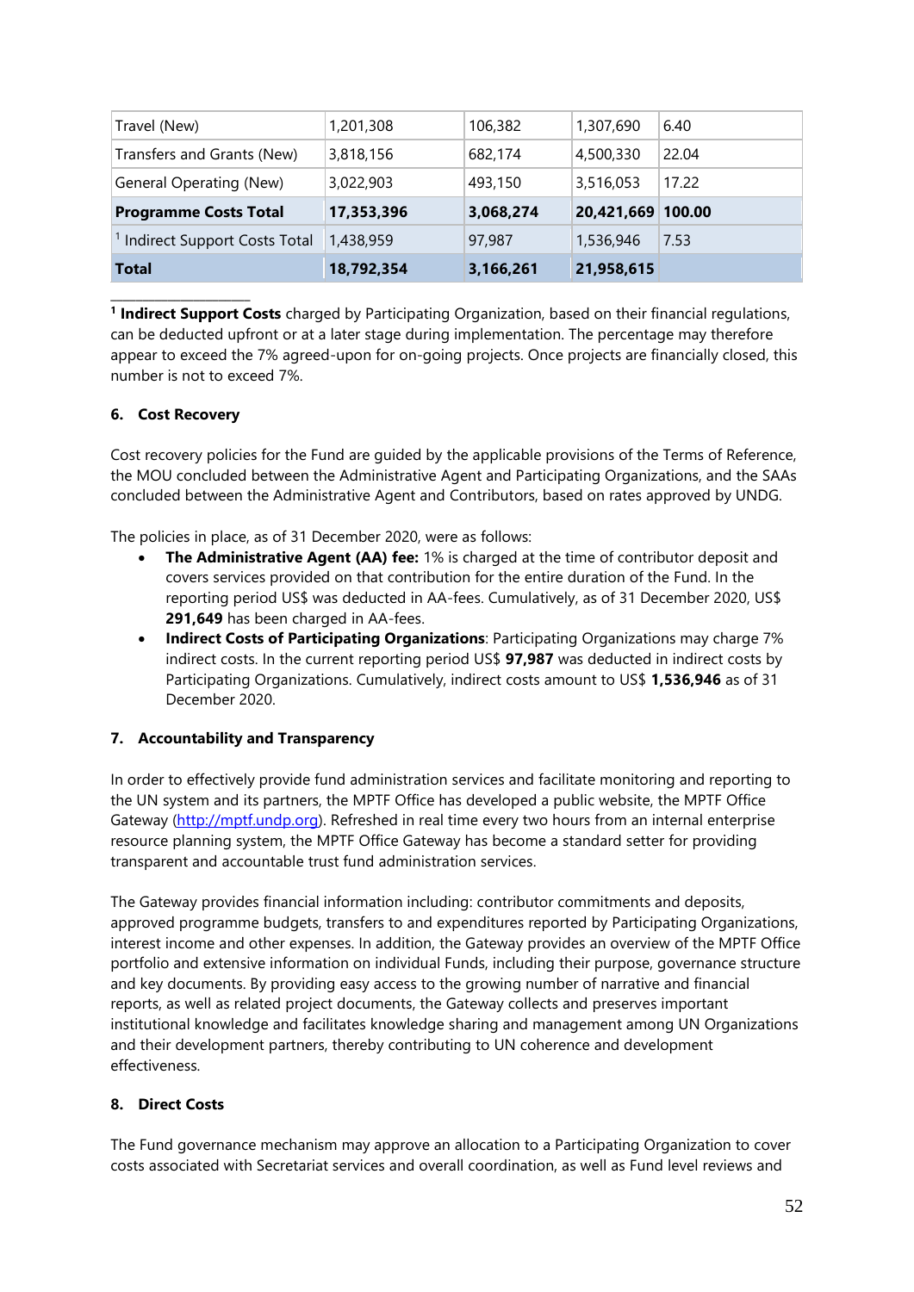| Travel (New)                              | 1,201,308  | 106,382   | 1,307,690         | 6.40  |
|-------------------------------------------|------------|-----------|-------------------|-------|
| Transfers and Grants (New)                | 3,818,156  | 682,174   | 4,500,330         | 22.04 |
| General Operating (New)                   | 3,022,903  | 493,150   | 3,516,053         | 17.22 |
| <b>Programme Costs Total</b>              | 17,353,396 | 3,068,274 | 20,421,669 100.00 |       |
| <sup>1</sup> Indirect Support Costs Total | 1,438,959  | 97,987    | 1,536,946         | 7.53  |
| <b>Total</b>                              | 18,792,354 | 3,166,261 | 21,958,615        |       |

**1 Indirect Support Costs** charged by Participating Organization, based on their financial regulations, can be deducted upfront or at a later stage during implementation. The percentage may therefore appear to exceed the 7% agreed-upon for on-going projects. Once projects are financially closed, this number is not to exceed 7%.

### <span id="page-51-0"></span>**6. Cost Recovery**

\_\_\_\_\_\_\_\_\_\_\_\_\_\_\_\_\_\_\_\_\_\_

Cost recovery policies for the Fund are guided by the applicable provisions of the Terms of Reference, the MOU concluded between the Administrative Agent and Participating Organizations, and the SAAs concluded between the Administrative Agent and Contributors, based on rates approved by UNDG.

The policies in place, as of 31 December 2020, were as follows:

- **The Administrative Agent (AA) fee:** 1% is charged at the time of contributor deposit and covers services provided on that contribution for the entire duration of the Fund. In the reporting period US\$ was deducted in AA-fees. Cumulatively, as of 31 December 2020, US\$ **291,649** has been charged in AA-fees.
- **Indirect Costs of Participating Organizations**: Participating Organizations may charge 7% indirect costs. In the current reporting period US\$ **97,987** was deducted in indirect costs by Participating Organizations. Cumulatively, indirect costs amount to US\$ **1,536,946** as of 31 December 2020.

### <span id="page-51-1"></span>**7. Accountability and Transparency**

In order to effectively provide fund administration services and facilitate monitoring and reporting to the UN system and its partners, the MPTF Office has developed a public website, the MPTF Office Gateway [\(http://mptf.undp.org\)](http://mptf.undp.org/). Refreshed in real time every two hours from an internal enterprise resource planning system, the MPTF Office Gateway has become a standard setter for providing transparent and accountable trust fund administration services.

The Gateway provides financial information including: contributor commitments and deposits, approved programme budgets, transfers to and expenditures reported by Participating Organizations, interest income and other expenses. In addition, the Gateway provides an overview of the MPTF Office portfolio and extensive information on individual Funds, including their purpose, governance structure and key documents. By providing easy access to the growing number of narrative and financial reports, as well as related project documents, the Gateway collects and preserves important institutional knowledge and facilitates knowledge sharing and management among UN Organizations and their development partners, thereby contributing to UN coherence and development effectiveness.

### <span id="page-51-2"></span>**8. Direct Costs**

The Fund governance mechanism may approve an allocation to a Participating Organization to cover costs associated with Secretariat services and overall coordination, as well as Fund level reviews and